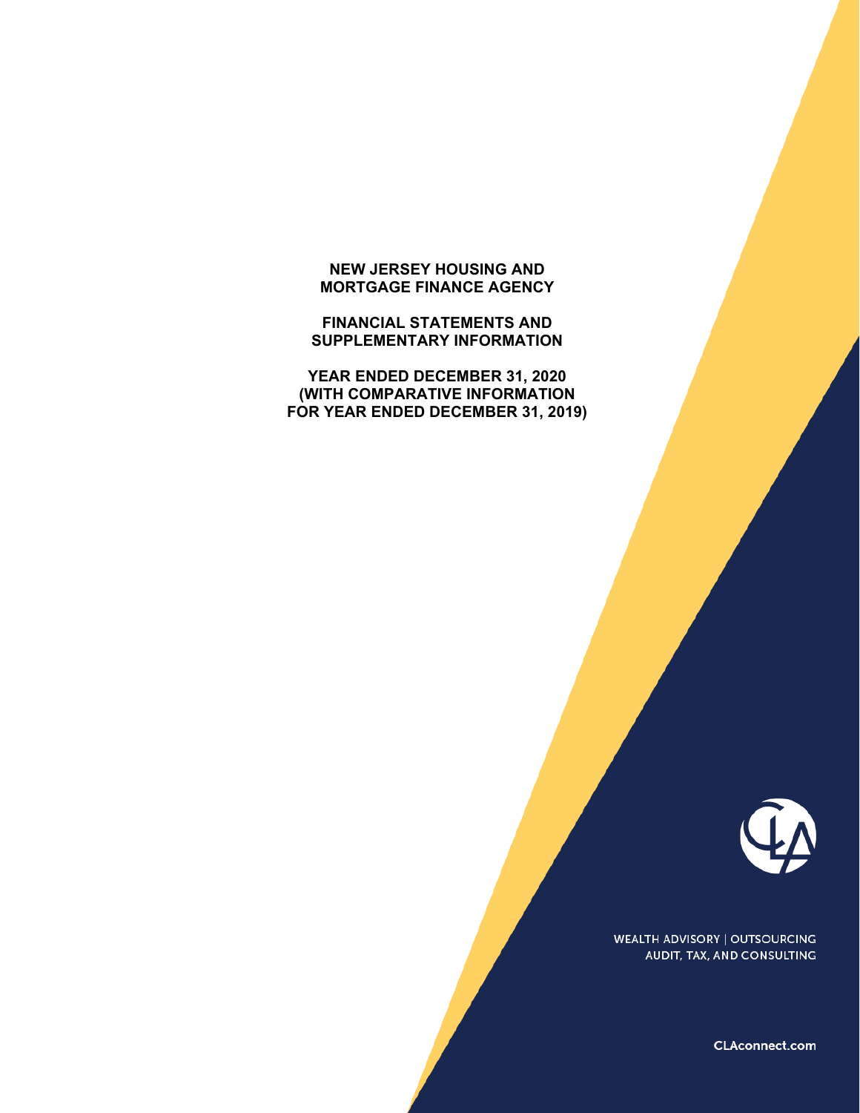## **NEW JERSEY HOUSING AND MORTGAGE FINANCE AGENCY**

**FINANCIAL STATEMENTS AND SUPPLEMENTARY INFORMATION** 

**YEAR ENDED DECEMBER 31, 2020 (WITH COMPARATIVE INFORMATION FOR YEAR ENDED DECEMBER 31, 2019)** 



**WEALTH ADVISORY | OUTSOURCING** AUDIT, TAX, AND CONSULTING

**CLAconnect.com**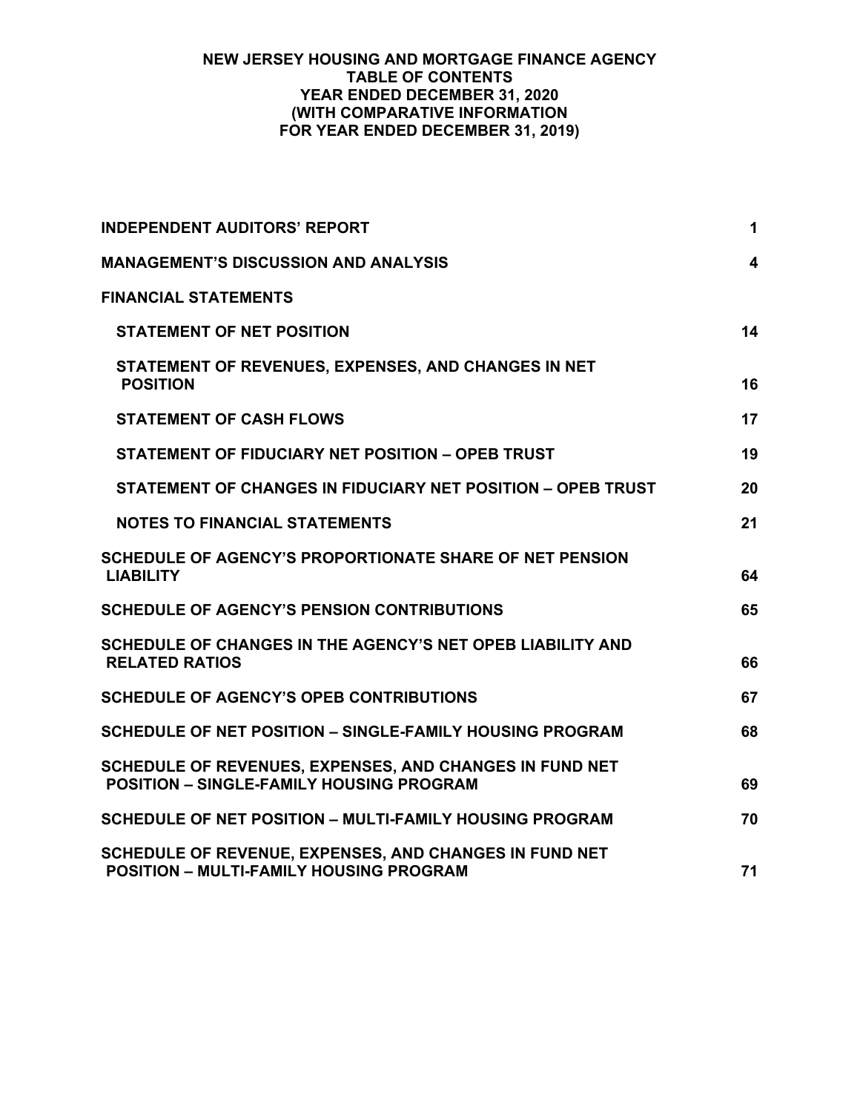### **NEW JERSEY HOUSING AND MORTGAGE FINANCE AGENCY TABLE OF CONTENTS YEAR ENDED DECEMBER 31, 2020 (WITH COMPARATIVE INFORMATION FOR YEAR ENDED DECEMBER 31, 2019)**

| <b>INDEPENDENT AUDITORS' REPORT</b>                                                                        | $\mathbf 1$             |
|------------------------------------------------------------------------------------------------------------|-------------------------|
| <b>MANAGEMENT'S DISCUSSION AND ANALYSIS</b>                                                                | $\overline{\mathbf{4}}$ |
| <b>FINANCIAL STATEMENTS</b>                                                                                |                         |
| <b>STATEMENT OF NET POSITION</b>                                                                           | 14                      |
| STATEMENT OF REVENUES, EXPENSES, AND CHANGES IN NET<br><b>POSITION</b>                                     | 16                      |
| <b>STATEMENT OF CASH FLOWS</b>                                                                             | 17                      |
| STATEMENT OF FIDUCIARY NET POSITION - OPEB TRUST                                                           | 19                      |
| STATEMENT OF CHANGES IN FIDUCIARY NET POSITION - OPEB TRUST                                                | 20                      |
| <b>NOTES TO FINANCIAL STATEMENTS</b>                                                                       | 21                      |
| SCHEDULE OF AGENCY'S PROPORTIONATE SHARE OF NET PENSION<br><b>LIABILITY</b>                                | 64                      |
| <b>SCHEDULE OF AGENCY'S PENSION CONTRIBUTIONS</b>                                                          | 65                      |
| SCHEDULE OF CHANGES IN THE AGENCY'S NET OPEB LIABILITY AND<br><b>RELATED RATIOS</b>                        | 66                      |
| <b>SCHEDULE OF AGENCY'S OPEB CONTRIBUTIONS</b>                                                             | 67                      |
| SCHEDULE OF NET POSITION – SINGLE-FAMILY HOUSING PROGRAM                                                   | 68                      |
| SCHEDULE OF REVENUES, EXPENSES, AND CHANGES IN FUND NET<br><b>POSITION - SINGLE-FAMILY HOUSING PROGRAM</b> | 69                      |
| SCHEDULE OF NET POSITION - MULTI-FAMILY HOUSING PROGRAM                                                    | 70                      |
| SCHEDULE OF REVENUE, EXPENSES, AND CHANGES IN FUND NET<br><b>POSITION - MULTI-FAMILY HOUSING PROGRAM</b>   | 71                      |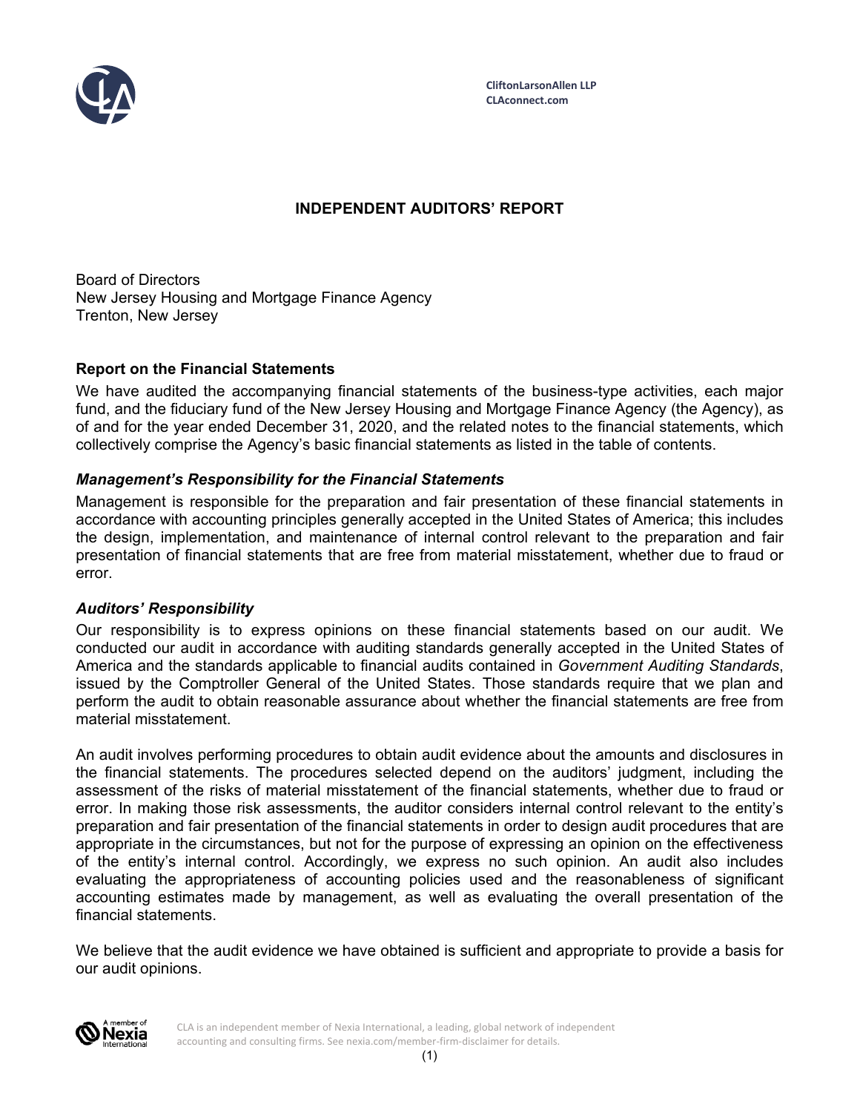

# **INDEPENDENT AUDITORS' REPORT**

Board of Directors New Jersey Housing and Mortgage Finance Agency Trenton, New Jersey

## **Report on the Financial Statements**

We have audited the accompanying financial statements of the business-type activities, each major fund, and the fiduciary fund of the New Jersey Housing and Mortgage Finance Agency (the Agency), as of and for the year ended December 31, 2020, and the related notes to the financial statements, which collectively comprise the Agency's basic financial statements as listed in the table of contents.

# *Management's Responsibility for the Financial Statements*

Management is responsible for the preparation and fair presentation of these financial statements in accordance with accounting principles generally accepted in the United States of America; this includes the design, implementation, and maintenance of internal control relevant to the preparation and fair presentation of financial statements that are free from material misstatement, whether due to fraud or error.

### *Auditors' Responsibility*

Our responsibility is to express opinions on these financial statements based on our audit. We conducted our audit in accordance with auditing standards generally accepted in the United States of America and the standards applicable to financial audits contained in *Government Auditing Standards*, issued by the Comptroller General of the United States. Those standards require that we plan and perform the audit to obtain reasonable assurance about whether the financial statements are free from material misstatement.

An audit involves performing procedures to obtain audit evidence about the amounts and disclosures in the financial statements. The procedures selected depend on the auditors' judgment, including the assessment of the risks of material misstatement of the financial statements, whether due to fraud or error. In making those risk assessments, the auditor considers internal control relevant to the entity's preparation and fair presentation of the financial statements in order to design audit procedures that are appropriate in the circumstances, but not for the purpose of expressing an opinion on the effectiveness of the entity's internal control. Accordingly, we express no such opinion. An audit also includes evaluating the appropriateness of accounting policies used and the reasonableness of significant accounting estimates made by management, as well as evaluating the overall presentation of the financial statements.

We believe that the audit evidence we have obtained is sufficient and appropriate to provide a basis for our audit opinions.



CLA is an independent member of Nexia International, a leading, global network of independent accounting and consulting firms. See nexia.com/member-firm-disclaimer for details.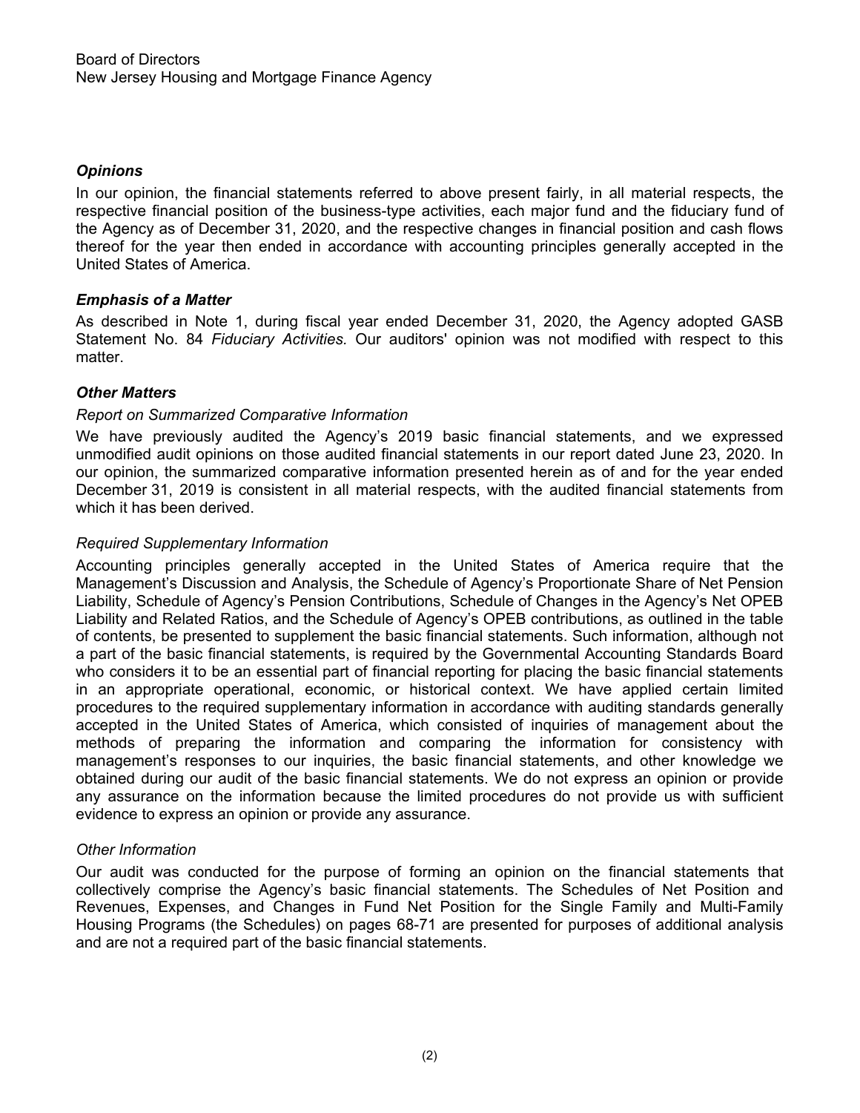# *Opinions*

In our opinion, the financial statements referred to above present fairly, in all material respects, the respective financial position of the business-type activities, each major fund and the fiduciary fund of the Agency as of December 31, 2020, and the respective changes in financial position and cash flows thereof for the year then ended in accordance with accounting principles generally accepted in the United States of America.

# *Emphasis of a Matter*

As described in Note 1, during fiscal year ended December 31, 2020, the Agency adopted GASB Statement No. 84 *Fiduciary Activities.* Our auditors' opinion was not modified with respect to this matter.

# *Other Matters*

# *Report on Summarized Comparative Information*

We have previously audited the Agency's 2019 basic financial statements, and we expressed unmodified audit opinions on those audited financial statements in our report dated June 23, 2020. In our opinion, the summarized comparative information presented herein as of and for the year ended December 31, 2019 is consistent in all material respects, with the audited financial statements from which it has been derived.

# *Required Supplementary Information*

Accounting principles generally accepted in the United States of America require that the Management's Discussion and Analysis, the Schedule of Agency's Proportionate Share of Net Pension Liability, Schedule of Agency's Pension Contributions, Schedule of Changes in the Agency's Net OPEB Liability and Related Ratios, and the Schedule of Agency's OPEB contributions, as outlined in the table of contents, be presented to supplement the basic financial statements. Such information, although not a part of the basic financial statements, is required by the Governmental Accounting Standards Board who considers it to be an essential part of financial reporting for placing the basic financial statements in an appropriate operational, economic, or historical context. We have applied certain limited procedures to the required supplementary information in accordance with auditing standards generally accepted in the United States of America, which consisted of inquiries of management about the methods of preparing the information and comparing the information for consistency with management's responses to our inquiries, the basic financial statements, and other knowledge we obtained during our audit of the basic financial statements. We do not express an opinion or provide any assurance on the information because the limited procedures do not provide us with sufficient evidence to express an opinion or provide any assurance.

# *Other Information*

Our audit was conducted for the purpose of forming an opinion on the financial statements that collectively comprise the Agency's basic financial statements. The Schedules of Net Position and Revenues, Expenses, and Changes in Fund Net Position for the Single Family and Multi-Family Housing Programs (the Schedules) on pages 68-71 are presented for purposes of additional analysis and are not a required part of the basic financial statements.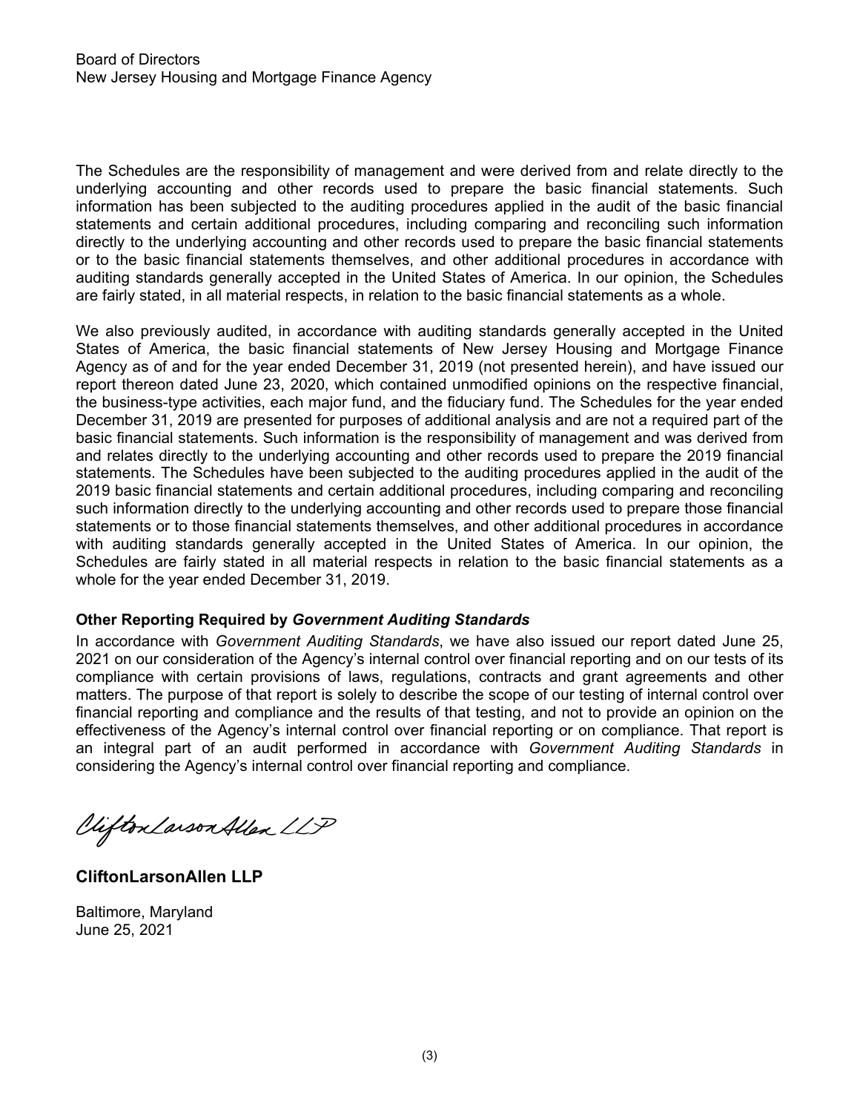The Schedules are the responsibility of management and were derived from and relate directly to the underlying accounting and other records used to prepare the basic financial statements. Such information has been subjected to the auditing procedures applied in the audit of the basic financial statements and certain additional procedures, including comparing and reconciling such information directly to the underlying accounting and other records used to prepare the basic financial statements or to the basic financial statements themselves, and other additional procedures in accordance with auditing standards generally accepted in the United States of America. In our opinion, the Schedules are fairly stated, in all material respects, in relation to the basic financial statements as a whole.

We also previously audited, in accordance with auditing standards generally accepted in the United States of America, the basic financial statements of New Jersey Housing and Mortgage Finance Agency as of and for the year ended December 31, 2019 (not presented herein), and have issued our report thereon dated June 23, 2020, which contained unmodified opinions on the respective financial, the business-type activities, each major fund, and the fiduciary fund. The Schedules for the year ended December 31, 2019 are presented for purposes of additional analysis and are not a required part of the basic financial statements. Such information is the responsibility of management and was derived from and relates directly to the underlying accounting and other records used to prepare the 2019 financial statements. The Schedules have been subjected to the auditing procedures applied in the audit of the 2019 basic financial statements and certain additional procedures, including comparing and reconciling such information directly to the underlying accounting and other records used to prepare those financial statements or to those financial statements themselves, and other additional procedures in accordance with auditing standards generally accepted in the United States of America. In our opinion, the Schedules are fairly stated in all material respects in relation to the basic financial statements as a whole for the year ended December 31, 2019.

# **Other Reporting Required by** *Government Auditing Standards*

In accordance with *Government Auditing Standards*, we have also issued our report dated June 25, 2021 on our consideration of the Agency's internal control over financial reporting and on our tests of its compliance with certain provisions of laws, regulations, contracts and grant agreements and other matters. The purpose of that report is solely to describe the scope of our testing of internal control over financial reporting and compliance and the results of that testing, and not to provide an opinion on the effectiveness of the Agency's internal control over financial reporting or on compliance. That report is an integral part of an audit performed in accordance with *Government Auditing Standards* in considering the Agency's internal control over financial reporting and compliance.

Viifton Larson Allen LLP

**CliftonLarsonAllen LLP** 

Baltimore, Maryland June 25, 2021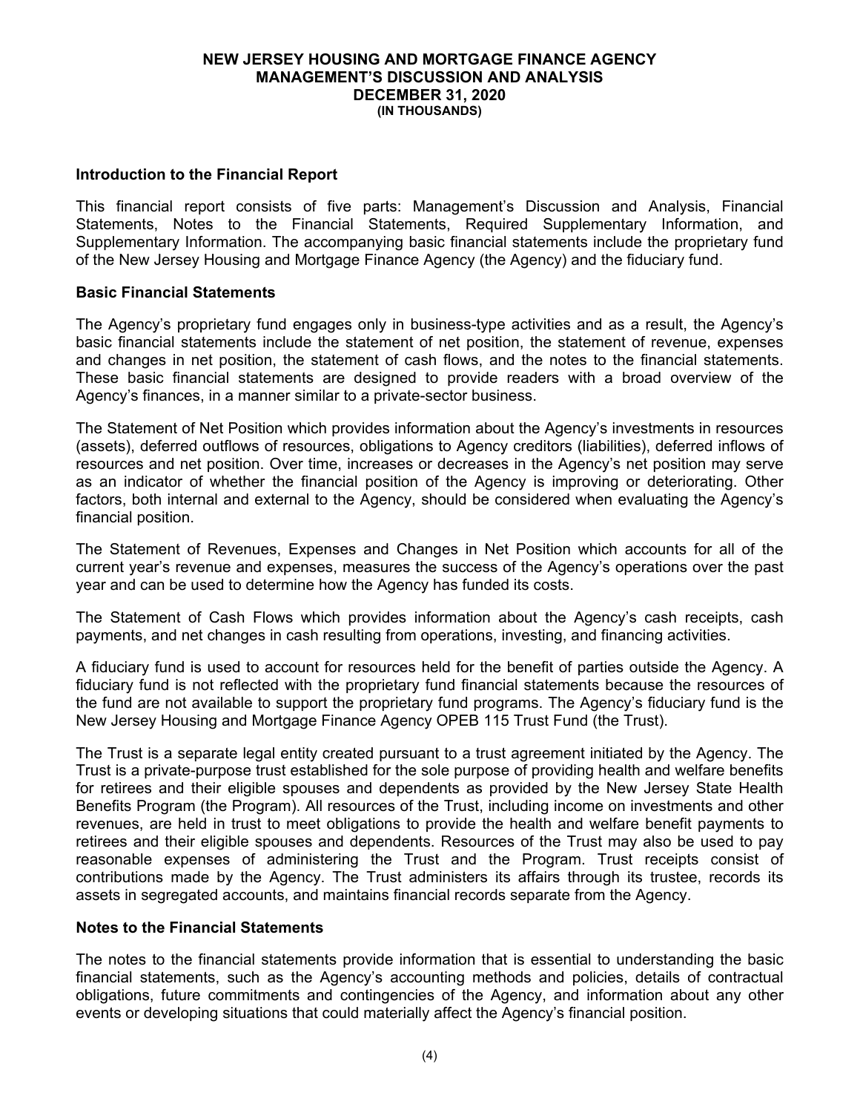### **Introduction to the Financial Report**

This financial report consists of five parts: Management's Discussion and Analysis, Financial Statements, Notes to the Financial Statements, Required Supplementary Information, and Supplementary Information. The accompanying basic financial statements include the proprietary fund of the New Jersey Housing and Mortgage Finance Agency (the Agency) and the fiduciary fund.

## **Basic Financial Statements**

The Agency's proprietary fund engages only in business-type activities and as a result, the Agency's basic financial statements include the statement of net position, the statement of revenue, expenses and changes in net position, the statement of cash flows, and the notes to the financial statements. These basic financial statements are designed to provide readers with a broad overview of the Agency's finances, in a manner similar to a private-sector business.

The Statement of Net Position which provides information about the Agency's investments in resources (assets), deferred outflows of resources, obligations to Agency creditors (liabilities), deferred inflows of resources and net position. Over time, increases or decreases in the Agency's net position may serve as an indicator of whether the financial position of the Agency is improving or deteriorating. Other factors, both internal and external to the Agency, should be considered when evaluating the Agency's financial position.

The Statement of Revenues, Expenses and Changes in Net Position which accounts for all of the current year's revenue and expenses, measures the success of the Agency's operations over the past year and can be used to determine how the Agency has funded its costs.

The Statement of Cash Flows which provides information about the Agency's cash receipts, cash payments, and net changes in cash resulting from operations, investing, and financing activities.

A fiduciary fund is used to account for resources held for the benefit of parties outside the Agency. A fiduciary fund is not reflected with the proprietary fund financial statements because the resources of the fund are not available to support the proprietary fund programs. The Agency's fiduciary fund is the New Jersey Housing and Mortgage Finance Agency OPEB 115 Trust Fund (the Trust).

The Trust is a separate legal entity created pursuant to a trust agreement initiated by the Agency. The Trust is a private-purpose trust established for the sole purpose of providing health and welfare benefits for retirees and their eligible spouses and dependents as provided by the New Jersey State Health Benefits Program (the Program). All resources of the Trust, including income on investments and other revenues, are held in trust to meet obligations to provide the health and welfare benefit payments to retirees and their eligible spouses and dependents. Resources of the Trust may also be used to pay reasonable expenses of administering the Trust and the Program. Trust receipts consist of contributions made by the Agency. The Trust administers its affairs through its trustee, records its assets in segregated accounts, and maintains financial records separate from the Agency.

### **Notes to the Financial Statements**

The notes to the financial statements provide information that is essential to understanding the basic financial statements, such as the Agency's accounting methods and policies, details of contractual obligations, future commitments and contingencies of the Agency, and information about any other events or developing situations that could materially affect the Agency's financial position.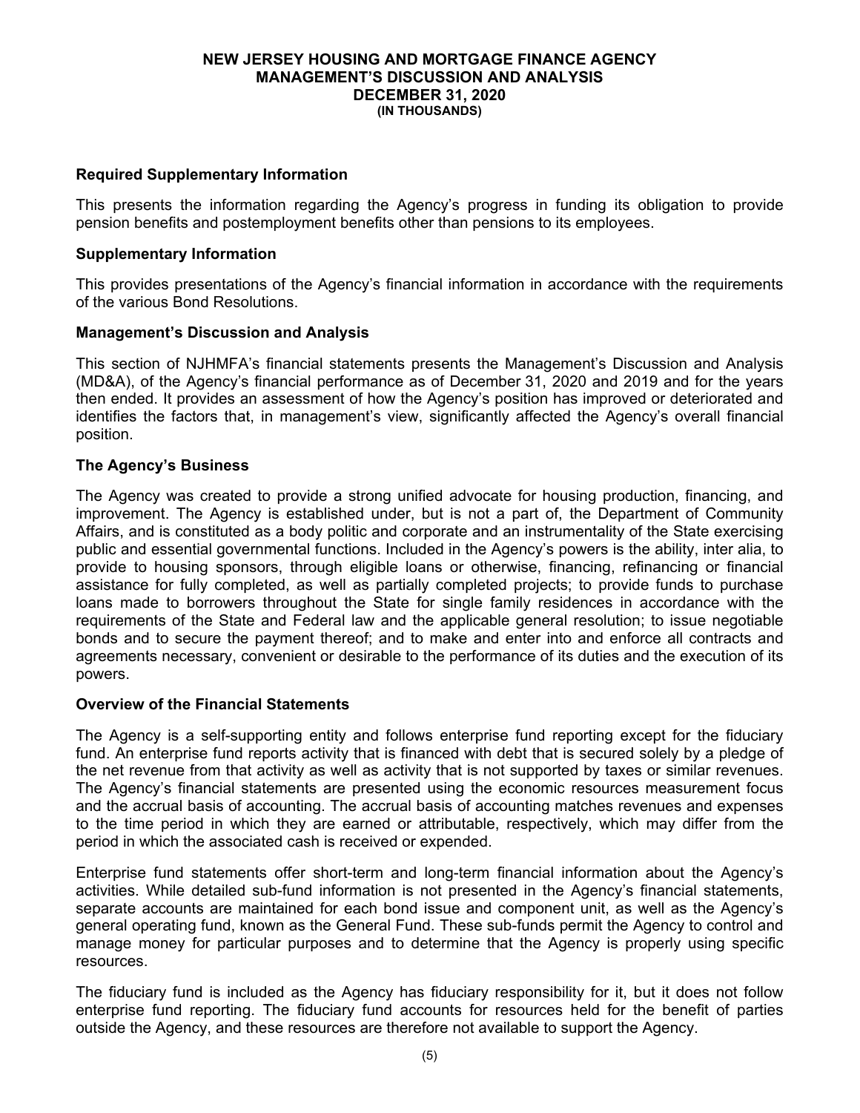# **Required Supplementary Information**

This presents the information regarding the Agency's progress in funding its obligation to provide pension benefits and postemployment benefits other than pensions to its employees.

### **Supplementary Information**

This provides presentations of the Agency's financial information in accordance with the requirements of the various Bond Resolutions.

## **Management's Discussion and Analysis**

This section of NJHMFA's financial statements presents the Management's Discussion and Analysis (MD&A), of the Agency's financial performance as of December 31, 2020 and 2019 and for the years then ended. It provides an assessment of how the Agency's position has improved or deteriorated and identifies the factors that, in management's view, significantly affected the Agency's overall financial position.

## **The Agency's Business**

The Agency was created to provide a strong unified advocate for housing production, financing, and improvement. The Agency is established under, but is not a part of, the Department of Community Affairs, and is constituted as a body politic and corporate and an instrumentality of the State exercising public and essential governmental functions. Included in the Agency's powers is the ability, inter alia, to provide to housing sponsors, through eligible loans or otherwise, financing, refinancing or financial assistance for fully completed, as well as partially completed projects; to provide funds to purchase loans made to borrowers throughout the State for single family residences in accordance with the requirements of the State and Federal law and the applicable general resolution; to issue negotiable bonds and to secure the payment thereof; and to make and enter into and enforce all contracts and agreements necessary, convenient or desirable to the performance of its duties and the execution of its powers.

### **Overview of the Financial Statements**

The Agency is a self-supporting entity and follows enterprise fund reporting except for the fiduciary fund. An enterprise fund reports activity that is financed with debt that is secured solely by a pledge of the net revenue from that activity as well as activity that is not supported by taxes or similar revenues. The Agency's financial statements are presented using the economic resources measurement focus and the accrual basis of accounting. The accrual basis of accounting matches revenues and expenses to the time period in which they are earned or attributable, respectively, which may differ from the period in which the associated cash is received or expended.

Enterprise fund statements offer short-term and long-term financial information about the Agency's activities. While detailed sub-fund information is not presented in the Agency's financial statements, separate accounts are maintained for each bond issue and component unit, as well as the Agency's general operating fund, known as the General Fund. These sub-funds permit the Agency to control and manage money for particular purposes and to determine that the Agency is properly using specific resources.

The fiduciary fund is included as the Agency has fiduciary responsibility for it, but it does not follow enterprise fund reporting. The fiduciary fund accounts for resources held for the benefit of parties outside the Agency, and these resources are therefore not available to support the Agency.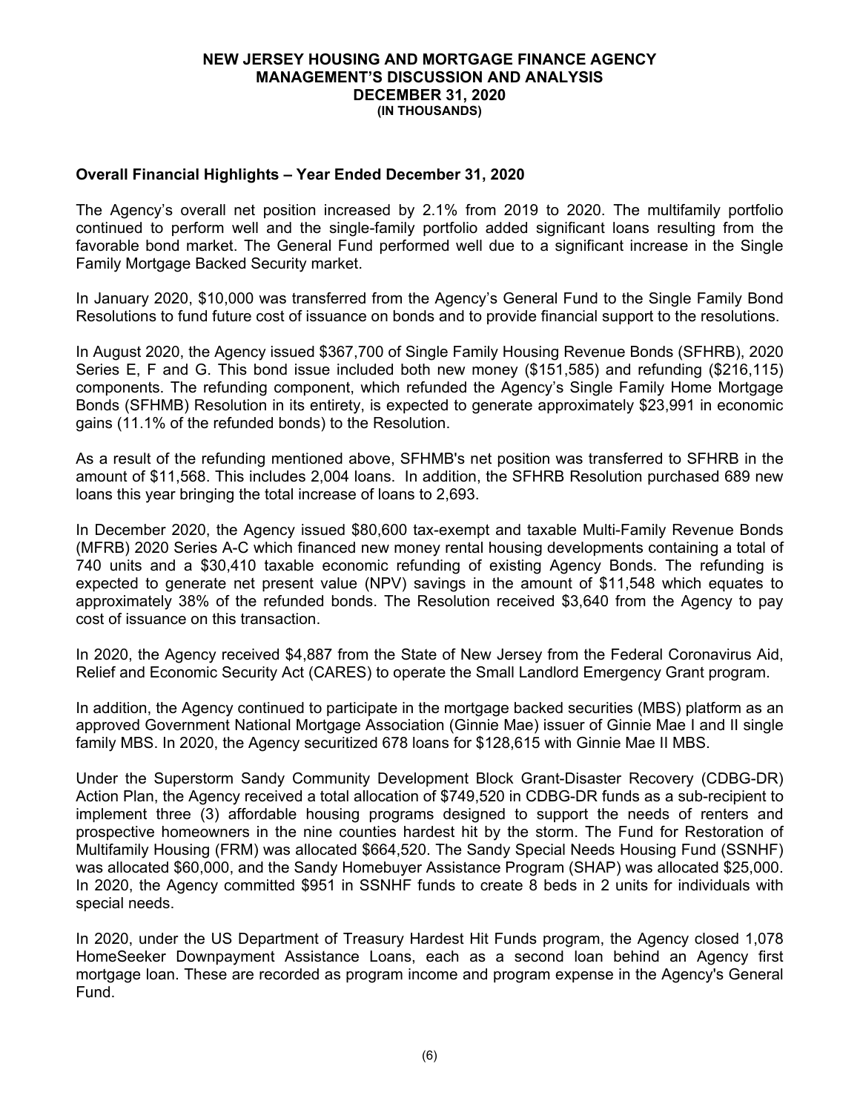### **Overall Financial Highlights – Year Ended December 31, 2020**

The Agency's overall net position increased by 2.1% from 2019 to 2020. The multifamily portfolio continued to perform well and the single-family portfolio added significant loans resulting from the favorable bond market. The General Fund performed well due to a significant increase in the Single Family Mortgage Backed Security market.

In January 2020, \$10,000 was transferred from the Agency's General Fund to the Single Family Bond Resolutions to fund future cost of issuance on bonds and to provide financial support to the resolutions.

In August 2020, the Agency issued \$367,700 of Single Family Housing Revenue Bonds (SFHRB), 2020 Series E, F and G. This bond issue included both new money (\$151,585) and refunding (\$216,115) components. The refunding component, which refunded the Agency's Single Family Home Mortgage Bonds (SFHMB) Resolution in its entirety, is expected to generate approximately \$23,991 in economic gains (11.1% of the refunded bonds) to the Resolution.

As a result of the refunding mentioned above, SFHMB's net position was transferred to SFHRB in the amount of \$11,568. This includes 2,004 loans. In addition, the SFHRB Resolution purchased 689 new loans this year bringing the total increase of loans to 2,693.

In December 2020, the Agency issued \$80,600 tax-exempt and taxable Multi-Family Revenue Bonds (MFRB) 2020 Series A-C which financed new money rental housing developments containing a total of 740 units and a \$30,410 taxable economic refunding of existing Agency Bonds. The refunding is expected to generate net present value (NPV) savings in the amount of \$11,548 which equates to approximately 38% of the refunded bonds. The Resolution received \$3,640 from the Agency to pay cost of issuance on this transaction.

In 2020, the Agency received \$4,887 from the State of New Jersey from the Federal Coronavirus Aid, Relief and Economic Security Act (CARES) to operate the Small Landlord Emergency Grant program.

In addition, the Agency continued to participate in the mortgage backed securities (MBS) platform as an approved Government National Mortgage Association (Ginnie Mae) issuer of Ginnie Mae I and II single family MBS. In 2020, the Agency securitized 678 loans for \$128,615 with Ginnie Mae II MBS.

Under the Superstorm Sandy Community Development Block Grant-Disaster Recovery (CDBG-DR) Action Plan, the Agency received a total allocation of \$749,520 in CDBG-DR funds as a sub-recipient to implement three (3) affordable housing programs designed to support the needs of renters and prospective homeowners in the nine counties hardest hit by the storm. The Fund for Restoration of Multifamily Housing (FRM) was allocated \$664,520. The Sandy Special Needs Housing Fund (SSNHF) was allocated \$60,000, and the Sandy Homebuyer Assistance Program (SHAP) was allocated \$25,000. In 2020, the Agency committed \$951 in SSNHF funds to create 8 beds in 2 units for individuals with special needs.

In 2020, under the US Department of Treasury Hardest Hit Funds program, the Agency closed 1,078 HomeSeeker Downpayment Assistance Loans, each as a second loan behind an Agency first mortgage loan. These are recorded as program income and program expense in the Agency's General Fund.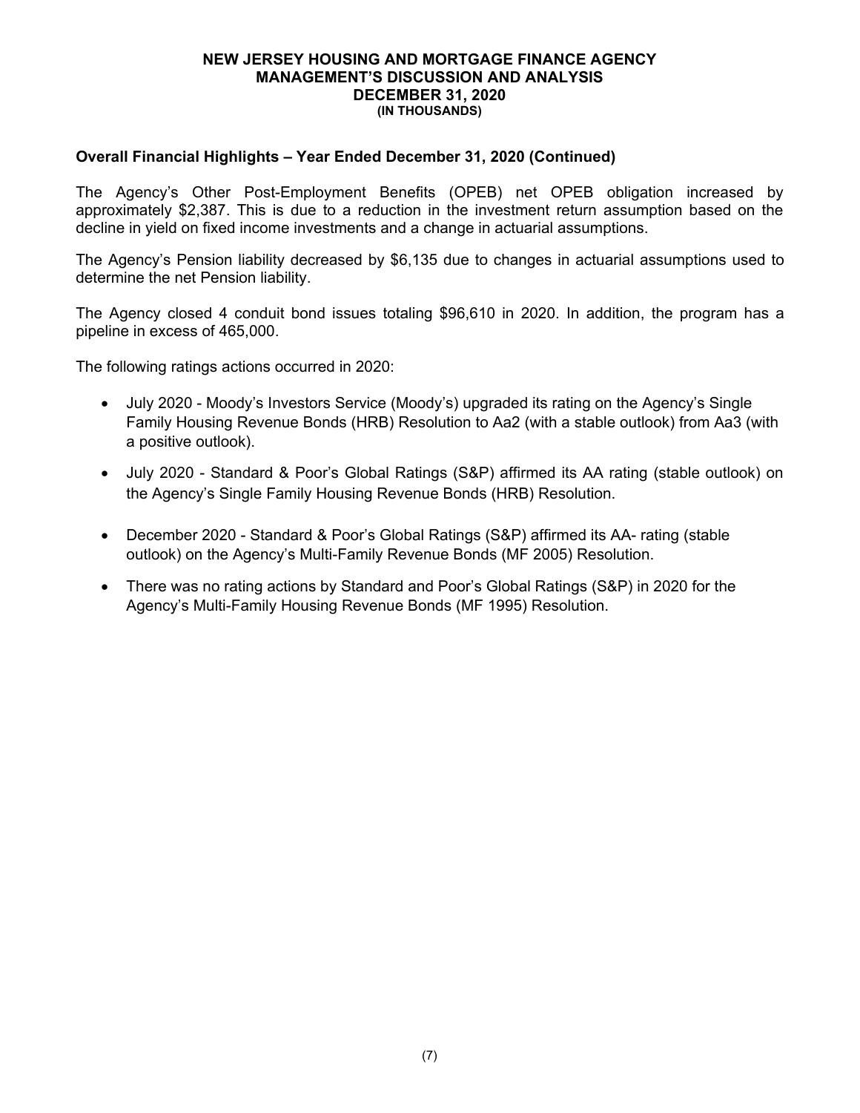## **Overall Financial Highlights – Year Ended December 31, 2020 (Continued)**

The Agency's Other Post-Employment Benefits (OPEB) net OPEB obligation increased by approximately \$2,387. This is due to a reduction in the investment return assumption based on the decline in yield on fixed income investments and a change in actuarial assumptions.

The Agency's Pension liability decreased by \$6,135 due to changes in actuarial assumptions used to determine the net Pension liability.

The Agency closed 4 conduit bond issues totaling \$96,610 in 2020. In addition, the program has a pipeline in excess of 465,000.

The following ratings actions occurred in 2020:

- July 2020 Moody's Investors Service (Moody's) upgraded its rating on the Agency's Single Family Housing Revenue Bonds (HRB) Resolution to Aa2 (with a stable outlook) from Aa3 (with a positive outlook).
- July 2020 Standard & Poor's Global Ratings (S&P) affirmed its AA rating (stable outlook) on the Agency's Single Family Housing Revenue Bonds (HRB) Resolution.
- December 2020 Standard & Poor's Global Ratings (S&P) affirmed its AA- rating (stable outlook) on the Agency's Multi-Family Revenue Bonds (MF 2005) Resolution.
- There was no rating actions by Standard and Poor's Global Ratings (S&P) in 2020 for the Agency's Multi-Family Housing Revenue Bonds (MF 1995) Resolution.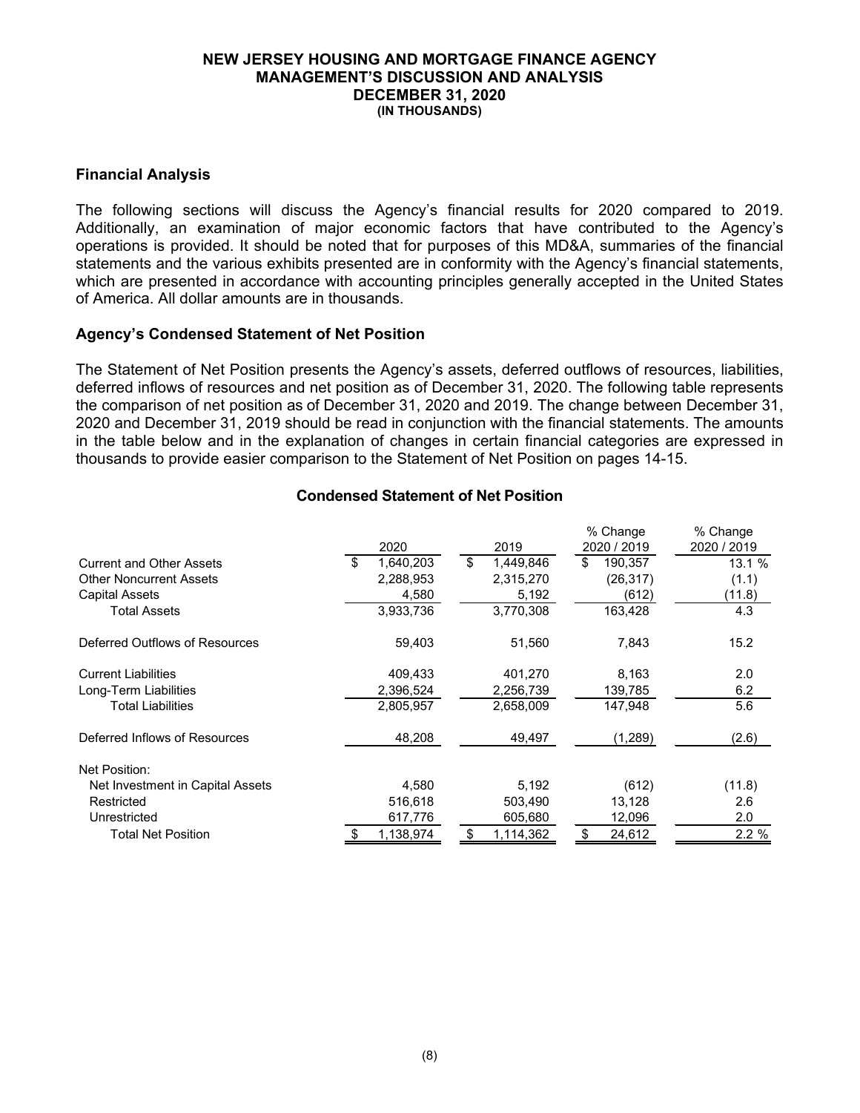## **Financial Analysis**

The following sections will discuss the Agency's financial results for 2020 compared to 2019. Additionally, an examination of major economic factors that have contributed to the Agency's operations is provided. It should be noted that for purposes of this MD&A, summaries of the financial statements and the various exhibits presented are in conformity with the Agency's financial statements, which are presented in accordance with accounting principles generally accepted in the United States of America. All dollar amounts are in thousands.

## **Agency's Condensed Statement of Net Position**

The Statement of Net Position presents the Agency's assets, deferred outflows of resources, liabilities, deferred inflows of resources and net position as of December 31, 2020. The following table represents the comparison of net position as of December 31, 2020 and 2019. The change between December 31, 2020 and December 31, 2019 should be read in conjunction with the financial statements. The amounts in the table below and in the explanation of changes in certain financial categories are expressed in thousands to provide easier comparison to the Statement of Net Position on pages 14-15.

## **Condensed Statement of Net Position**

|                                  |                 |                 | % Change      | % Change    |
|----------------------------------|-----------------|-----------------|---------------|-------------|
|                                  | 2020            | 2019            | 2020 / 2019   | 2020 / 2019 |
| <b>Current and Other Assets</b>  | 1,640,203       | \$<br>1,449,846 | \$<br>190,357 | 13.1 %      |
| <b>Other Noncurrent Assets</b>   | 2,288,953       | 2,315,270       | (26, 317)     | (1.1)       |
| Capital Assets                   | 4,580           | 5,192           | (612)         | (11.8)      |
| <b>Total Assets</b>              | 3,933,736       | 3,770,308       | 163.428       | 4.3         |
| Deferred Outflows of Resources   | 59,403          | 51,560          | 7,843         | 15.2        |
| <b>Current Liabilities</b>       | 409,433         | 401,270         | 8,163         | 2.0         |
| Long-Term Liabilities            | 2,396,524       | 2,256,739       | 139,785       | 6.2         |
| <b>Total Liabilities</b>         | 2,805,957       | 2,658,009       | 147,948       | 5.6         |
| Deferred Inflows of Resources    | 48,208          | 49,497          | (1,289)       | (2.6)       |
| Net Position:                    |                 |                 |               |             |
| Net Investment in Capital Assets | 4,580           | 5,192           | (612)         | (11.8)      |
| Restricted                       | 516,618         | 503,490         | 13,128        | 2.6         |
| Unrestricted                     | 617,776         | 605,680         | 12,096        | 2.0         |
| <b>Total Net Position</b>        | \$<br>1,138,974 | \$<br>1,114,362 | \$<br>24,612  | 2.2%        |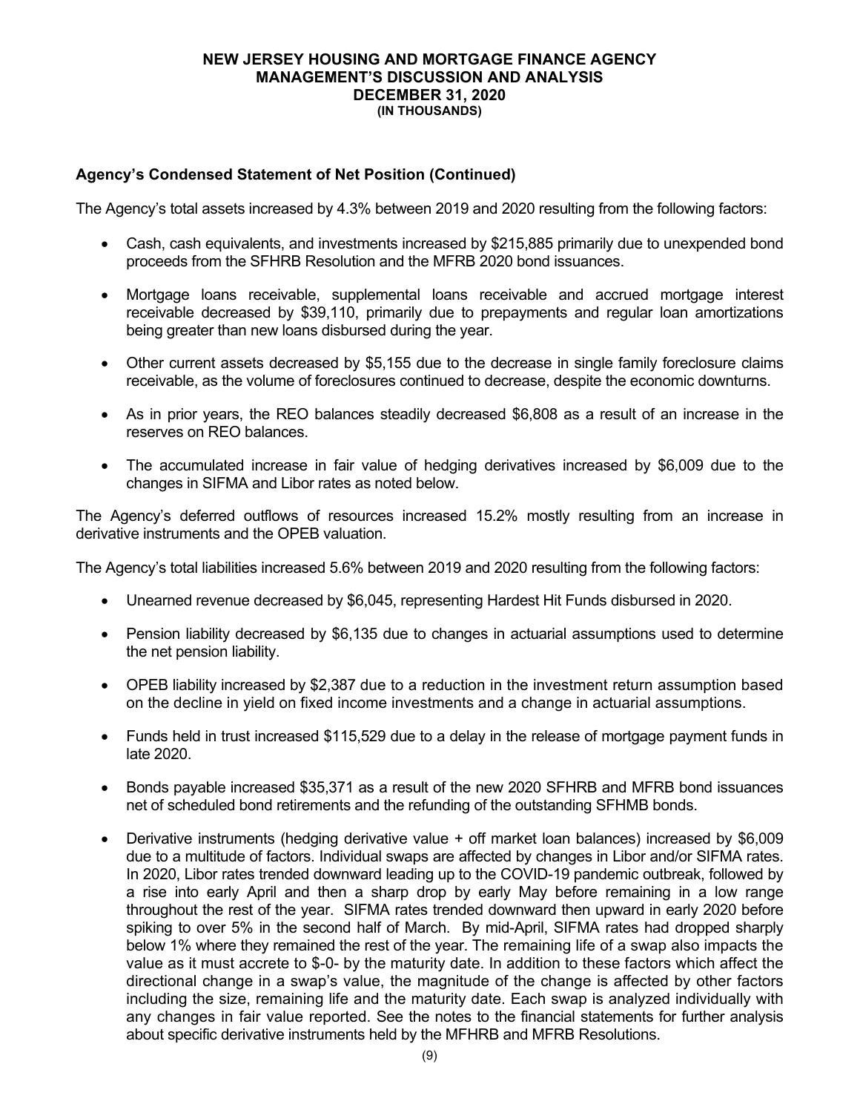# **Agency's Condensed Statement of Net Position (Continued)**

The Agency's total assets increased by 4.3% between 2019 and 2020 resulting from the following factors:

- Cash, cash equivalents, and investments increased by \$215,885 primarily due to unexpended bond proceeds from the SFHRB Resolution and the MFRB 2020 bond issuances.
- Mortgage loans receivable, supplemental loans receivable and accrued mortgage interest receivable decreased by \$39,110, primarily due to prepayments and regular loan amortizations being greater than new loans disbursed during the year.
- Other current assets decreased by \$5,155 due to the decrease in single family foreclosure claims receivable, as the volume of foreclosures continued to decrease, despite the economic downturns.
- As in prior years, the REO balances steadily decreased \$6,808 as a result of an increase in the reserves on REO balances.
- The accumulated increase in fair value of hedging derivatives increased by \$6,009 due to the changes in SIFMA and Libor rates as noted below.

The Agency's deferred outflows of resources increased 15.2% mostly resulting from an increase in derivative instruments and the OPEB valuation.

The Agency's total liabilities increased 5.6% between 2019 and 2020 resulting from the following factors:

- Unearned revenue decreased by \$6,045, representing Hardest Hit Funds disbursed in 2020.
- Pension liability decreased by \$6,135 due to changes in actuarial assumptions used to determine the net pension liability.
- OPEB liability increased by \$2,387 due to a reduction in the investment return assumption based on the decline in yield on fixed income investments and a change in actuarial assumptions.
- Funds held in trust increased \$115,529 due to a delay in the release of mortgage payment funds in late 2020.
- Bonds payable increased \$35,371 as a result of the new 2020 SFHRB and MFRB bond issuances net of scheduled bond retirements and the refunding of the outstanding SFHMB bonds.
- Derivative instruments (hedging derivative value + off market loan balances) increased by \$6,009 due to a multitude of factors. Individual swaps are affected by changes in Libor and/or SIFMA rates. In 2020, Libor rates trended downward leading up to the COVID-19 pandemic outbreak, followed by a rise into early April and then a sharp drop by early May before remaining in a low range throughout the rest of the year. SIFMA rates trended downward then upward in early 2020 before spiking to over 5% in the second half of March. By mid-April, SIFMA rates had dropped sharply below 1% where they remained the rest of the year. The remaining life of a swap also impacts the value as it must accrete to \$-0- by the maturity date. In addition to these factors which affect the directional change in a swap's value, the magnitude of the change is affected by other factors including the size, remaining life and the maturity date. Each swap is analyzed individually with any changes in fair value reported. See the notes to the financial statements for further analysis about specific derivative instruments held by the MFHRB and MFRB Resolutions.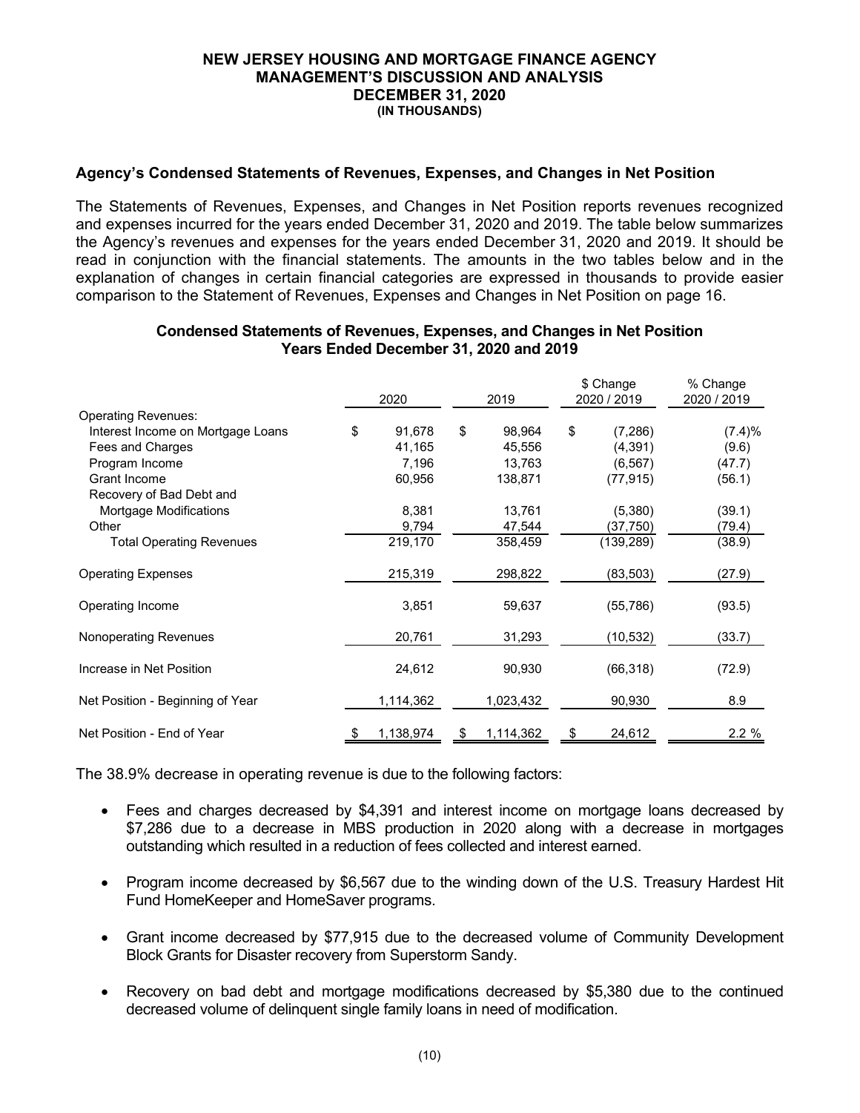## **Agency's Condensed Statements of Revenues, Expenses, and Changes in Net Position**

The Statements of Revenues, Expenses, and Changes in Net Position reports revenues recognized and expenses incurred for the years ended December 31, 2020 and 2019. The table below summarizes the Agency's revenues and expenses for the years ended December 31, 2020 and 2019. It should be read in conjunction with the financial statements. The amounts in the two tables below and in the explanation of changes in certain financial categories are expressed in thousands to provide easier comparison to the Statement of Revenues, Expenses and Changes in Net Position on page 16.

|                                   | 2020            |    | 2019      | \$ Change<br>2020 / 2019 | % Change<br>2020 / 2019 |
|-----------------------------------|-----------------|----|-----------|--------------------------|-------------------------|
| <b>Operating Revenues:</b>        |                 |    |           |                          |                         |
| Interest Income on Mortgage Loans | \$<br>91,678    | \$ | 98,964    | \$<br>(7,286)            | (7.4)%                  |
| Fees and Charges                  | 41,165          |    | 45,556    | (4, 391)                 | (9.6)                   |
| Program Income                    | 7,196           |    | 13,763    | (6, 567)                 | (47.7)                  |
| Grant Income                      | 60,956          |    | 138,871   | (77, 915)                | (56.1)                  |
| Recovery of Bad Debt and          |                 |    |           |                          |                         |
| Mortgage Modifications            | 8,381           |    | 13,761    | (5,380)                  | (39.1)                  |
| Other                             | 9,794           |    | 47,544    | (37,750)                 | (79.4)                  |
| <b>Total Operating Revenues</b>   | 219,170         |    | 358,459   | (139, 289)               | (38.9)                  |
| <b>Operating Expenses</b>         | 215,319         |    | 298,822   | (83, 503)                | (27.9)                  |
| Operating Income                  | 3,851           |    | 59,637    | (55, 786)                | (93.5)                  |
| Nonoperating Revenues             | 20,761          |    | 31,293    | (10, 532)                | (33.7)                  |
| Increase in Net Position          | 24,612          |    | 90,930    | (66, 318)                | (72.9)                  |
| Net Position - Beginning of Year  | 1,114,362       |    | 1,023,432 | 90,930                   | 8.9                     |
| Net Position - End of Year        | \$<br>1,138,974 | S  | 1,114,362 | \$<br>24,612             | 2.2%                    |

#### **Condensed Statements of Revenues, Expenses, and Changes in Net Position Years Ended December 31, 2020 and 2019**

The 38.9% decrease in operating revenue is due to the following factors:

- Fees and charges decreased by \$4,391 and interest income on mortgage loans decreased by \$7,286 due to a decrease in MBS production in 2020 along with a decrease in mortgages outstanding which resulted in a reduction of fees collected and interest earned.
- Program income decreased by \$6,567 due to the winding down of the U.S. Treasury Hardest Hit Fund HomeKeeper and HomeSaver programs.
- Grant income decreased by \$77,915 due to the decreased volume of Community Development Block Grants for Disaster recovery from Superstorm Sandy.
- Recovery on bad debt and mortgage modifications decreased by \$5,380 due to the continued decreased volume of delinquent single family loans in need of modification.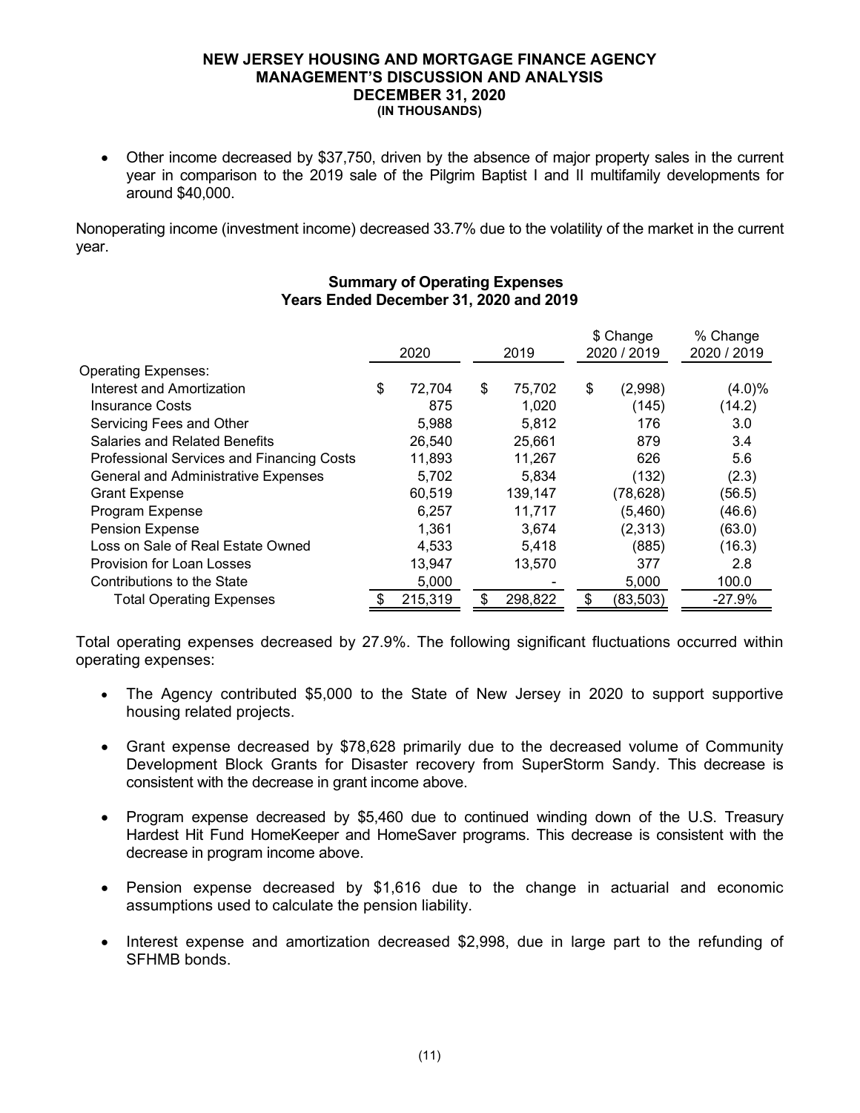Other income decreased by \$37,750, driven by the absence of major property sales in the current year in comparison to the 2019 sale of the Pilgrim Baptist I and II multifamily developments for around \$40,000.

Nonoperating income (investment income) decreased 33.7% due to the volatility of the market in the current year.

|                                            | 2020          | 2019         |    | \$ Change<br>2020 / 2019 | % Change<br>2020 / 2019 |
|--------------------------------------------|---------------|--------------|----|--------------------------|-------------------------|
| <b>Operating Expenses:</b>                 |               |              |    |                          |                         |
| Interest and Amortization                  | \$<br>72,704  | \$<br>75,702 | \$ | (2,998)                  | $(4.0)\%$               |
| <b>Insurance Costs</b>                     | 875           | 1.020        |    | (145)                    | (14.2)                  |
| Servicing Fees and Other                   | 5,988         | 5,812        |    | 176                      | 3.0                     |
| <b>Salaries and Related Benefits</b>       | 26,540        | 25,661       |    | 879                      | 3.4                     |
| Professional Services and Financing Costs  | 11,893        | 11,267       |    | 626                      | 5.6                     |
| <b>General and Administrative Expenses</b> | 5,702         | 5,834        |    | (132)                    | (2.3)                   |
| <b>Grant Expense</b>                       | 60,519        | 139,147      |    | (78, 628)                | (56.5)                  |
| Program Expense                            | 6,257         | 11,717       |    | (5,460)                  | (46.6)                  |
| <b>Pension Expense</b>                     | 1,361         | 3.674        |    | (2,313)                  | (63.0)                  |
| Loss on Sale of Real Estate Owned          | 4,533         | 5,418        |    | (885)                    | (16.3)                  |
| Provision for Loan Losses                  | 13,947        | 13,570       |    | 377                      | 2.8                     |
| Contributions to the State                 | 5,000         |              |    | 5,000                    | 100.0                   |
| <b>Total Operating Expenses</b>            | \$<br>215,319 | 298,822      | S  | (83,503)                 | $-27.9%$                |

# **Summary of Operating Expenses Years Ended December 31, 2020 and 2019**

Total operating expenses decreased by 27.9%. The following significant fluctuations occurred within operating expenses:

- The Agency contributed \$5,000 to the State of New Jersey in 2020 to support supportive housing related projects.
- Grant expense decreased by \$78,628 primarily due to the decreased volume of Community Development Block Grants for Disaster recovery from SuperStorm Sandy. This decrease is consistent with the decrease in grant income above.
- Program expense decreased by \$5,460 due to continued winding down of the U.S. Treasury Hardest Hit Fund HomeKeeper and HomeSaver programs. This decrease is consistent with the decrease in program income above.
- Pension expense decreased by \$1,616 due to the change in actuarial and economic assumptions used to calculate the pension liability.
- Interest expense and amortization decreased \$2,998, due in large part to the refunding of SFHMB bonds.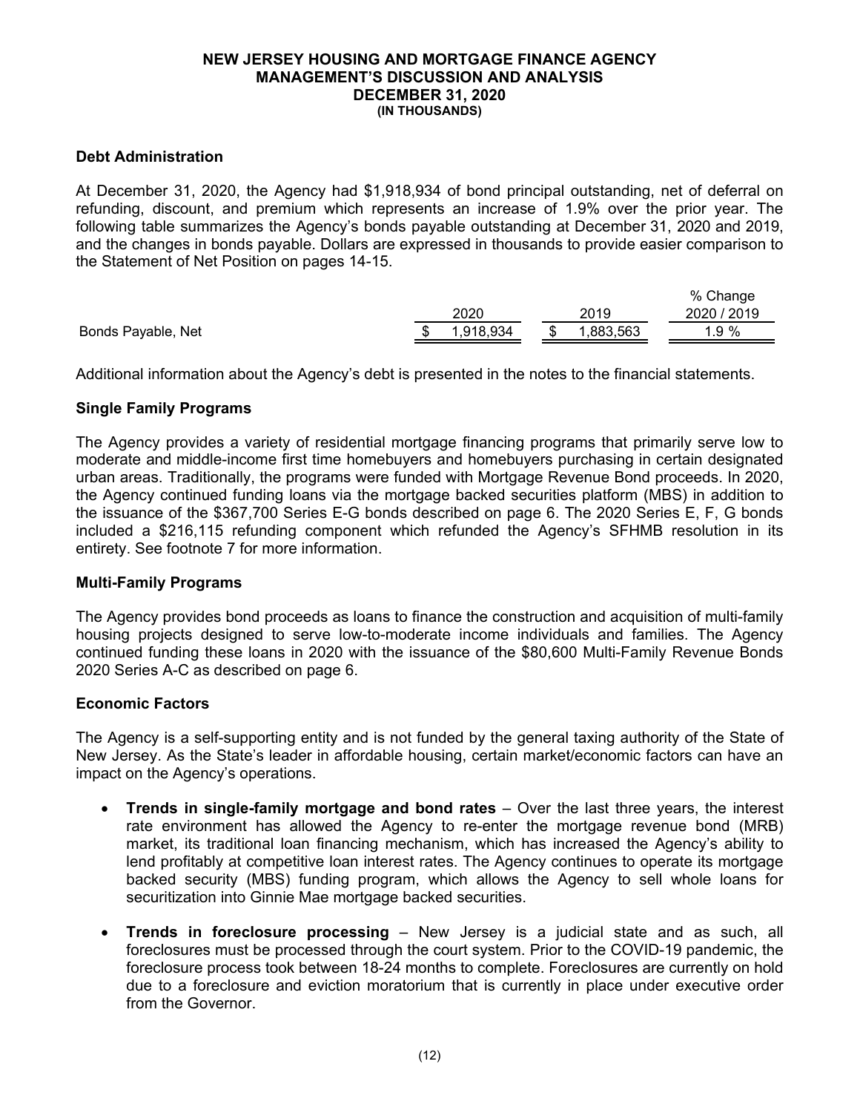## **Debt Administration**

At December 31, 2020, the Agency had \$1,918,934 of bond principal outstanding, net of deferral on refunding, discount, and premium which represents an increase of 1.9% over the prior year. The following table summarizes the Agency's bonds payable outstanding at December 31, 2020 and 2019, and the changes in bonds payable. Dollars are expressed in thousands to provide easier comparison to the Statement of Net Position on pages 14-15.

|                    |           |          | % Change    |
|--------------------|-----------|----------|-------------|
|                    | 2020      | 2019     | 2020 / 2019 |
| Bonds Payable, Net | 1,918,934 | ,883,563 | i .9 %      |

Additional information about the Agency's debt is presented in the notes to the financial statements.

## **Single Family Programs**

The Agency provides a variety of residential mortgage financing programs that primarily serve low to moderate and middle-income first time homebuyers and homebuyers purchasing in certain designated urban areas. Traditionally, the programs were funded with Mortgage Revenue Bond proceeds. In 2020, the Agency continued funding loans via the mortgage backed securities platform (MBS) in addition to the issuance of the \$367,700 Series E-G bonds described on page 6. The 2020 Series E, F, G bonds included a \$216,115 refunding component which refunded the Agency's SFHMB resolution in its entirety. See footnote 7 for more information.

### **Multi-Family Programs**

The Agency provides bond proceeds as loans to finance the construction and acquisition of multi-family housing projects designed to serve low-to-moderate income individuals and families. The Agency continued funding these loans in 2020 with the issuance of the \$80,600 Multi-Family Revenue Bonds 2020 Series A-C as described on page 6.

### **Economic Factors**

The Agency is a self-supporting entity and is not funded by the general taxing authority of the State of New Jersey. As the State's leader in affordable housing, certain market/economic factors can have an impact on the Agency's operations.

- **Trends in single-family mortgage and bond rates** Over the last three years, the interest rate environment has allowed the Agency to re-enter the mortgage revenue bond (MRB) market, its traditional loan financing mechanism, which has increased the Agency's ability to lend profitably at competitive loan interest rates. The Agency continues to operate its mortgage backed security (MBS) funding program, which allows the Agency to sell whole loans for securitization into Ginnie Mae mortgage backed securities.
- **Trends in foreclosure processing New Jersey is a judicial state and as such, all** foreclosures must be processed through the court system. Prior to the COVID-19 pandemic, the foreclosure process took between 18-24 months to complete. Foreclosures are currently on hold due to a foreclosure and eviction moratorium that is currently in place under executive order from the Governor.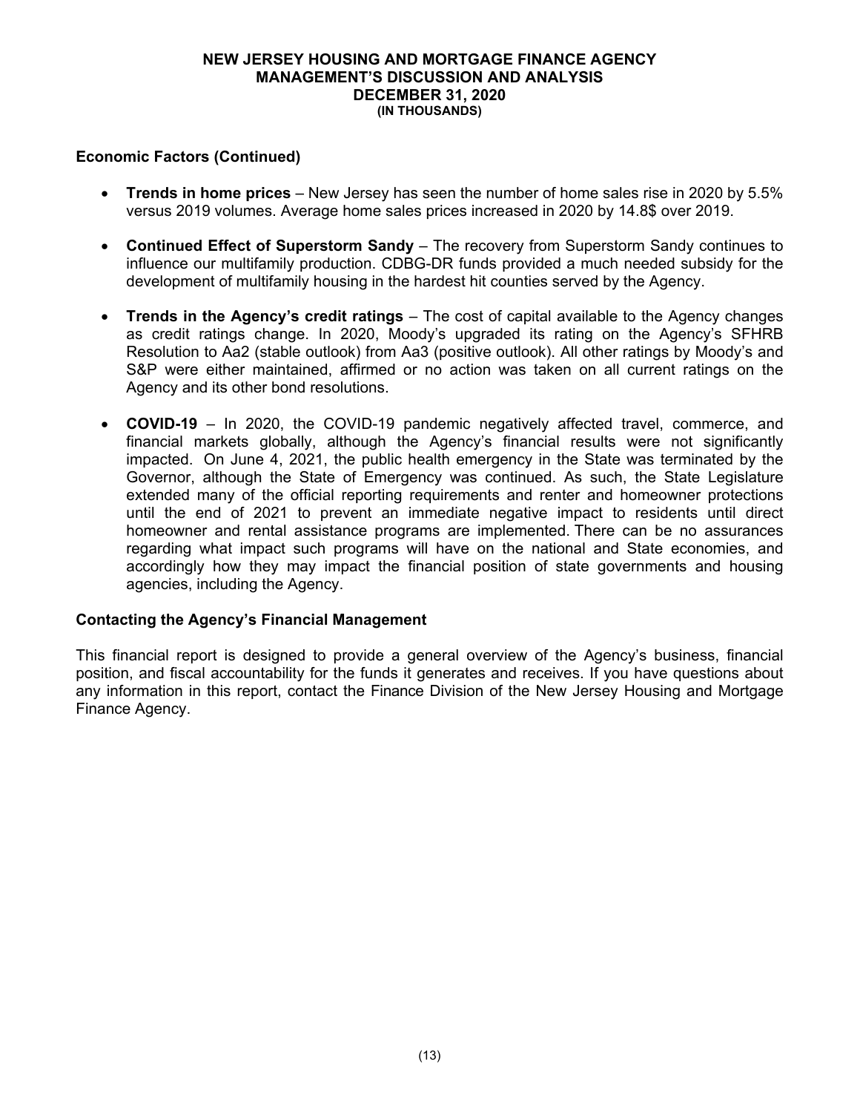## **Economic Factors (Continued)**

- **Trends in home prices**  New Jersey has seen the number of home sales rise in 2020 by 5.5% versus 2019 volumes. Average home sales prices increased in 2020 by 14.8\$ over 2019.
- **Continued Effect of Superstorm Sandy** The recovery from Superstorm Sandy continues to influence our multifamily production. CDBG-DR funds provided a much needed subsidy for the development of multifamily housing in the hardest hit counties served by the Agency.
- **Trends in the Agency's credit ratings**  The cost of capital available to the Agency changes as credit ratings change. In 2020, Moody's upgraded its rating on the Agency's SFHRB Resolution to Aa2 (stable outlook) from Aa3 (positive outlook). All other ratings by Moody's and S&P were either maintained, affirmed or no action was taken on all current ratings on the Agency and its other bond resolutions.
- **COVID-19** In 2020, the COVID-19 pandemic negatively affected travel, commerce, and financial markets globally, although the Agency's financial results were not significantly impacted. On June 4, 2021, the public health emergency in the State was terminated by the Governor, although the State of Emergency was continued. As such, the State Legislature extended many of the official reporting requirements and renter and homeowner protections until the end of 2021 to prevent an immediate negative impact to residents until direct homeowner and rental assistance programs are implemented. There can be no assurances regarding what impact such programs will have on the national and State economies, and accordingly how they may impact the financial position of state governments and housing agencies, including the Agency.

# **Contacting the Agency's Financial Management**

This financial report is designed to provide a general overview of the Agency's business, financial position, and fiscal accountability for the funds it generates and receives. If you have questions about any information in this report, contact the Finance Division of the New Jersey Housing and Mortgage Finance Agency.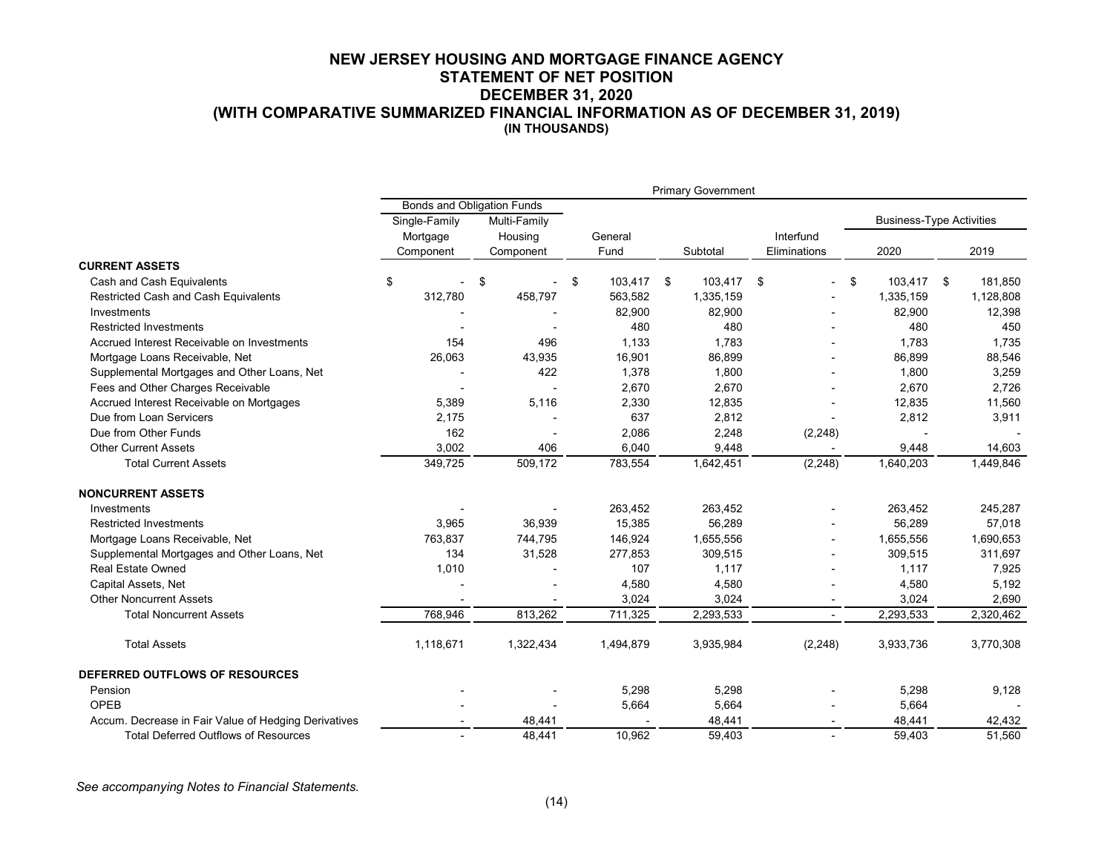#### **NEW JERSEY HOUSING AND MORTGAGE FINANCE AGENCY STATEMENT OF NET POSITION DECEMBER 31, 2020 (WITH COMPARATIVE SUMMARIZED FINANCIAL INFORMATION AS OF DECEMBER 31, 2019) (IN THOUSANDS)**

|                                                      |                |                                   |               | <b>Primary Government</b> |                |                  |                                 |
|------------------------------------------------------|----------------|-----------------------------------|---------------|---------------------------|----------------|------------------|---------------------------------|
|                                                      |                | <b>Bonds and Obligation Funds</b> |               |                           |                |                  |                                 |
|                                                      | Single-Family  | Multi-Family                      |               |                           |                |                  | <b>Business-Type Activities</b> |
|                                                      | Mortgage       | Housing                           | General       |                           | Interfund      |                  |                                 |
|                                                      | Component      | Component                         | Fund          | Subtotal                  | Eliminations   | 2020             | 2019                            |
| <b>CURRENT ASSETS</b>                                |                |                                   |               |                           |                |                  |                                 |
| Cash and Cash Equivalents                            | \$             | \$                                | \$<br>103,417 | <b>S</b><br>103,417 \$    |                | \$<br>103,417 \$ | 181,850                         |
| Restricted Cash and Cash Equivalents                 | 312,780        | 458,797                           | 563,582       | 1,335,159                 |                | 1,335,159        | 1,128,808                       |
| Investments                                          |                |                                   | 82,900        | 82,900                    |                | 82,900           | 12,398                          |
| <b>Restricted Investments</b>                        |                |                                   | 480           | 480                       |                | 480              | 450                             |
| Accrued Interest Receivable on Investments           | 154            | 496                               | 1,133         | 1,783                     |                | 1,783            | 1,735                           |
| Mortgage Loans Receivable, Net                       | 26,063         | 43,935                            | 16,901        | 86,899                    |                | 86,899           | 88,546                          |
| Supplemental Mortgages and Other Loans, Net          |                | 422                               | 1,378         | 1,800                     |                | 1,800            | 3,259                           |
| Fees and Other Charges Receivable                    |                |                                   | 2,670         | 2,670                     |                | 2,670            | 2,726                           |
| Accrued Interest Receivable on Mortgages             | 5,389          | 5,116                             | 2,330         | 12,835                    |                | 12,835           | 11,560                          |
| Due from Loan Servicers                              | 2,175          |                                   | 637           | 2,812                     |                | 2,812            | 3,911                           |
| Due from Other Funds                                 | 162            |                                   | 2,086         | 2,248                     | (2, 248)       |                  |                                 |
| <b>Other Current Assets</b>                          | 3,002          | 406                               | 6,040         | 9,448                     |                | 9,448            | 14,603                          |
| <b>Total Current Assets</b>                          | 349,725        | 509,172                           | 783,554       | 1,642,451                 | (2, 248)       | 1,640,203        | 1,449,846                       |
| <b>NONCURRENT ASSETS</b>                             |                |                                   |               |                           |                |                  |                                 |
| Investments                                          |                |                                   | 263,452       | 263,452                   |                | 263,452          | 245,287                         |
| <b>Restricted Investments</b>                        | 3,965          | 36,939                            | 15,385        | 56,289                    |                | 56,289           | 57,018                          |
| Mortgage Loans Receivable, Net                       | 763,837        | 744,795                           | 146,924       | 1,655,556                 |                | 1,655,556        | 1,690,653                       |
| Supplemental Mortgages and Other Loans, Net          | 134            | 31,528                            | 277,853       | 309,515                   |                | 309.515          | 311,697                         |
| <b>Real Estate Owned</b>                             | 1,010          |                                   | 107           | 1,117                     |                | 1,117            | 7,925                           |
| Capital Assets, Net                                  |                |                                   | 4,580         | 4,580                     |                | 4,580            | 5,192                           |
| <b>Other Noncurrent Assets</b>                       |                |                                   | 3,024         | 3,024                     |                | 3,024            | 2,690                           |
| <b>Total Noncurrent Assets</b>                       | 768,946        | 813,262                           | 711,325       | 2,293,533                 | $\blacksquare$ | 2,293,533        | 2,320,462                       |
| <b>Total Assets</b>                                  | 1,118,671      | 1,322,434                         | 1,494,879     | 3,935,984                 | (2, 248)       | 3,933,736        | 3,770,308                       |
| DEFERRED OUTFLOWS OF RESOURCES                       |                |                                   |               |                           |                |                  |                                 |
| Pension                                              |                |                                   | 5,298         | 5,298                     |                | 5,298            | 9,128                           |
| OPEB                                                 |                |                                   | 5,664         | 5,664                     |                | 5,664            |                                 |
| Accum. Decrease in Fair Value of Hedging Derivatives |                | 48,441                            |               | 48,441                    |                | 48,441           | 42,432                          |
| <b>Total Deferred Outflows of Resources</b>          | $\overline{a}$ | 48.441                            | 10.962        | 59.403                    |                | 59.403           | 51,560                          |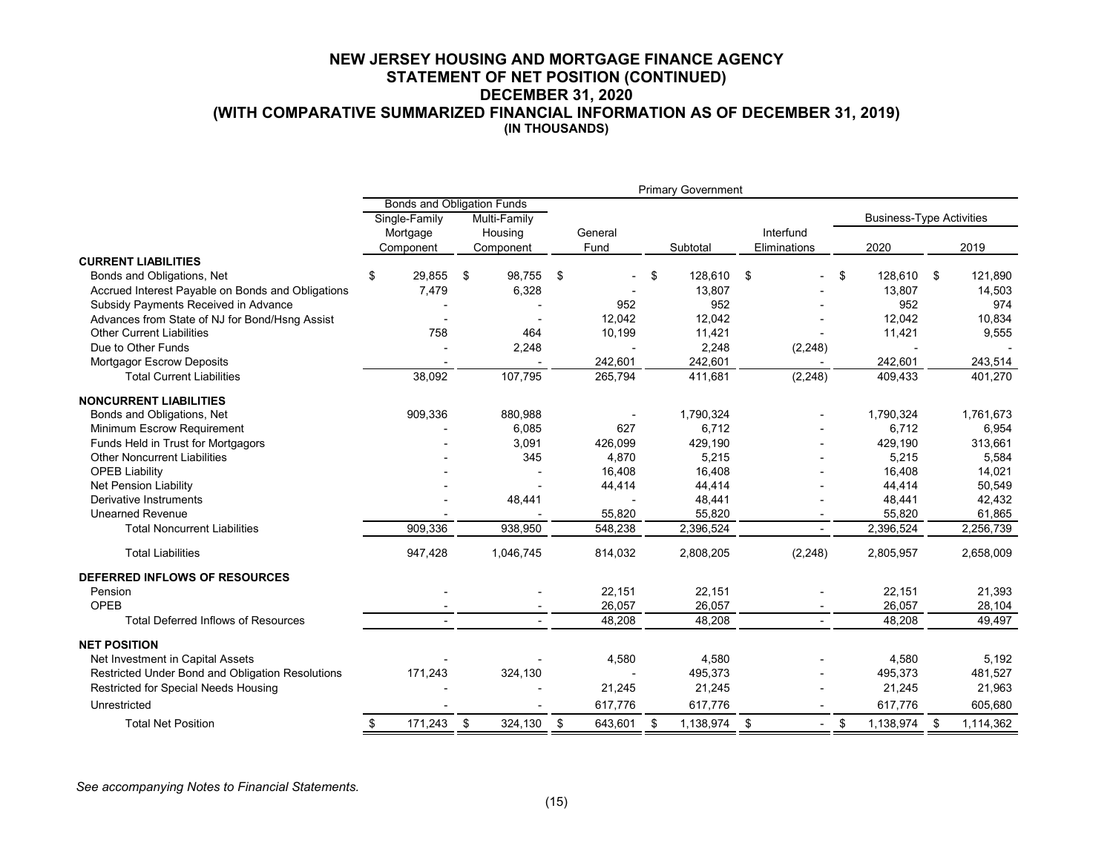#### **NEW JERSEY HOUSING AND MORTGAGE FINANCE AGENCY STATEMENT OF NET POSITION (CONTINUED) DECEMBER 31, 2020 (WITH COMPARATIVE SUMMARIZED FINANCIAL INFORMATION AS OF DECEMBER 31, 2019) (IN THOUSANDS)**

|                                                   |                       |         |                                   |                 |          | <b>Primary Government</b> |                           |              |                                 |                 |
|---------------------------------------------------|-----------------------|---------|-----------------------------------|-----------------|----------|---------------------------|---------------------------|--------------|---------------------------------|-----------------|
|                                                   |                       |         | <b>Bonds and Obligation Funds</b> |                 |          |                           |                           |              |                                 |                 |
|                                                   | Single-Family         |         | Multi-Family                      |                 |          |                           |                           |              | <b>Business-Type Activities</b> |                 |
|                                                   | Mortgage<br>Component |         | Housing<br>Component              | General<br>Fund | Subtotal |                           | Interfund<br>Eliminations |              | 2020                            | 2019            |
| <b>CURRENT LIABILITIES</b>                        |                       |         |                                   |                 |          |                           |                           |              |                                 |                 |
| Bonds and Obligations, Net                        | \$                    | 29,855  | \$<br>98,755                      | \$              | \$       | 128,610                   | \$                        |              | \$<br>128,610                   | \$<br>121,890   |
| Accrued Interest Payable on Bonds and Obligations |                       | 7,479   | 6,328                             |                 |          | 13,807                    |                           |              | 13,807                          | 14,503          |
| Subsidy Payments Received in Advance              |                       |         |                                   | 952             |          | 952                       |                           |              | 952                             | 974             |
| Advances from State of NJ for Bond/Hsng Assist    |                       |         |                                   | 12,042          |          | 12,042                    |                           |              | 12,042                          | 10,834          |
| <b>Other Current Liabilities</b>                  |                       | 758     | 464                               | 10,199          |          | 11,421                    |                           |              | 11,421                          | 9,555           |
| Due to Other Funds                                |                       |         | 2,248                             |                 |          | 2,248                     |                           | (2, 248)     |                                 |                 |
| Mortgagor Escrow Deposits                         |                       |         |                                   | 242,601         |          | 242,601                   |                           |              | 242,601                         | 243,514         |
| <b>Total Current Liabilities</b>                  |                       | 38,092  | 107,795                           | 265,794         |          | 411,681                   |                           | (2, 248)     | 409,433                         | 401,270         |
| <b>NONCURRENT LIABILITIES</b>                     |                       |         |                                   |                 |          |                           |                           |              |                                 |                 |
| Bonds and Obligations, Net                        |                       | 909,336 | 880,988                           |                 |          | 1,790,324                 |                           |              | 1,790,324                       | 1,761,673       |
| Minimum Escrow Requirement                        |                       |         | 6,085                             | 627             |          | 6,712                     |                           |              | 6,712                           | 6,954           |
| Funds Held in Trust for Mortgagors                |                       |         | 3,091                             | 426,099         |          | 429,190                   |                           |              | 429,190                         | 313,661         |
| <b>Other Noncurrent Liabilities</b>               |                       |         | 345                               | 4,870           |          | 5,215                     |                           |              | 5,215                           | 5,584           |
| <b>OPEB Liability</b>                             |                       |         |                                   | 16,408          |          | 16,408                    |                           |              | 16,408                          | 14,021          |
| Net Pension Liability                             |                       |         |                                   | 44,414          |          | 44,414                    |                           |              | 44,414                          | 50,549          |
| Derivative Instruments                            |                       |         | 48,441                            |                 |          | 48,441                    |                           |              | 48,441                          | 42,432          |
| <b>Unearned Revenue</b>                           |                       |         |                                   | 55,820          |          | 55,820                    |                           |              | 55,820                          | 61,865          |
| <b>Total Noncurrent Liabilities</b>               |                       | 909.336 | 938.950                           | 548,238         |          | 2,396,524                 |                           |              | 2,396,524                       | 2,256,739       |
| <b>Total Liabilities</b>                          |                       | 947,428 | 1,046,745                         | 814,032         |          | 2,808,205                 |                           | (2, 248)     | 2,805,957                       | 2,658,009       |
| DEFERRED INFLOWS OF RESOURCES                     |                       |         |                                   |                 |          |                           |                           |              |                                 |                 |
| Pension                                           |                       |         |                                   | 22,151          |          | 22,151                    |                           |              | 22,151                          | 21,393          |
| OPEB                                              |                       |         |                                   | 26,057          |          | 26,057                    |                           |              | 26,057                          | 28,104          |
| <b>Total Deferred Inflows of Resources</b>        |                       |         |                                   | 48,208          |          | 48,208                    |                           |              | 48,208                          | 49.497          |
| <b>NET POSITION</b>                               |                       |         |                                   |                 |          |                           |                           |              |                                 |                 |
| Net Investment in Capital Assets                  |                       |         |                                   | 4,580           |          | 4,580                     |                           |              | 4,580                           | 5,192           |
| Restricted Under Bond and Obligation Resolutions  |                       | 171,243 | 324,130                           |                 |          | 495,373                   |                           |              | 495,373                         | 481,527         |
| Restricted for Special Needs Housing              |                       |         |                                   | 21,245          |          | 21,245                    |                           |              | 21,245                          | 21,963          |
| Unrestricted                                      |                       |         |                                   | 617,776         |          | 617,776                   |                           |              | 617,776                         | 605,680         |
| <b>Total Net Position</b>                         | \$                    | 171,243 | \$<br>324,130                     | \$<br>643,601   | \$       | 1,138,974                 | \$                        | $\mathbf{r}$ | \$<br>1,138,974                 | \$<br>1,114,362 |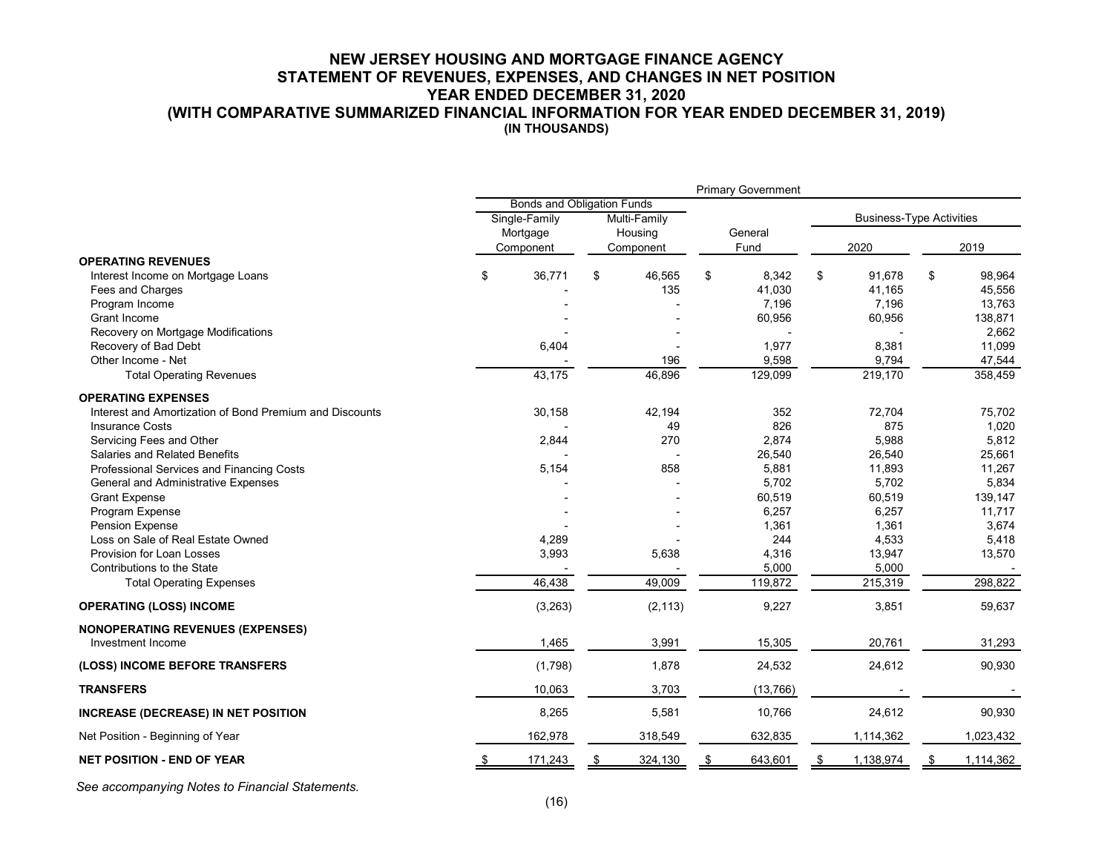#### **NEW JERSEY HOUSING AND MORTGAGE FINANCE AGENCY STATEMENT OF REVENUES, EXPENSES, AND CHANGES IN NET POSITION YEAR ENDED DECEMBER 31, 2020 (WITH COMPARATIVE SUMMARIZED FINANCIAL INFORMATION FOR YEAR ENDED DECEMBER 31, 2019) (IN THOUSANDS)**

|                                                         |            |                                   |                          | <b>Primary Government</b> |                                 |              |
|---------------------------------------------------------|------------|-----------------------------------|--------------------------|---------------------------|---------------------------------|--------------|
|                                                         |            | <b>Bonds and Obligation Funds</b> |                          |                           |                                 |              |
|                                                         |            | Single-Family                     | Multi-Family             |                           | <b>Business-Type Activities</b> |              |
|                                                         |            | Mortgage<br>Component             | Housing<br>Component     | General<br>Fund           | 2020                            | 2019         |
| <b>OPERATING REVENUES</b>                               |            |                                   |                          |                           |                                 |              |
| Interest Income on Mortgage Loans                       | \$         | 36,771                            | \$<br>46,565             | \$<br>8,342               | \$<br>91,678                    | \$<br>98,964 |
| Fees and Charges                                        |            |                                   | 135                      | 41,030                    | 41,165                          | 45,556       |
| Program Income                                          |            |                                   |                          | 7,196                     | 7,196                           | 13,763       |
| <b>Grant Income</b>                                     |            |                                   |                          | 60,956                    | 60,956                          | 138,871      |
| Recovery on Mortgage Modifications                      |            |                                   |                          |                           |                                 | 2,662        |
| Recovery of Bad Debt                                    |            | 6,404                             |                          | 1,977                     | 8,381                           | 11,099       |
| Other Income - Net                                      |            |                                   | 196                      | 9,598                     | 9,794                           | 47,544       |
| <b>Total Operating Revenues</b>                         |            | 43,175                            | 46,896                   | 129,099                   | 219,170                         | 358,459      |
| <b>OPERATING EXPENSES</b>                               |            |                                   |                          |                           |                                 |              |
| Interest and Amortization of Bond Premium and Discounts |            | 30,158                            | 42,194                   | 352                       | 72,704                          | 75,702       |
| <b>Insurance Costs</b>                                  |            |                                   | 49                       | 826                       | 875                             | 1,020        |
| Servicing Fees and Other                                |            | 2,844                             | 270                      | 2,874                     | 5,988                           | 5,812        |
| Salaries and Related Benefits                           |            |                                   | $\overline{\phantom{a}}$ | 26,540                    | 26,540                          | 25,661       |
| Professional Services and Financing Costs               |            | 5,154                             | 858                      | 5,881                     | 11,893                          | 11,267       |
| General and Administrative Expenses                     |            |                                   |                          | 5,702                     | 5,702                           | 5,834        |
| <b>Grant Expense</b>                                    |            |                                   |                          | 60,519                    | 60,519                          | 139,147      |
| Program Expense                                         |            |                                   |                          | 6,257                     | 6,257                           | 11,717       |
| Pension Expense                                         |            |                                   |                          | 1,361                     | 1,361                           | 3,674        |
| Loss on Sale of Real Estate Owned                       |            | 4,289                             |                          | 244                       | 4,533                           | 5,418        |
| Provision for Loan Losses                               |            | 3,993                             | 5,638                    | 4,316                     | 13,947                          | 13,570       |
| Contributions to the State                              |            |                                   |                          | 5,000                     | 5,000                           |              |
| <b>Total Operating Expenses</b>                         |            | 46,438                            | 49,009                   | 119,872                   | 215,319                         | 298,822      |
| <b>OPERATING (LOSS) INCOME</b>                          |            | (3,263)                           | (2, 113)                 | 9,227                     | 3,851                           | 59,637       |
| <b>NONOPERATING REVENUES (EXPENSES)</b>                 |            |                                   |                          |                           |                                 |              |
| Investment Income                                       |            | 1,465                             | 3,991                    | 15,305                    | 20,761                          | 31,293       |
| (LOSS) INCOME BEFORE TRANSFERS                          |            | (1,798)                           | 1,878                    | 24,532                    | 24,612                          | 90,930       |
| <b>TRANSFERS</b>                                        |            | 10,063                            | 3,703                    | (13, 766)                 |                                 |              |
| <b>INCREASE (DECREASE) IN NET POSITION</b>              |            | 8,265                             | 5,581                    | 10,766                    | 24,612                          | 90,930       |
| Net Position - Beginning of Year                        |            | 162,978                           | 318,549                  | 632,835                   | 1,114,362                       | 1,023,432    |
| <b>NET POSITION - END OF YEAR</b>                       | $\sqrt{3}$ | 171,243                           | 324,130                  | 643,601                   | 1,138,974                       | 1,114,362    |
|                                                         |            |                                   |                          |                           |                                 |              |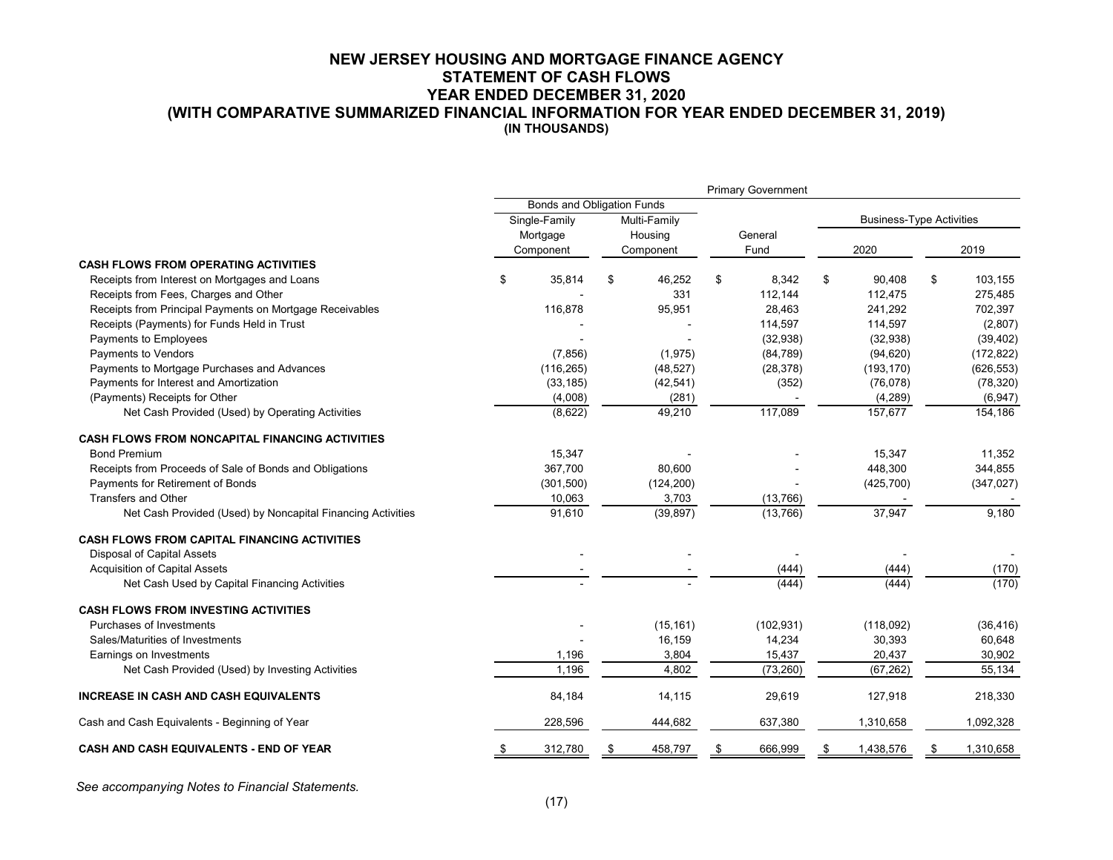#### **NEW JERSEY HOUSING AND MORTGAGE FINANCE AGENCY STATEMENT OF CASH FLOWS YEAR ENDED DECEMBER 31, 2020 (WITH COMPARATIVE SUMMARIZED FINANCIAL INFORMATION FOR YEAR ENDED DECEMBER 31, 2019) (IN THOUSANDS)**

|                                                             |                       |                                   |              |                      |    | <b>Primary Government</b> |    |                                 |      |            |
|-------------------------------------------------------------|-----------------------|-----------------------------------|--------------|----------------------|----|---------------------------|----|---------------------------------|------|------------|
|                                                             |                       | <b>Bonds and Obligation Funds</b> |              |                      |    |                           |    |                                 |      |            |
|                                                             |                       | Single-Family                     | Multi-Family |                      |    |                           |    | <b>Business-Type Activities</b> |      |            |
|                                                             | Mortgage<br>Component |                                   |              | Housing<br>Component |    | General<br>Fund           |    | 2020                            | 2019 |            |
| <b>CASH FLOWS FROM OPERATING ACTIVITIES</b>                 |                       |                                   |              |                      |    |                           |    |                                 |      |            |
| Receipts from Interest on Mortgages and Loans               | \$                    | 35,814                            | \$           | 46,252               | \$ | 8,342                     | \$ | 90,408                          | \$   | 103,155    |
| Receipts from Fees, Charges and Other                       |                       |                                   |              | 331                  |    | 112,144                   |    | 112,475                         |      | 275,485    |
| Receipts from Principal Payments on Mortgage Receivables    |                       | 116,878                           |              | 95,951               |    | 28,463                    |    | 241,292                         |      | 702,397    |
| Receipts (Payments) for Funds Held in Trust                 |                       |                                   |              |                      |    | 114,597                   |    | 114,597                         |      | (2,807)    |
| Payments to Employees                                       |                       |                                   |              |                      |    | (32, 938)                 |    | (32, 938)                       |      | (39, 402)  |
| <b>Payments to Vendors</b>                                  |                       | (7, 856)                          |              | (1, 975)             |    | (84, 789)                 |    | (94, 620)                       |      | (172, 822) |
| Payments to Mortgage Purchases and Advances                 |                       | (116, 265)                        |              | (48, 527)            |    | (28, 378)                 |    | (193, 170)                      |      | (626, 553) |
| Payments for Interest and Amortization                      |                       | (33, 185)                         |              | (42, 541)            |    | (352)                     |    | (76, 078)                       |      | (78, 320)  |
| (Payments) Receipts for Other                               |                       | (4,008)                           |              | (281)                |    |                           |    | (4, 289)                        |      | (6,947)    |
| Net Cash Provided (Used) by Operating Activities            |                       | (8,622)                           |              | 49,210               |    | 117,089                   |    | 157,677                         |      | 154,186    |
| <b>CASH FLOWS FROM NONCAPITAL FINANCING ACTIVITIES</b>      |                       |                                   |              |                      |    |                           |    |                                 |      |            |
| <b>Bond Premium</b>                                         |                       | 15,347                            |              |                      |    |                           |    | 15,347                          |      | 11,352     |
| Receipts from Proceeds of Sale of Bonds and Obligations     |                       | 367,700                           |              | 80,600               |    |                           |    | 448,300                         |      | 344,855    |
| Payments for Retirement of Bonds                            |                       | (301, 500)                        |              | (124, 200)           |    |                           |    | (425, 700)                      |      | (347, 027) |
| <b>Transfers and Other</b>                                  |                       | 10,063                            |              | 3,703                |    | (13, 766)                 |    |                                 |      |            |
| Net Cash Provided (Used) by Noncapital Financing Activities |                       | 91,610                            |              | (39, 897)            |    | (13,766)                  |    | 37,947                          |      | 9,180      |
| <b>CASH FLOWS FROM CAPITAL FINANCING ACTIVITIES</b>         |                       |                                   |              |                      |    |                           |    |                                 |      |            |
| <b>Disposal of Capital Assets</b>                           |                       |                                   |              |                      |    |                           |    |                                 |      |            |
| <b>Acquisition of Capital Assets</b>                        |                       |                                   |              |                      |    | (444)                     |    | (444)                           |      | (170)      |
| Net Cash Used by Capital Financing Activities               |                       |                                   |              |                      |    | (444)                     |    | (444)                           |      | (170)      |
| <b>CASH FLOWS FROM INVESTING ACTIVITIES</b>                 |                       |                                   |              |                      |    |                           |    |                                 |      |            |
| Purchases of Investments                                    |                       |                                   |              | (15, 161)            |    | (102, 931)                |    | (118,092)                       |      | (36, 416)  |
| Sales/Maturities of Investments                             |                       |                                   |              | 16,159               |    | 14,234                    |    | 30,393                          |      | 60,648     |
| Earnings on Investments                                     |                       | 1,196                             |              | 3,804                |    | 15,437                    |    | 20,437                          |      | 30,902     |
| Net Cash Provided (Used) by Investing Activities            |                       | 1.196                             |              | 4,802                |    | (73, 260)                 |    | (67, 262)                       |      | 55,134     |
| INCREASE IN CASH AND CASH EQUIVALENTS                       |                       | 84,184                            |              | 14,115               |    | 29,619                    |    | 127,918                         |      | 218,330    |
| Cash and Cash Equivalents - Beginning of Year               |                       | 228,596                           |              | 444,682              |    | 637,380                   |    | 1,310,658                       |      | 1,092,328  |
| <b>CASH AND CASH EQUIVALENTS - END OF YEAR</b>              |                       | 312,780                           |              | 458,797              |    | 666,999                   |    | 1,438,576                       |      | 1,310,658  |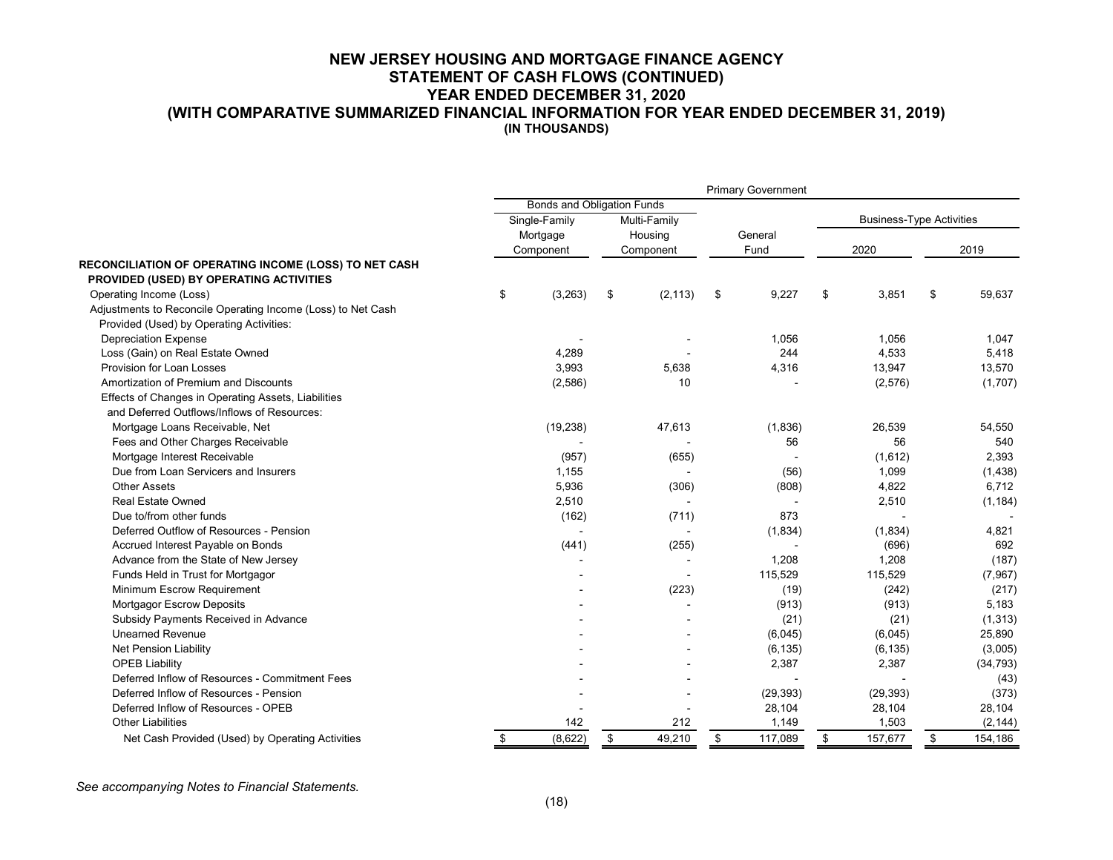#### **NEW JERSEY HOUSING AND MORTGAGE FINANCE AGENCY STATEMENT OF CASH FLOWS (CONTINUED) YEAR ENDED DECEMBER 31, 2020 (WITH COMPARATIVE SUMMARIZED FINANCIAL INFORMATION FOR YEAR ENDED DECEMBER 31, 2019) (IN THOUSANDS)**

|                                                              |                                   |                          | <b>Primary Government</b> |                                 |               |  |  |
|--------------------------------------------------------------|-----------------------------------|--------------------------|---------------------------|---------------------------------|---------------|--|--|
|                                                              | <b>Bonds and Obligation Funds</b> |                          |                           |                                 |               |  |  |
|                                                              | Single-Family                     | Multi-Family             |                           | <b>Business-Type Activities</b> |               |  |  |
|                                                              | Mortgage<br>Component             | Housing<br>Component     | General<br>Fund           | 2020                            | 2019          |  |  |
| RECONCILIATION OF OPERATING INCOME (LOSS) TO NET CASH        |                                   |                          |                           |                                 |               |  |  |
| <b>PROVIDED (USED) BY OPERATING ACTIVITIES</b>               |                                   |                          |                           |                                 |               |  |  |
| Operating Income (Loss)                                      | \$<br>(3,263)                     | \$<br>(2, 113)           | 9,227<br>\$               | \$<br>3,851                     | \$<br>59,637  |  |  |
| Adjustments to Reconcile Operating Income (Loss) to Net Cash |                                   |                          |                           |                                 |               |  |  |
| Provided (Used) by Operating Activities:                     |                                   |                          |                           |                                 |               |  |  |
| <b>Depreciation Expense</b>                                  |                                   |                          | 1,056                     | 1,056                           | 1,047         |  |  |
| Loss (Gain) on Real Estate Owned                             | 4,289                             |                          | 244                       | 4,533                           | 5,418         |  |  |
| Provision for Loan Losses                                    | 3,993                             | 5,638                    | 4,316                     | 13,947                          | 13,570        |  |  |
| Amortization of Premium and Discounts                        | (2,586)                           | 10                       |                           | (2, 576)                        | (1,707)       |  |  |
| Effects of Changes in Operating Assets, Liabilities          |                                   |                          |                           |                                 |               |  |  |
| and Deferred Outflows/Inflows of Resources:                  |                                   |                          |                           |                                 |               |  |  |
| Mortgage Loans Receivable, Net                               | (19, 238)                         | 47,613                   | (1,836)                   | 26,539                          | 54,550        |  |  |
| Fees and Other Charges Receivable                            |                                   |                          | 56                        | 56                              | 540           |  |  |
| Mortgage Interest Receivable                                 | (957)                             | (655)                    |                           | (1,612)                         | 2,393         |  |  |
| Due from Loan Servicers and Insurers                         | 1,155                             |                          | (56)                      | 1,099                           | (1, 438)      |  |  |
| <b>Other Assets</b>                                          | 5,936                             | (306)                    | (808)                     | 4,822                           | 6,712         |  |  |
| <b>Real Estate Owned</b>                                     | 2,510                             |                          |                           | 2,510                           | (1, 184)      |  |  |
| Due to/from other funds                                      | (162)                             | (711)                    | 873                       |                                 |               |  |  |
| Deferred Outflow of Resources - Pension                      |                                   |                          | (1,834)                   | (1,834)                         | 4,821         |  |  |
| Accrued Interest Payable on Bonds                            | (441)                             | (255)                    |                           | (696)                           | 692           |  |  |
| Advance from the State of New Jersey                         |                                   | $\overline{\phantom{a}}$ | 1,208                     | 1,208                           | (187)         |  |  |
| Funds Held in Trust for Mortgagor                            |                                   |                          | 115,529                   | 115,529                         | (7,967)       |  |  |
| Minimum Escrow Requirement                                   |                                   | (223)                    | (19)                      | (242)                           | (217)         |  |  |
| <b>Mortgagor Escrow Deposits</b>                             |                                   |                          | (913)                     | (913)                           | 5,183         |  |  |
| Subsidy Payments Received in Advance                         |                                   |                          | (21)                      | (21)                            | (1, 313)      |  |  |
| <b>Unearned Revenue</b>                                      |                                   |                          | (6,045)                   | (6,045)                         | 25,890        |  |  |
| Net Pension Liability                                        |                                   |                          | (6, 135)                  | (6, 135)                        | (3,005)       |  |  |
| <b>OPEB Liability</b>                                        |                                   |                          | 2,387                     | 2,387                           | (34, 793)     |  |  |
| Deferred Inflow of Resources - Commitment Fees               |                                   |                          |                           |                                 | (43)          |  |  |
| Deferred Inflow of Resources - Pension                       |                                   |                          | (29, 393)                 | (29, 393)                       | (373)         |  |  |
| Deferred Inflow of Resources - OPEB                          |                                   |                          | 28,104                    | 28,104                          | 28,104        |  |  |
| <b>Other Liabilities</b>                                     | 142                               | 212                      | 1,149                     | 1,503                           | (2, 144)      |  |  |
| Net Cash Provided (Used) by Operating Activities             | (8,622)<br>\$                     | 49,210<br>\$             | 117,089<br>\$             | \$<br>157,677                   | 154,186<br>\$ |  |  |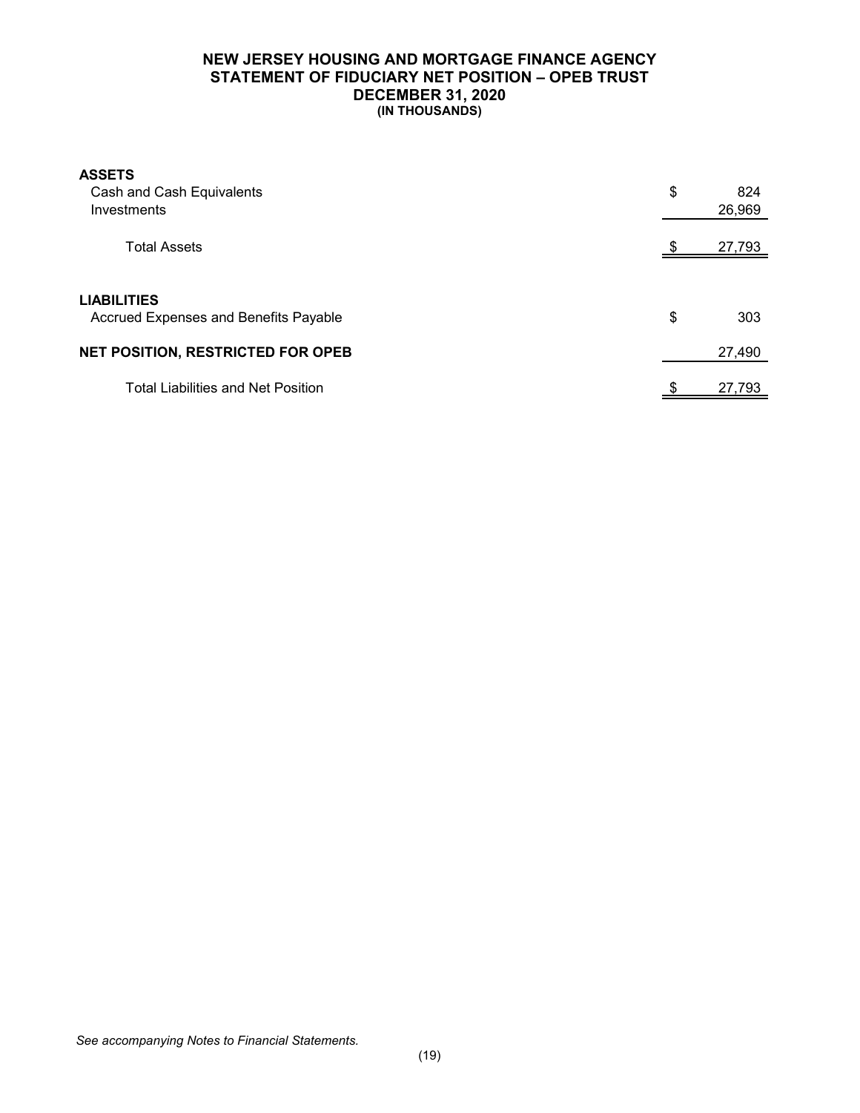## **NEW JERSEY HOUSING AND MORTGAGE FINANCE AGENCY STATEMENT OF FIDUCIARY NET POSITION – OPEB TRUST DECEMBER 31, 2020 (IN THOUSANDS)**

| <b>ASSETS</b>                             |           |
|-------------------------------------------|-----------|
| Cash and Cash Equivalents                 | \$<br>824 |
| Investments                               | 26,969    |
| <b>Total Assets</b>                       | 27,793    |
|                                           |           |
| <b>LIABILITIES</b>                        |           |
| Accrued Expenses and Benefits Payable     | \$<br>303 |
| <b>NET POSITION, RESTRICTED FOR OPEB</b>  | 27,490    |
|                                           |           |
| <b>Total Liabilities and Net Position</b> | 27,793    |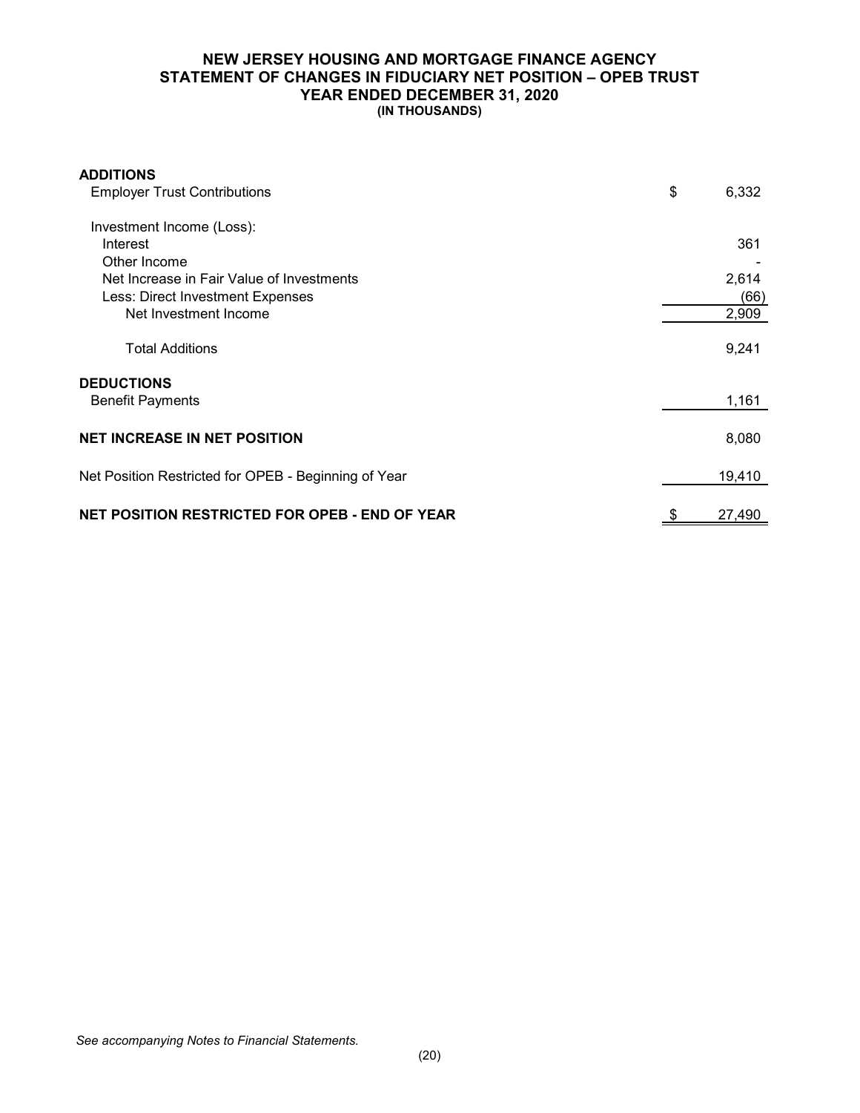## **NEW JERSEY HOUSING AND MORTGAGE FINANCE AGENCY STATEMENT OF CHANGES IN FIDUCIARY NET POSITION – OPEB TRUST YEAR ENDED DECEMBER 31, 2020 (IN THOUSANDS)**

| <b>ADDITIONS</b>                                     |              |
|------------------------------------------------------|--------------|
| <b>Employer Trust Contributions</b>                  | \$<br>6,332  |
| Investment Income (Loss):                            |              |
| Interest                                             | 361          |
| Other Income                                         |              |
| Net Increase in Fair Value of Investments            | 2,614        |
| Less: Direct Investment Expenses                     | (66)         |
| Net Investment Income                                | 2,909        |
| <b>Total Additions</b>                               | 9,241        |
| <b>DEDUCTIONS</b>                                    |              |
| <b>Benefit Payments</b>                              | 1,161        |
| <b>NET INCREASE IN NET POSITION</b>                  | 8,080        |
| Net Position Restricted for OPEB - Beginning of Year | 19,410       |
| NET POSITION RESTRICTED FOR OPEB - END OF YEAR       | \$<br>27,490 |

**ADDITIONS**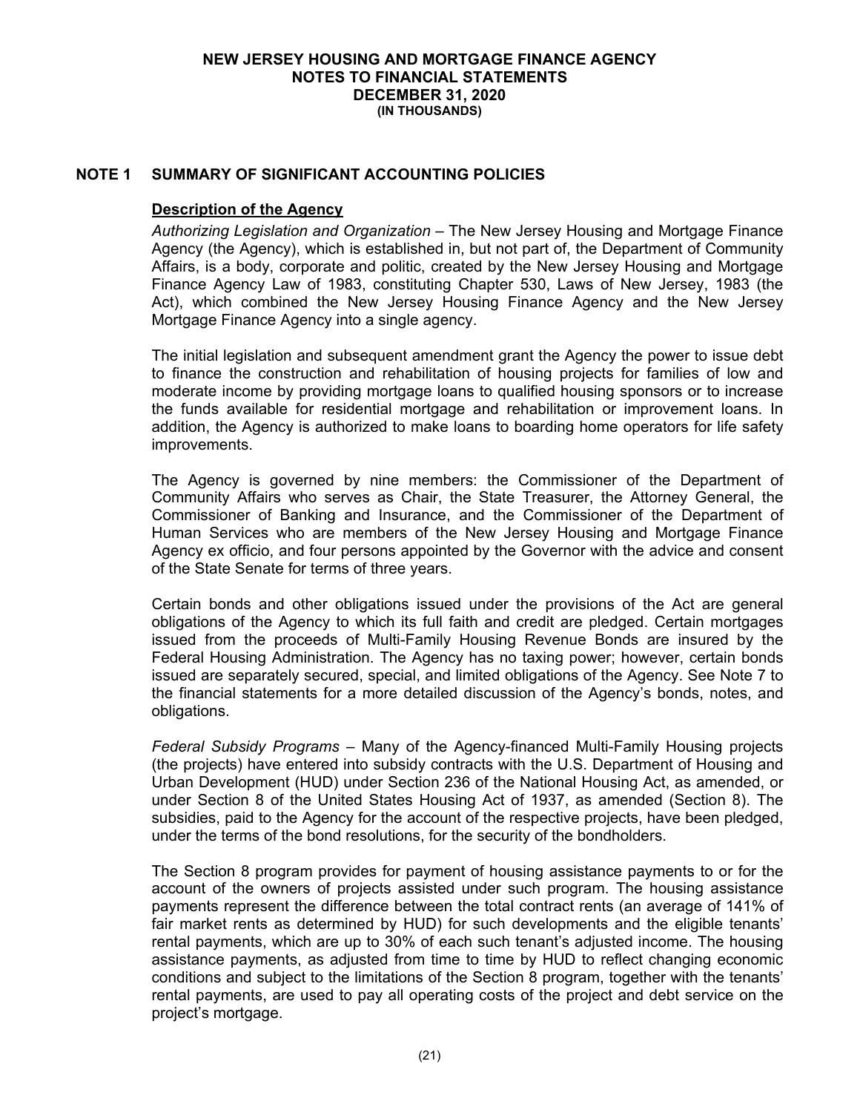## **NOTE 1 SUMMARY OF SIGNIFICANT ACCOUNTING POLICIES**

#### **Description of the Agency**

*Authorizing Legislation and Organization* – The New Jersey Housing and Mortgage Finance Agency (the Agency), which is established in, but not part of, the Department of Community Affairs, is a body, corporate and politic, created by the New Jersey Housing and Mortgage Finance Agency Law of 1983, constituting Chapter 530, Laws of New Jersey, 1983 (the Act), which combined the New Jersey Housing Finance Agency and the New Jersey Mortgage Finance Agency into a single agency.

The initial legislation and subsequent amendment grant the Agency the power to issue debt to finance the construction and rehabilitation of housing projects for families of low and moderate income by providing mortgage loans to qualified housing sponsors or to increase the funds available for residential mortgage and rehabilitation or improvement loans. In addition, the Agency is authorized to make loans to boarding home operators for life safety improvements.

The Agency is governed by nine members: the Commissioner of the Department of Community Affairs who serves as Chair, the State Treasurer, the Attorney General, the Commissioner of Banking and Insurance, and the Commissioner of the Department of Human Services who are members of the New Jersey Housing and Mortgage Finance Agency ex officio, and four persons appointed by the Governor with the advice and consent of the State Senate for terms of three years.

Certain bonds and other obligations issued under the provisions of the Act are general obligations of the Agency to which its full faith and credit are pledged. Certain mortgages issued from the proceeds of Multi-Family Housing Revenue Bonds are insured by the Federal Housing Administration. The Agency has no taxing power; however, certain bonds issued are separately secured, special, and limited obligations of the Agency. See Note 7 to the financial statements for a more detailed discussion of the Agency's bonds, notes, and obligations.

*Federal Subsidy Programs* – Many of the Agency-financed Multi-Family Housing projects (the projects) have entered into subsidy contracts with the U.S. Department of Housing and Urban Development (HUD) under Section 236 of the National Housing Act, as amended, or under Section 8 of the United States Housing Act of 1937, as amended (Section 8). The subsidies, paid to the Agency for the account of the respective projects, have been pledged, under the terms of the bond resolutions, for the security of the bondholders.

The Section 8 program provides for payment of housing assistance payments to or for the account of the owners of projects assisted under such program. The housing assistance payments represent the difference between the total contract rents (an average of 141% of fair market rents as determined by HUD) for such developments and the eligible tenants' rental payments, which are up to 30% of each such tenant's adjusted income. The housing assistance payments, as adjusted from time to time by HUD to reflect changing economic conditions and subject to the limitations of the Section 8 program, together with the tenants' rental payments, are used to pay all operating costs of the project and debt service on the project's mortgage.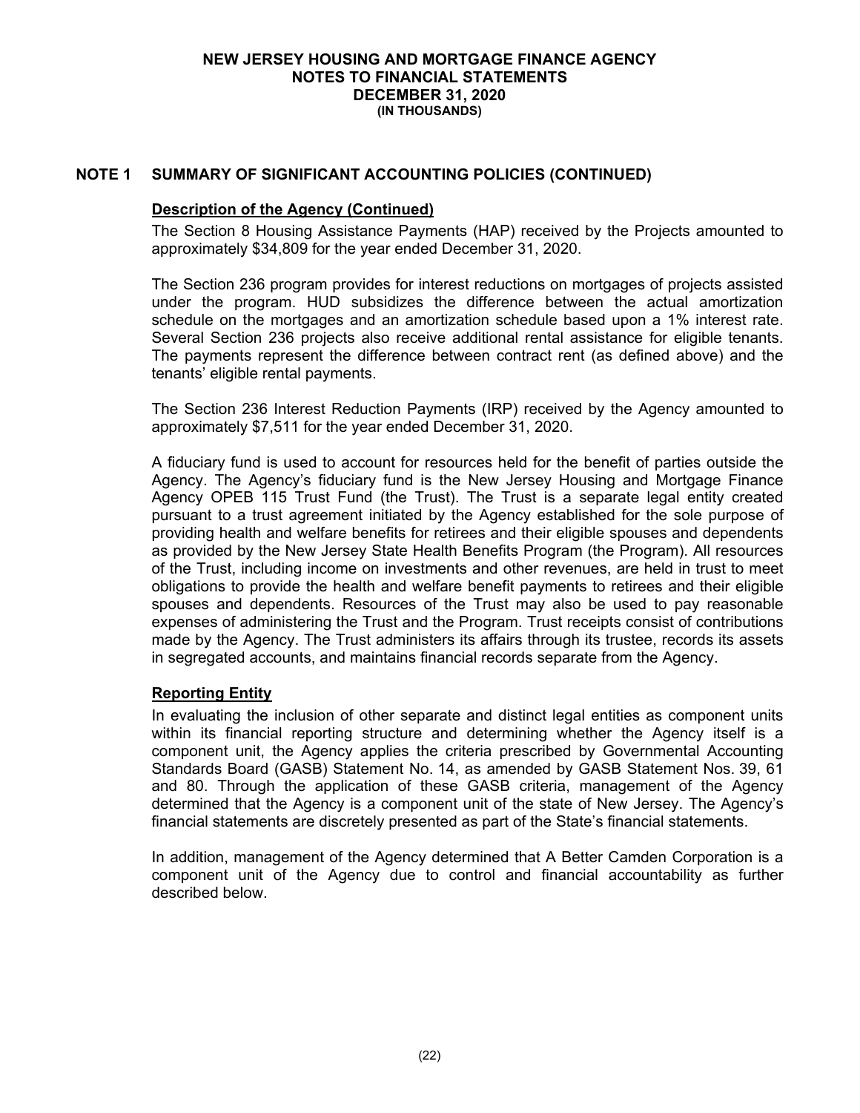## **NOTE 1 SUMMARY OF SIGNIFICANT ACCOUNTING POLICIES (CONTINUED)**

#### **Description of the Agency (Continued)**

The Section 8 Housing Assistance Payments (HAP) received by the Projects amounted to approximately \$34,809 for the year ended December 31, 2020.

The Section 236 program provides for interest reductions on mortgages of projects assisted under the program. HUD subsidizes the difference between the actual amortization schedule on the mortgages and an amortization schedule based upon a 1% interest rate. Several Section 236 projects also receive additional rental assistance for eligible tenants. The payments represent the difference between contract rent (as defined above) and the tenants' eligible rental payments.

The Section 236 Interest Reduction Payments (IRP) received by the Agency amounted to approximately \$7,511 for the year ended December 31, 2020.

A fiduciary fund is used to account for resources held for the benefit of parties outside the Agency. The Agency's fiduciary fund is the New Jersey Housing and Mortgage Finance Agency OPEB 115 Trust Fund (the Trust). The Trust is a separate legal entity created pursuant to a trust agreement initiated by the Agency established for the sole purpose of providing health and welfare benefits for retirees and their eligible spouses and dependents as provided by the New Jersey State Health Benefits Program (the Program). All resources of the Trust, including income on investments and other revenues, are held in trust to meet obligations to provide the health and welfare benefit payments to retirees and their eligible spouses and dependents. Resources of the Trust may also be used to pay reasonable expenses of administering the Trust and the Program. Trust receipts consist of contributions made by the Agency. The Trust administers its affairs through its trustee, records its assets in segregated accounts, and maintains financial records separate from the Agency.

### **Reporting Entity**

In evaluating the inclusion of other separate and distinct legal entities as component units within its financial reporting structure and determining whether the Agency itself is a component unit, the Agency applies the criteria prescribed by Governmental Accounting Standards Board (GASB) Statement No. 14, as amended by GASB Statement Nos. 39, 61 and 80. Through the application of these GASB criteria, management of the Agency determined that the Agency is a component unit of the state of New Jersey. The Agency's financial statements are discretely presented as part of the State's financial statements.

In addition, management of the Agency determined that A Better Camden Corporation is a component unit of the Agency due to control and financial accountability as further described below.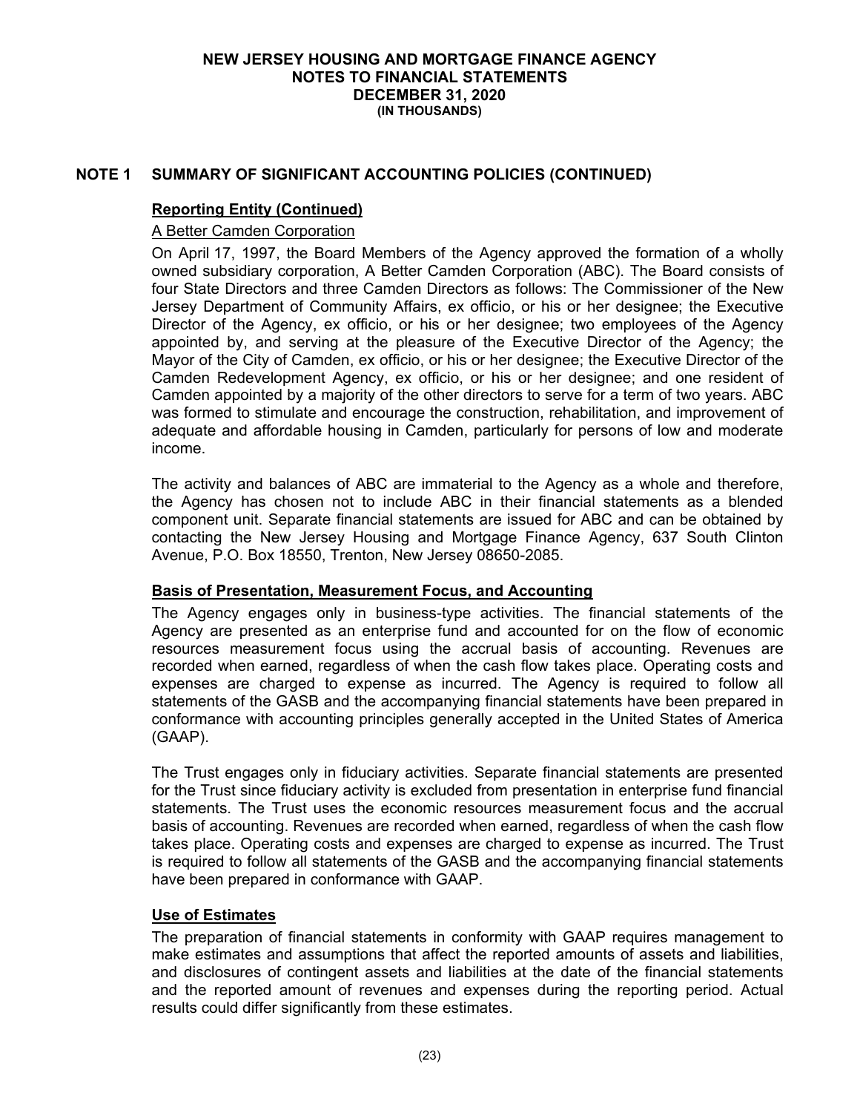## **NOTE 1 SUMMARY OF SIGNIFICANT ACCOUNTING POLICIES (CONTINUED)**

## **Reporting Entity (Continued)**

## A Better Camden Corporation

On April 17, 1997, the Board Members of the Agency approved the formation of a wholly owned subsidiary corporation, A Better Camden Corporation (ABC). The Board consists of four State Directors and three Camden Directors as follows: The Commissioner of the New Jersey Department of Community Affairs, ex officio, or his or her designee; the Executive Director of the Agency, ex officio, or his or her designee; two employees of the Agency appointed by, and serving at the pleasure of the Executive Director of the Agency; the Mayor of the City of Camden, ex officio, or his or her designee; the Executive Director of the Camden Redevelopment Agency, ex officio, or his or her designee; and one resident of Camden appointed by a majority of the other directors to serve for a term of two years. ABC was formed to stimulate and encourage the construction, rehabilitation, and improvement of adequate and affordable housing in Camden, particularly for persons of low and moderate income.

The activity and balances of ABC are immaterial to the Agency as a whole and therefore, the Agency has chosen not to include ABC in their financial statements as a blended component unit. Separate financial statements are issued for ABC and can be obtained by contacting the New Jersey Housing and Mortgage Finance Agency, 637 South Clinton Avenue, P.O. Box 18550, Trenton, New Jersey 08650-2085.

### **Basis of Presentation, Measurement Focus, and Accounting**

The Agency engages only in business-type activities. The financial statements of the Agency are presented as an enterprise fund and accounted for on the flow of economic resources measurement focus using the accrual basis of accounting. Revenues are recorded when earned, regardless of when the cash flow takes place. Operating costs and expenses are charged to expense as incurred. The Agency is required to follow all statements of the GASB and the accompanying financial statements have been prepared in conformance with accounting principles generally accepted in the United States of America (GAAP).

The Trust engages only in fiduciary activities. Separate financial statements are presented for the Trust since fiduciary activity is excluded from presentation in enterprise fund financial statements. The Trust uses the economic resources measurement focus and the accrual basis of accounting. Revenues are recorded when earned, regardless of when the cash flow takes place. Operating costs and expenses are charged to expense as incurred. The Trust is required to follow all statements of the GASB and the accompanying financial statements have been prepared in conformance with GAAP.

### **Use of Estimates**

The preparation of financial statements in conformity with GAAP requires management to make estimates and assumptions that affect the reported amounts of assets and liabilities, and disclosures of contingent assets and liabilities at the date of the financial statements and the reported amount of revenues and expenses during the reporting period. Actual results could differ significantly from these estimates.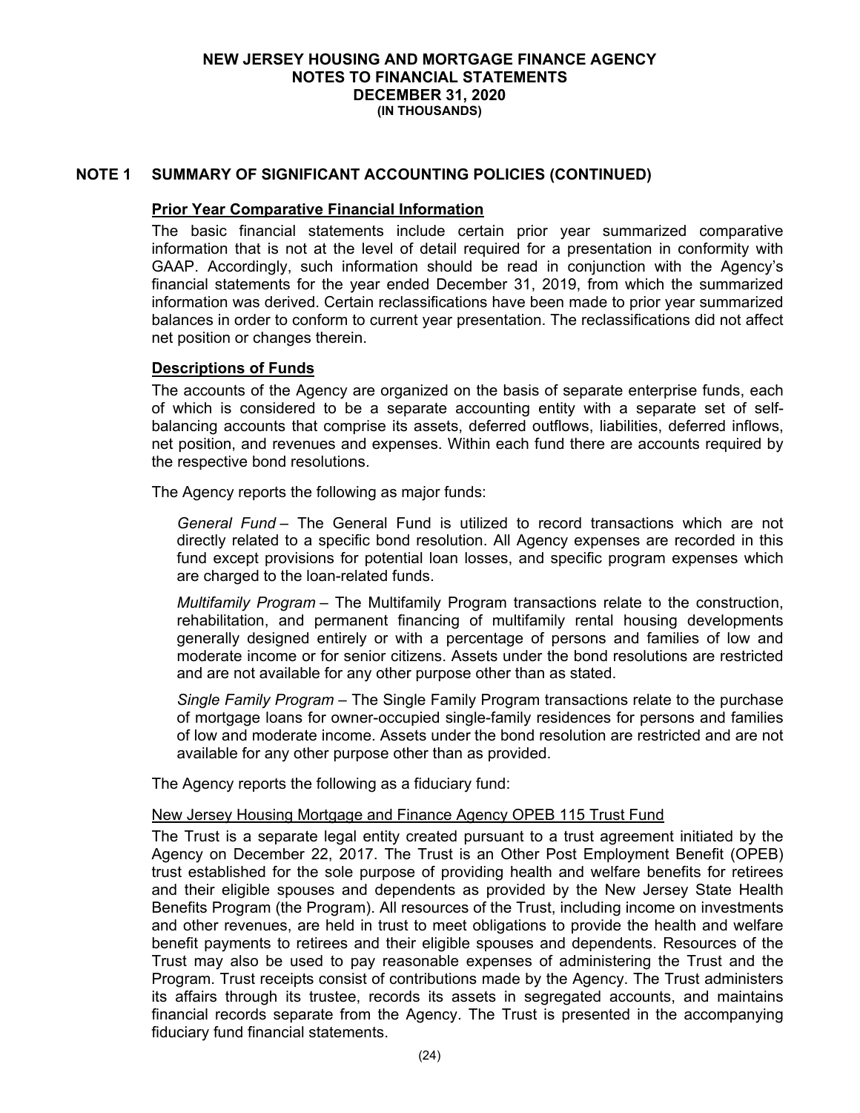### **NOTE 1 SUMMARY OF SIGNIFICANT ACCOUNTING POLICIES (CONTINUED)**

### **Prior Year Comparative Financial Information**

The basic financial statements include certain prior year summarized comparative information that is not at the level of detail required for a presentation in conformity with GAAP. Accordingly, such information should be read in conjunction with the Agency's financial statements for the year ended December 31, 2019, from which the summarized information was derived. Certain reclassifications have been made to prior year summarized balances in order to conform to current year presentation. The reclassifications did not affect net position or changes therein.

### **Descriptions of Funds**

The accounts of the Agency are organized on the basis of separate enterprise funds, each of which is considered to be a separate accounting entity with a separate set of selfbalancing accounts that comprise its assets, deferred outflows, liabilities, deferred inflows, net position, and revenues and expenses. Within each fund there are accounts required by the respective bond resolutions.

The Agency reports the following as major funds:

*General Fund* – The General Fund is utilized to record transactions which are not directly related to a specific bond resolution. All Agency expenses are recorded in this fund except provisions for potential loan losses, and specific program expenses which are charged to the loan-related funds.

*Multifamily Program* – The Multifamily Program transactions relate to the construction, rehabilitation, and permanent financing of multifamily rental housing developments generally designed entirely or with a percentage of persons and families of low and moderate income or for senior citizens. Assets under the bond resolutions are restricted and are not available for any other purpose other than as stated.

*Single Family Program* – The Single Family Program transactions relate to the purchase of mortgage loans for owner-occupied single-family residences for persons and families of low and moderate income. Assets under the bond resolution are restricted and are not available for any other purpose other than as provided.

The Agency reports the following as a fiduciary fund:

### New Jersey Housing Mortgage and Finance Agency OPEB 115 Trust Fund

The Trust is a separate legal entity created pursuant to a trust agreement initiated by the Agency on December 22, 2017. The Trust is an Other Post Employment Benefit (OPEB) trust established for the sole purpose of providing health and welfare benefits for retirees and their eligible spouses and dependents as provided by the New Jersey State Health Benefits Program (the Program). All resources of the Trust, including income on investments and other revenues, are held in trust to meet obligations to provide the health and welfare benefit payments to retirees and their eligible spouses and dependents. Resources of the Trust may also be used to pay reasonable expenses of administering the Trust and the Program. Trust receipts consist of contributions made by the Agency. The Trust administers its affairs through its trustee, records its assets in segregated accounts, and maintains financial records separate from the Agency. The Trust is presented in the accompanying fiduciary fund financial statements.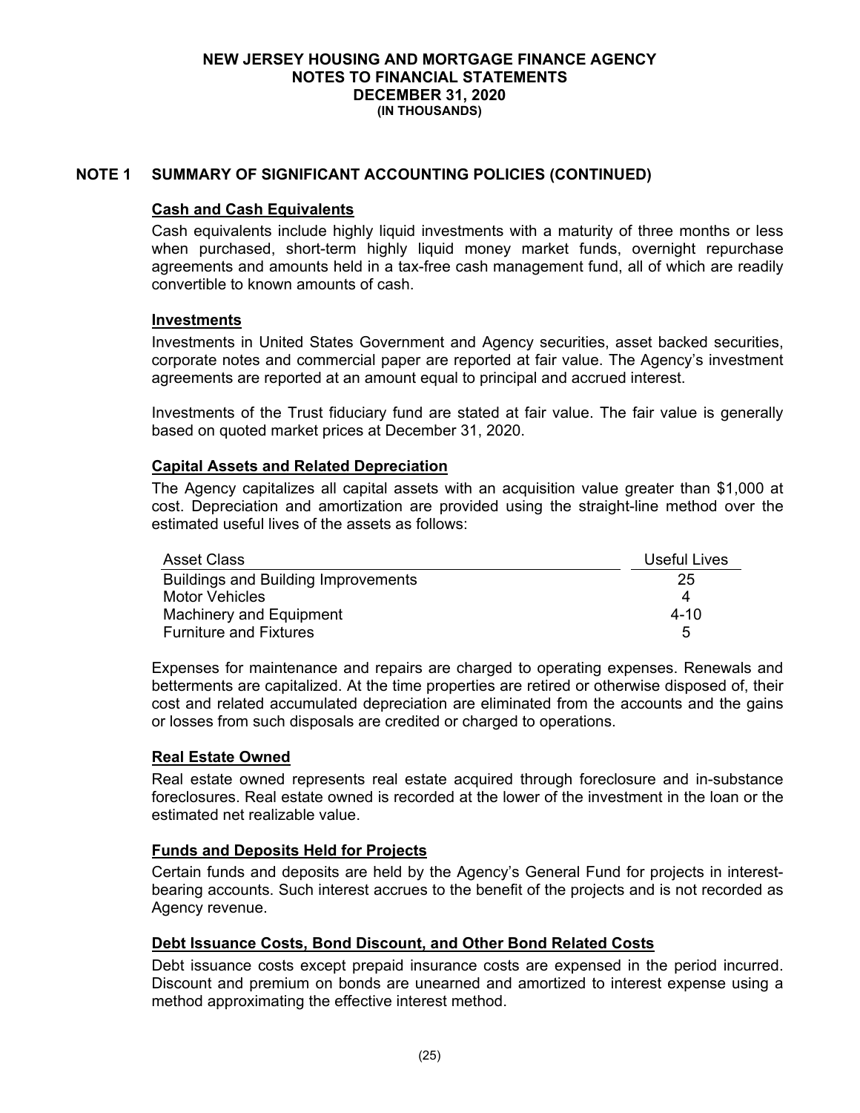## **NOTE 1 SUMMARY OF SIGNIFICANT ACCOUNTING POLICIES (CONTINUED)**

### **Cash and Cash Equivalents**

Cash equivalents include highly liquid investments with a maturity of three months or less when purchased, short-term highly liquid money market funds, overnight repurchase agreements and amounts held in a tax-free cash management fund, all of which are readily convertible to known amounts of cash.

#### **Investments**

Investments in United States Government and Agency securities, asset backed securities, corporate notes and commercial paper are reported at fair value. The Agency's investment agreements are reported at an amount equal to principal and accrued interest.

Investments of the Trust fiduciary fund are stated at fair value. The fair value is generally based on quoted market prices at December 31, 2020.

### **Capital Assets and Related Depreciation**

The Agency capitalizes all capital assets with an acquisition value greater than \$1,000 at cost. Depreciation and amortization are provided using the straight-line method over the estimated useful lives of the assets as follows:

| Asset Class                                | Useful Lives |
|--------------------------------------------|--------------|
| <b>Buildings and Building Improvements</b> | 25           |
| Motor Vehicles                             |              |
| Machinery and Equipment                    | $4 - 10$     |
| <b>Furniture and Fixtures</b>              | 5            |

Expenses for maintenance and repairs are charged to operating expenses. Renewals and betterments are capitalized. At the time properties are retired or otherwise disposed of, their cost and related accumulated depreciation are eliminated from the accounts and the gains or losses from such disposals are credited or charged to operations.

### **Real Estate Owned**

Real estate owned represents real estate acquired through foreclosure and in-substance foreclosures. Real estate owned is recorded at the lower of the investment in the loan or the estimated net realizable value.

### **Funds and Deposits Held for Projects**

Certain funds and deposits are held by the Agency's General Fund for projects in interestbearing accounts. Such interest accrues to the benefit of the projects and is not recorded as Agency revenue.

### **Debt Issuance Costs, Bond Discount, and Other Bond Related Costs**

Debt issuance costs except prepaid insurance costs are expensed in the period incurred. Discount and premium on bonds are unearned and amortized to interest expense using a method approximating the effective interest method.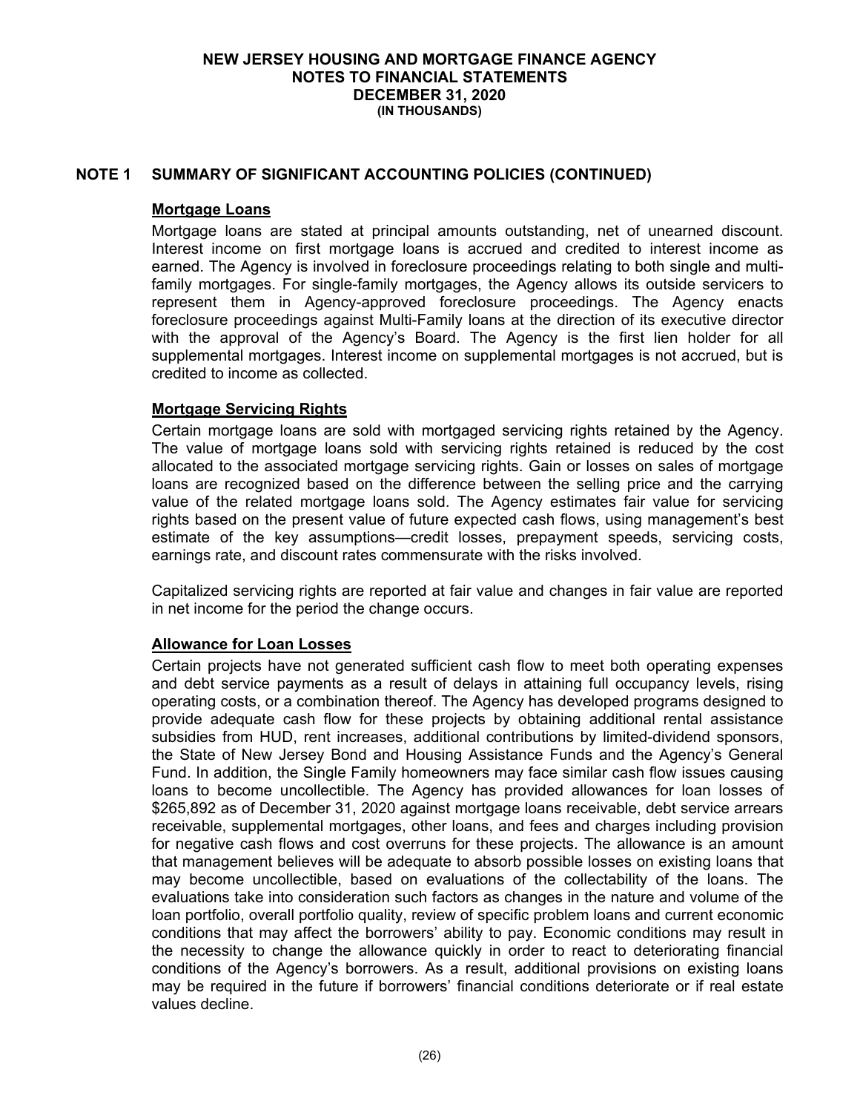### **NOTE 1 SUMMARY OF SIGNIFICANT ACCOUNTING POLICIES (CONTINUED)**

### **Mortgage Loans**

Mortgage loans are stated at principal amounts outstanding, net of unearned discount. Interest income on first mortgage loans is accrued and credited to interest income as earned. The Agency is involved in foreclosure proceedings relating to both single and multifamily mortgages. For single-family mortgages, the Agency allows its outside servicers to represent them in Agency-approved foreclosure proceedings. The Agency enacts foreclosure proceedings against Multi-Family loans at the direction of its executive director with the approval of the Agency's Board. The Agency is the first lien holder for all supplemental mortgages. Interest income on supplemental mortgages is not accrued, but is credited to income as collected.

## **Mortgage Servicing Rights**

Certain mortgage loans are sold with mortgaged servicing rights retained by the Agency. The value of mortgage loans sold with servicing rights retained is reduced by the cost allocated to the associated mortgage servicing rights. Gain or losses on sales of mortgage loans are recognized based on the difference between the selling price and the carrying value of the related mortgage loans sold. The Agency estimates fair value for servicing rights based on the present value of future expected cash flows, using management's best estimate of the key assumptions—credit losses, prepayment speeds, servicing costs, earnings rate, and discount rates commensurate with the risks involved.

Capitalized servicing rights are reported at fair value and changes in fair value are reported in net income for the period the change occurs.

## **Allowance for Loan Losses**

Certain projects have not generated sufficient cash flow to meet both operating expenses and debt service payments as a result of delays in attaining full occupancy levels, rising operating costs, or a combination thereof. The Agency has developed programs designed to provide adequate cash flow for these projects by obtaining additional rental assistance subsidies from HUD, rent increases, additional contributions by limited-dividend sponsors, the State of New Jersey Bond and Housing Assistance Funds and the Agency's General Fund. In addition, the Single Family homeowners may face similar cash flow issues causing loans to become uncollectible. The Agency has provided allowances for loan losses of \$265,892 as of December 31, 2020 against mortgage loans receivable, debt service arrears receivable, supplemental mortgages, other loans, and fees and charges including provision for negative cash flows and cost overruns for these projects. The allowance is an amount that management believes will be adequate to absorb possible losses on existing loans that may become uncollectible, based on evaluations of the collectability of the loans. The evaluations take into consideration such factors as changes in the nature and volume of the loan portfolio, overall portfolio quality, review of specific problem loans and current economic conditions that may affect the borrowers' ability to pay. Economic conditions may result in the necessity to change the allowance quickly in order to react to deteriorating financial conditions of the Agency's borrowers. As a result, additional provisions on existing loans may be required in the future if borrowers' financial conditions deteriorate or if real estate values decline.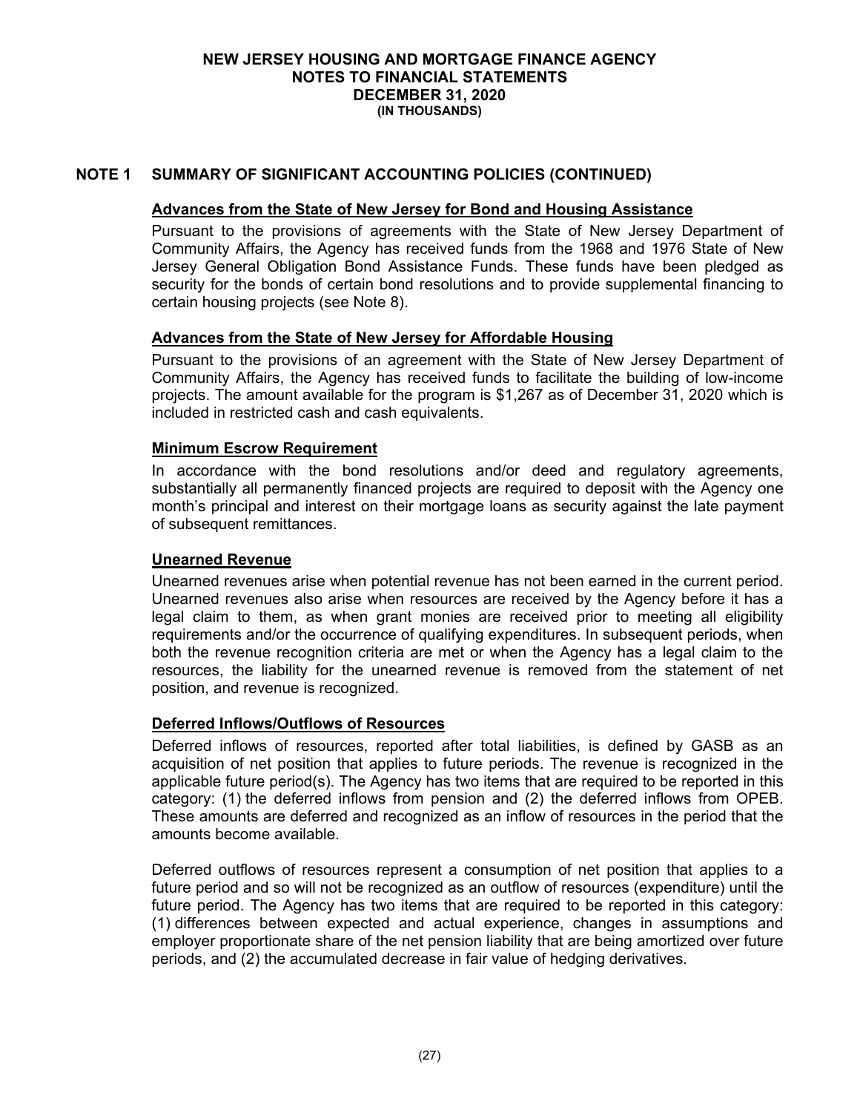## **NOTE 1 SUMMARY OF SIGNIFICANT ACCOUNTING POLICIES (CONTINUED)**

#### **Advances from the State of New Jersey for Bond and Housing Assistance**

Pursuant to the provisions of agreements with the State of New Jersey Department of Community Affairs, the Agency has received funds from the 1968 and 1976 State of New Jersey General Obligation Bond Assistance Funds. These funds have been pledged as security for the bonds of certain bond resolutions and to provide supplemental financing to certain housing projects (see Note 8).

### **Advances from the State of New Jersey for Affordable Housing**

Pursuant to the provisions of an agreement with the State of New Jersey Department of Community Affairs, the Agency has received funds to facilitate the building of low-income projects. The amount available for the program is \$1,267 as of December 31, 2020 which is included in restricted cash and cash equivalents.

### **Minimum Escrow Requirement**

In accordance with the bond resolutions and/or deed and regulatory agreements, substantially all permanently financed projects are required to deposit with the Agency one month's principal and interest on their mortgage loans as security against the late payment of subsequent remittances.

### **Unearned Revenue**

Unearned revenues arise when potential revenue has not been earned in the current period. Unearned revenues also arise when resources are received by the Agency before it has a legal claim to them, as when grant monies are received prior to meeting all eligibility requirements and/or the occurrence of qualifying expenditures. In subsequent periods, when both the revenue recognition criteria are met or when the Agency has a legal claim to the resources, the liability for the unearned revenue is removed from the statement of net position, and revenue is recognized.

### **Deferred Inflows/Outflows of Resources**

Deferred inflows of resources, reported after total liabilities, is defined by GASB as an acquisition of net position that applies to future periods. The revenue is recognized in the applicable future period(s). The Agency has two items that are required to be reported in this category: (1) the deferred inflows from pension and (2) the deferred inflows from OPEB. These amounts are deferred and recognized as an inflow of resources in the period that the amounts become available.

Deferred outflows of resources represent a consumption of net position that applies to a future period and so will not be recognized as an outflow of resources (expenditure) until the future period. The Agency has two items that are required to be reported in this category: (1) differences between expected and actual experience, changes in assumptions and employer proportionate share of the net pension liability that are being amortized over future periods, and (2) the accumulated decrease in fair value of hedging derivatives.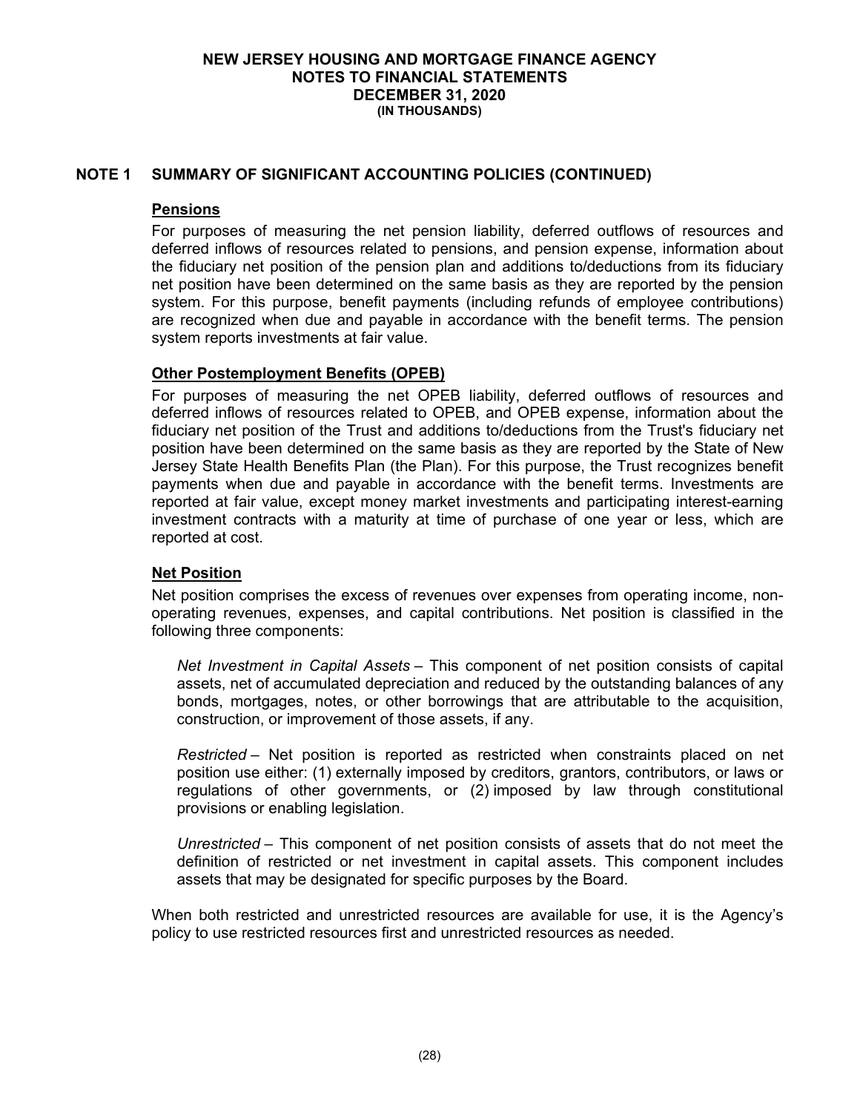## **NOTE 1 SUMMARY OF SIGNIFICANT ACCOUNTING POLICIES (CONTINUED)**

## **Pensions**

For purposes of measuring the net pension liability, deferred outflows of resources and deferred inflows of resources related to pensions, and pension expense, information about the fiduciary net position of the pension plan and additions to/deductions from its fiduciary net position have been determined on the same basis as they are reported by the pension system. For this purpose, benefit payments (including refunds of employee contributions) are recognized when due and payable in accordance with the benefit terms. The pension system reports investments at fair value.

### **Other Postemployment Benefits (OPEB)**

For purposes of measuring the net OPEB liability, deferred outflows of resources and deferred inflows of resources related to OPEB, and OPEB expense, information about the fiduciary net position of the Trust and additions to/deductions from the Trust's fiduciary net position have been determined on the same basis as they are reported by the State of New Jersey State Health Benefits Plan (the Plan). For this purpose, the Trust recognizes benefit payments when due and payable in accordance with the benefit terms. Investments are reported at fair value, except money market investments and participating interest-earning investment contracts with a maturity at time of purchase of one year or less, which are reported at cost.

### **Net Position**

Net position comprises the excess of revenues over expenses from operating income, nonoperating revenues, expenses, and capital contributions. Net position is classified in the following three components:

*Net Investment in Capital Assets* – This component of net position consists of capital assets, net of accumulated depreciation and reduced by the outstanding balances of any bonds, mortgages, notes, or other borrowings that are attributable to the acquisition, construction, or improvement of those assets, if any.

*Restricted* – Net position is reported as restricted when constraints placed on net position use either: (1) externally imposed by creditors, grantors, contributors, or laws or regulations of other governments, or (2) imposed by law through constitutional provisions or enabling legislation.

*Unrestricted* – This component of net position consists of assets that do not meet the definition of restricted or net investment in capital assets. This component includes assets that may be designated for specific purposes by the Board.

When both restricted and unrestricted resources are available for use, it is the Agency's policy to use restricted resources first and unrestricted resources as needed.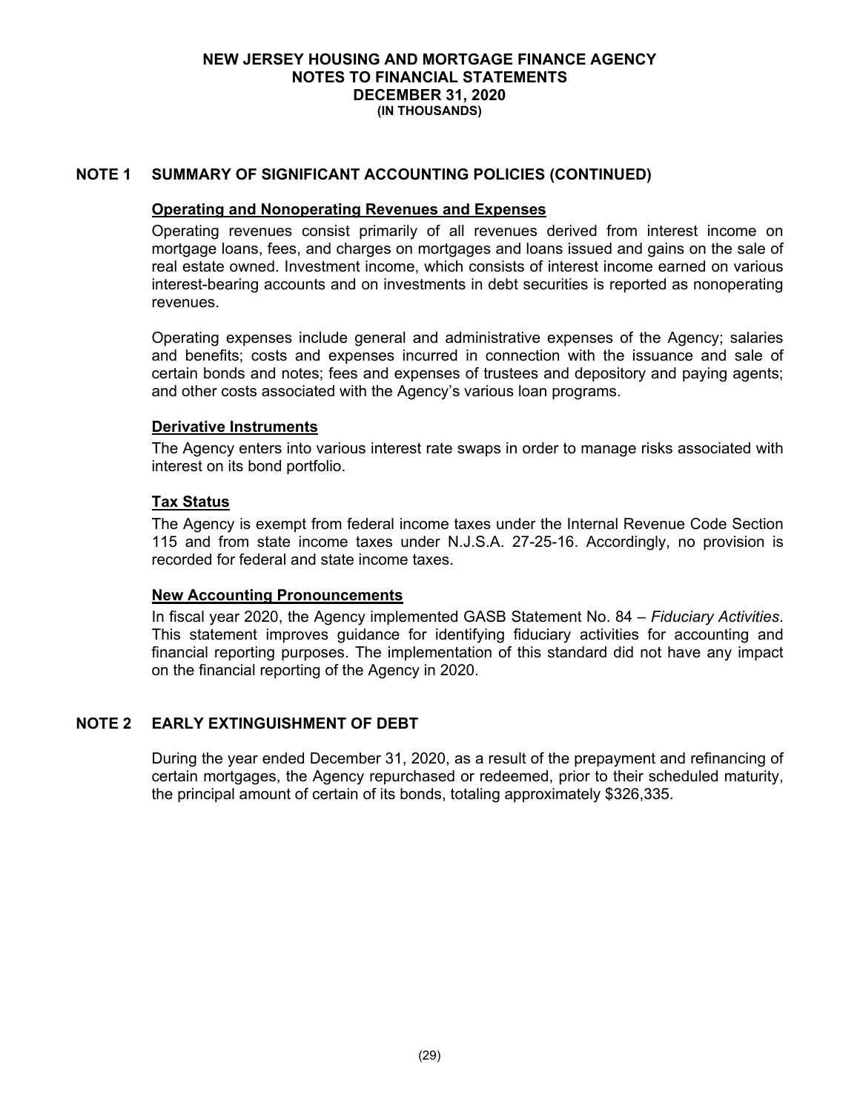## **NOTE 1 SUMMARY OF SIGNIFICANT ACCOUNTING POLICIES (CONTINUED)**

#### **Operating and Nonoperating Revenues and Expenses**

Operating revenues consist primarily of all revenues derived from interest income on mortgage loans, fees, and charges on mortgages and loans issued and gains on the sale of real estate owned. Investment income, which consists of interest income earned on various interest-bearing accounts and on investments in debt securities is reported as nonoperating revenues.

Operating expenses include general and administrative expenses of the Agency; salaries and benefits; costs and expenses incurred in connection with the issuance and sale of certain bonds and notes; fees and expenses of trustees and depository and paying agents; and other costs associated with the Agency's various loan programs.

#### **Derivative Instruments**

The Agency enters into various interest rate swaps in order to manage risks associated with interest on its bond portfolio.

### **Tax Status**

The Agency is exempt from federal income taxes under the Internal Revenue Code Section 115 and from state income taxes under N.J.S.A. 27-25-16. Accordingly, no provision is recorded for federal and state income taxes.

### **New Accounting Pronouncements**

In fiscal year 2020, the Agency implemented GASB Statement No. 84 – *Fiduciary Activities*. This statement improves guidance for identifying fiduciary activities for accounting and financial reporting purposes. The implementation of this standard did not have any impact on the financial reporting of the Agency in 2020.

### **NOTE 2 EARLY EXTINGUISHMENT OF DEBT**

During the year ended December 31, 2020, as a result of the prepayment and refinancing of certain mortgages, the Agency repurchased or redeemed, prior to their scheduled maturity, the principal amount of certain of its bonds, totaling approximately \$326,335.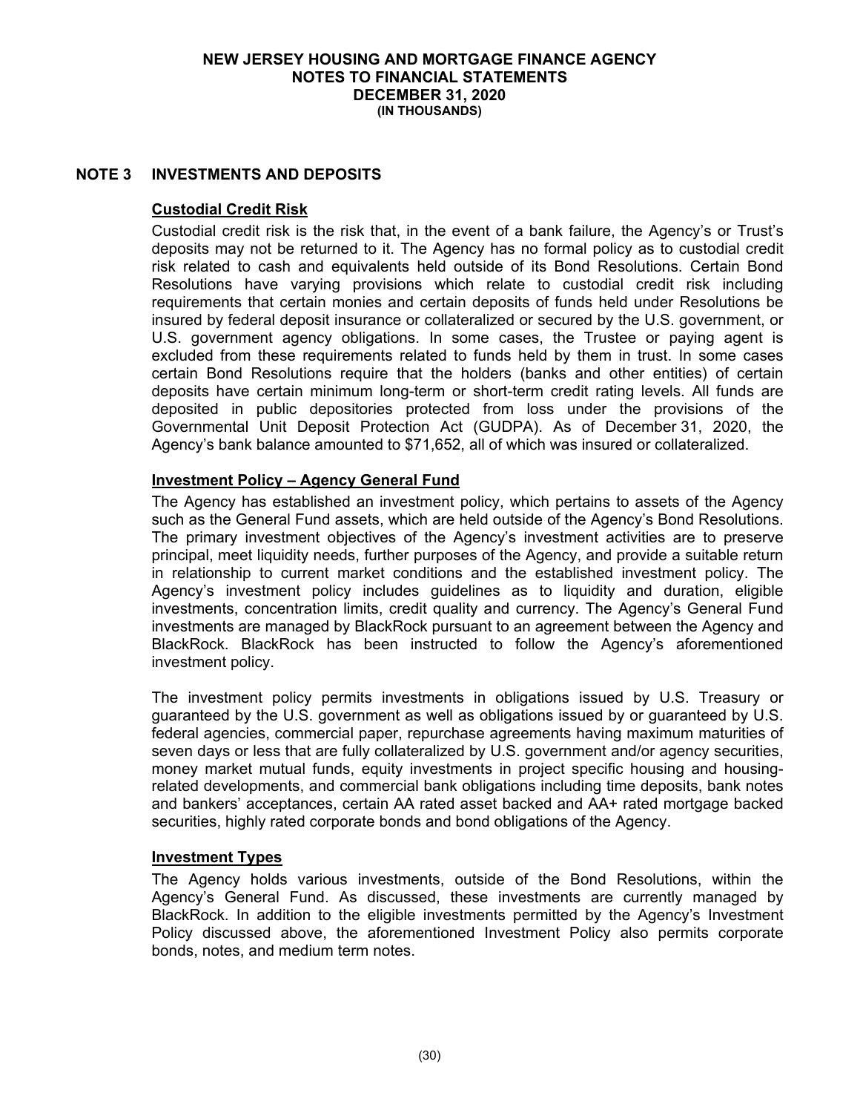### **NOTE 3 INVESTMENTS AND DEPOSITS**

### **Custodial Credit Risk**

Custodial credit risk is the risk that, in the event of a bank failure, the Agency's or Trust's deposits may not be returned to it. The Agency has no formal policy as to custodial credit risk related to cash and equivalents held outside of its Bond Resolutions. Certain Bond Resolutions have varying provisions which relate to custodial credit risk including requirements that certain monies and certain deposits of funds held under Resolutions be insured by federal deposit insurance or collateralized or secured by the U.S. government, or U.S. government agency obligations. In some cases, the Trustee or paying agent is excluded from these requirements related to funds held by them in trust. In some cases certain Bond Resolutions require that the holders (banks and other entities) of certain deposits have certain minimum long-term or short-term credit rating levels. All funds are deposited in public depositories protected from loss under the provisions of the Governmental Unit Deposit Protection Act (GUDPA). As of December 31, 2020, the Agency's bank balance amounted to \$71,652, all of which was insured or collateralized.

## **Investment Policy – Agency General Fund**

The Agency has established an investment policy, which pertains to assets of the Agency such as the General Fund assets, which are held outside of the Agency's Bond Resolutions. The primary investment objectives of the Agency's investment activities are to preserve principal, meet liquidity needs, further purposes of the Agency, and provide a suitable return in relationship to current market conditions and the established investment policy. The Agency's investment policy includes guidelines as to liquidity and duration, eligible investments, concentration limits, credit quality and currency. The Agency's General Fund investments are managed by BlackRock pursuant to an agreement between the Agency and BlackRock. BlackRock has been instructed to follow the Agency's aforementioned investment policy.

The investment policy permits investments in obligations issued by U.S. Treasury or guaranteed by the U.S. government as well as obligations issued by or guaranteed by U.S. federal agencies, commercial paper, repurchase agreements having maximum maturities of seven days or less that are fully collateralized by U.S. government and/or agency securities, money market mutual funds, equity investments in project specific housing and housingrelated developments, and commercial bank obligations including time deposits, bank notes and bankers' acceptances, certain AA rated asset backed and AA+ rated mortgage backed securities, highly rated corporate bonds and bond obligations of the Agency.

## **Investment Types**

The Agency holds various investments, outside of the Bond Resolutions, within the Agency's General Fund. As discussed, these investments are currently managed by BlackRock. In addition to the eligible investments permitted by the Agency's Investment Policy discussed above, the aforementioned Investment Policy also permits corporate bonds, notes, and medium term notes.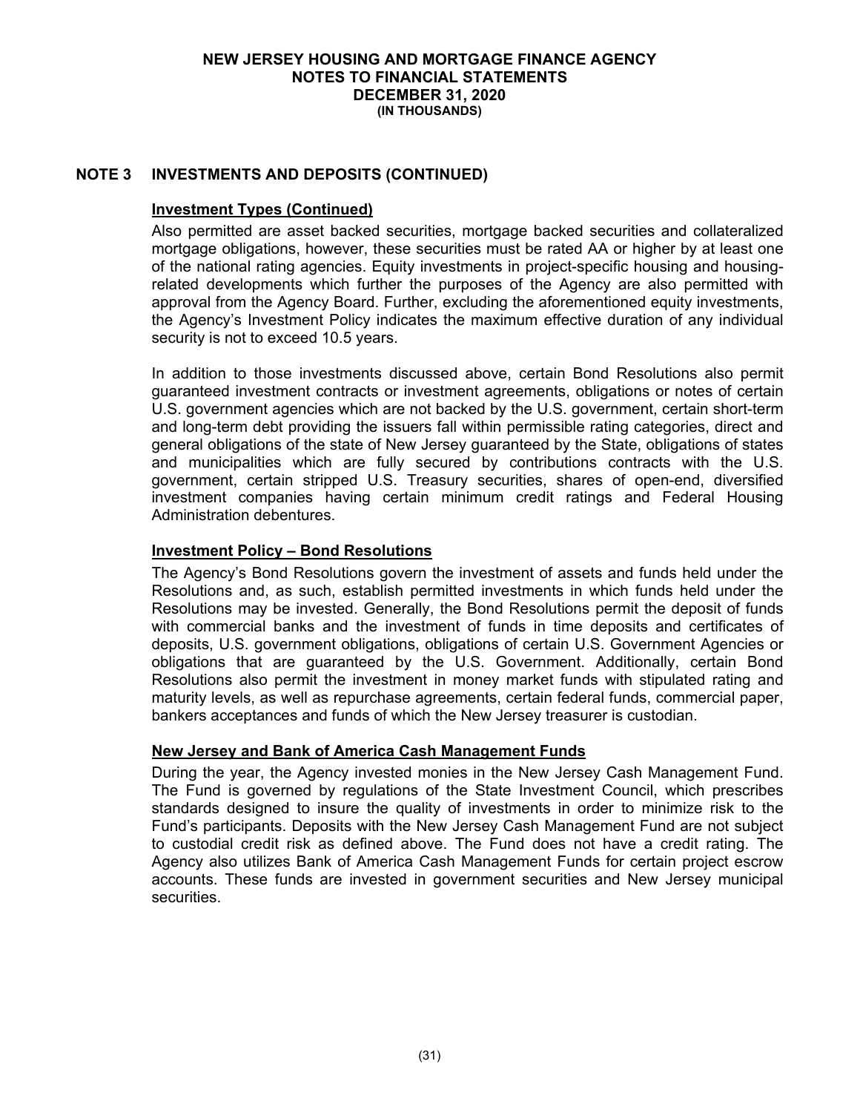## **NOTE 3 INVESTMENTS AND DEPOSITS (CONTINUED)**

### **Investment Types (Continued)**

Also permitted are asset backed securities, mortgage backed securities and collateralized mortgage obligations, however, these securities must be rated AA or higher by at least one of the national rating agencies. Equity investments in project-specific housing and housingrelated developments which further the purposes of the Agency are also permitted with approval from the Agency Board. Further, excluding the aforementioned equity investments, the Agency's Investment Policy indicates the maximum effective duration of any individual security is not to exceed 10.5 years.

In addition to those investments discussed above, certain Bond Resolutions also permit guaranteed investment contracts or investment agreements, obligations or notes of certain U.S. government agencies which are not backed by the U.S. government, certain short-term and long-term debt providing the issuers fall within permissible rating categories, direct and general obligations of the state of New Jersey guaranteed by the State, obligations of states and municipalities which are fully secured by contributions contracts with the U.S. government, certain stripped U.S. Treasury securities, shares of open-end, diversified investment companies having certain minimum credit ratings and Federal Housing Administration debentures.

## **Investment Policy – Bond Resolutions**

The Agency's Bond Resolutions govern the investment of assets and funds held under the Resolutions and, as such, establish permitted investments in which funds held under the Resolutions may be invested. Generally, the Bond Resolutions permit the deposit of funds with commercial banks and the investment of funds in time deposits and certificates of deposits, U.S. government obligations, obligations of certain U.S. Government Agencies or obligations that are guaranteed by the U.S. Government. Additionally, certain Bond Resolutions also permit the investment in money market funds with stipulated rating and maturity levels, as well as repurchase agreements, certain federal funds, commercial paper, bankers acceptances and funds of which the New Jersey treasurer is custodian.

### **New Jersey and Bank of America Cash Management Funds**

During the year, the Agency invested monies in the New Jersey Cash Management Fund. The Fund is governed by regulations of the State Investment Council, which prescribes standards designed to insure the quality of investments in order to minimize risk to the Fund's participants. Deposits with the New Jersey Cash Management Fund are not subject to custodial credit risk as defined above. The Fund does not have a credit rating. The Agency also utilizes Bank of America Cash Management Funds for certain project escrow accounts. These funds are invested in government securities and New Jersey municipal securities.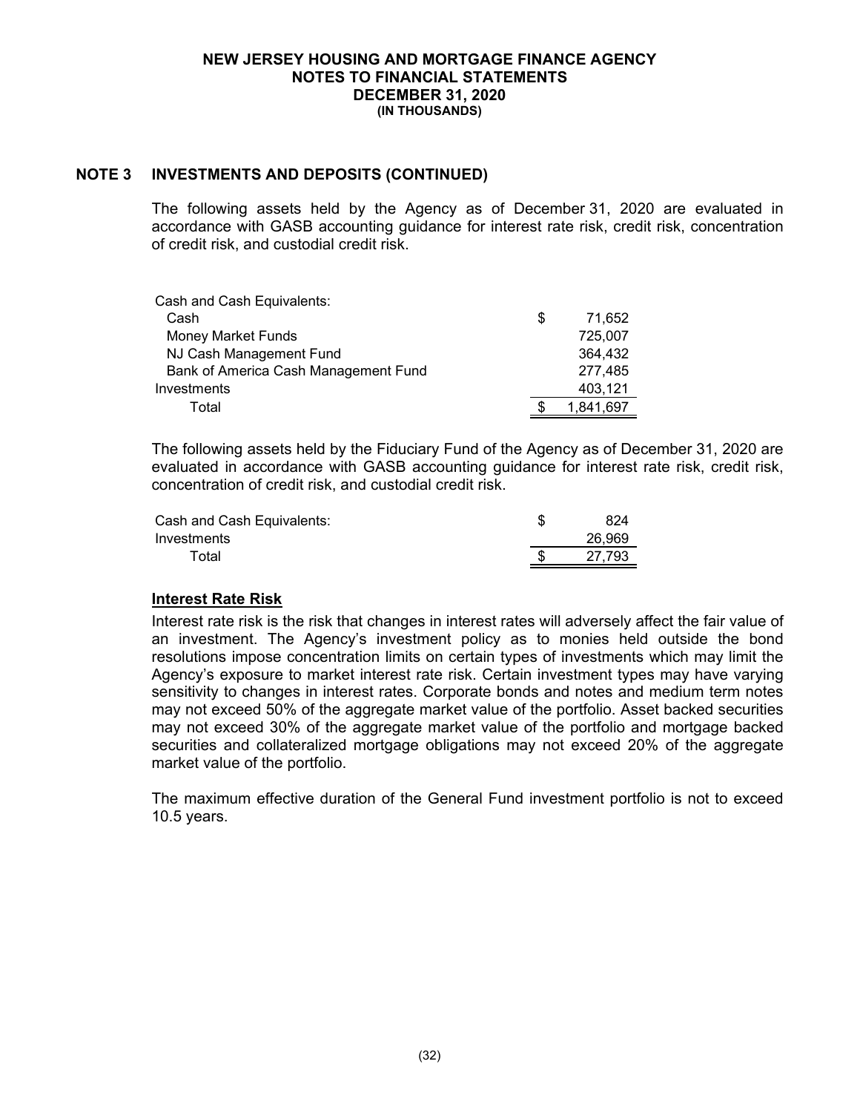## **NOTE 3 INVESTMENTS AND DEPOSITS (CONTINUED)**

The following assets held by the Agency as of December 31, 2020 are evaluated in accordance with GASB accounting guidance for interest rate risk, credit risk, concentration of credit risk, and custodial credit risk.

| Cash and Cash Equivalents:           |   |           |
|--------------------------------------|---|-----------|
| Cash                                 | S | 71.652    |
| Money Market Funds                   |   | 725,007   |
| NJ Cash Management Fund              |   | 364,432   |
| Bank of America Cash Management Fund |   | 277,485   |
| Investments                          |   | 403,121   |
| Total                                |   | 1.841.697 |

The following assets held by the Fiduciary Fund of the Agency as of December 31, 2020 are evaluated in accordance with GASB accounting guidance for interest rate risk, credit risk, concentration of credit risk, and custodial credit risk.

| Cash and Cash Equivalents: | 824    |
|----------------------------|--------|
| Investments                | 26.969 |
| Total                      | 27.793 |

# **Interest Rate Risk**

Interest rate risk is the risk that changes in interest rates will adversely affect the fair value of an investment. The Agency's investment policy as to monies held outside the bond resolutions impose concentration limits on certain types of investments which may limit the Agency's exposure to market interest rate risk. Certain investment types may have varying sensitivity to changes in interest rates. Corporate bonds and notes and medium term notes may not exceed 50% of the aggregate market value of the portfolio. Asset backed securities may not exceed 30% of the aggregate market value of the portfolio and mortgage backed securities and collateralized mortgage obligations may not exceed 20% of the aggregate market value of the portfolio.

The maximum effective duration of the General Fund investment portfolio is not to exceed 10.5 years.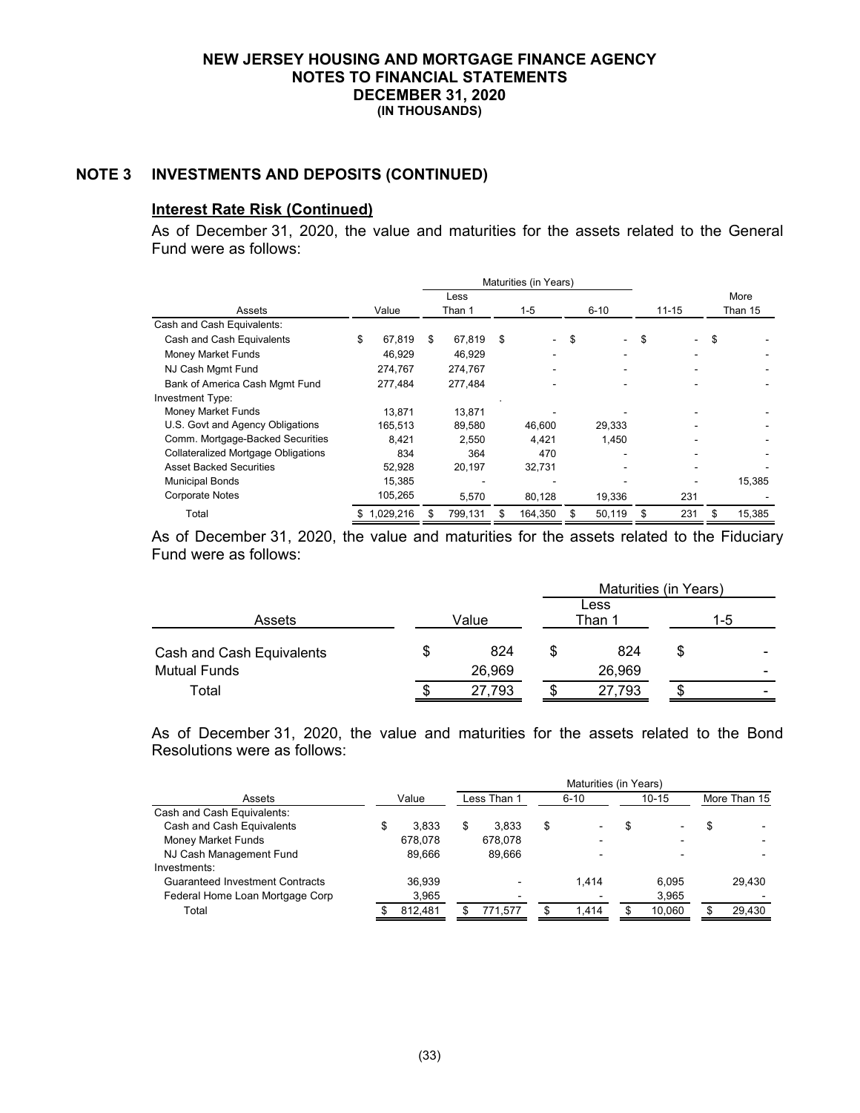#### **NOTE 3 INVESTMENTS AND DEPOSITS (CONTINUED)**

## **Interest Rate Risk (Continued)**

As of December 31, 2020, the value and maturities for the assets related to the General Fund were as follows:

|                                            |              | Maturities (in Years) |         |    |         |    |                          |           |         |
|--------------------------------------------|--------------|-----------------------|---------|----|---------|----|--------------------------|-----------|---------|
|                                            |              |                       | Less    |    |         |    |                          |           | More    |
| Assets                                     | Value        |                       | Than 1  |    | $1 - 5$ |    | $6 - 10$                 | $11 - 15$ | Than 15 |
| Cash and Cash Equivalents:                 |              |                       |         |    |         |    |                          |           |         |
| Cash and Cash Equivalents                  | \$<br>67,819 | \$                    | 67,819  | \$ |         | \$ | $\overline{\phantom{0}}$ | \$        | \$      |
| Money Market Funds                         | 46,929       |                       | 46,929  |    |         |    |                          |           |         |
| NJ Cash Mgmt Fund                          | 274,767      |                       | 274,767 |    |         |    |                          |           |         |
| Bank of America Cash Mgmt Fund             | 277,484      |                       | 277,484 |    |         |    |                          |           |         |
| Investment Type:                           |              |                       |         |    |         |    |                          |           |         |
| Money Market Funds                         | 13.871       |                       | 13,871  |    |         |    |                          |           |         |
| U.S. Govt and Agency Obligations           | 165,513      |                       | 89,580  |    | 46,600  |    | 29,333                   |           |         |
| Comm. Mortgage-Backed Securities           | 8.421        |                       | 2.550   |    | 4,421   |    | 1,450                    |           |         |
| <b>Collateralized Mortgage Obligations</b> | 834          |                       | 364     |    | 470     |    |                          |           |         |
| <b>Asset Backed Securities</b>             | 52,928       |                       | 20,197  |    | 32,731  |    |                          |           |         |
| <b>Municipal Bonds</b>                     | 15,385       |                       |         |    |         |    |                          |           | 15,385  |
| <b>Corporate Notes</b>                     | 105,265      |                       | 5,570   |    | 80,128  |    | 19,336                   | 231       |         |
| Total                                      | 1,029,216    |                       | 799.131 |    | 164.350 | S  | 50,119                   | 231       | 15,385  |

As of December 31, 2020, the value and maturities for the assets related to the Fiduciary Fund were as follows:

|                           |        | Maturities (in Years) |                |  |     |  |  |  |
|---------------------------|--------|-----------------------|----------------|--|-----|--|--|--|
| Assets                    | Value  |                       | Less<br>Than 1 |  | 1-5 |  |  |  |
| Cash and Cash Equivalents | 824    |                       | 824            |  |     |  |  |  |
| <b>Mutual Funds</b>       | 26,969 |                       | 26,969         |  |     |  |  |  |
| Total                     | 27,793 |                       | 27,793         |  |     |  |  |  |

As of December 31, 2020, the value and maturities for the assets related to the Bond Resolutions were as follows:

|                                        |  |         | Maturities (in Years) |             |   |          |  |           |              |        |  |  |
|----------------------------------------|--|---------|-----------------------|-------------|---|----------|--|-----------|--------------|--------|--|--|
| Assets                                 |  | Value   |                       | Less Than 1 |   | $6 - 10$ |  | $10 - 15$ | More Than 15 |        |  |  |
| Cash and Cash Equivalents:             |  |         |                       |             |   |          |  |           |              |        |  |  |
| Cash and Cash Equivalents              |  | 3.833   | S                     | 3.833       | S |          |  |           | C            |        |  |  |
| Money Market Funds                     |  | 678.078 |                       | 678.078     |   |          |  |           |              |        |  |  |
| NJ Cash Management Fund                |  | 89.666  |                       | 89.666      |   |          |  |           |              |        |  |  |
| Investments:                           |  |         |                       |             |   |          |  |           |              |        |  |  |
| <b>Guaranteed Investment Contracts</b> |  | 36.939  |                       |             |   | 1.414    |  | 6.095     |              | 29.430 |  |  |
| Federal Home Loan Mortgage Corp        |  | 3,965   |                       |             |   |          |  | 3,965     |              |        |  |  |
| Total                                  |  | 812.481 |                       | 771.577     |   | 1,414    |  | 10,060    |              | 29,430 |  |  |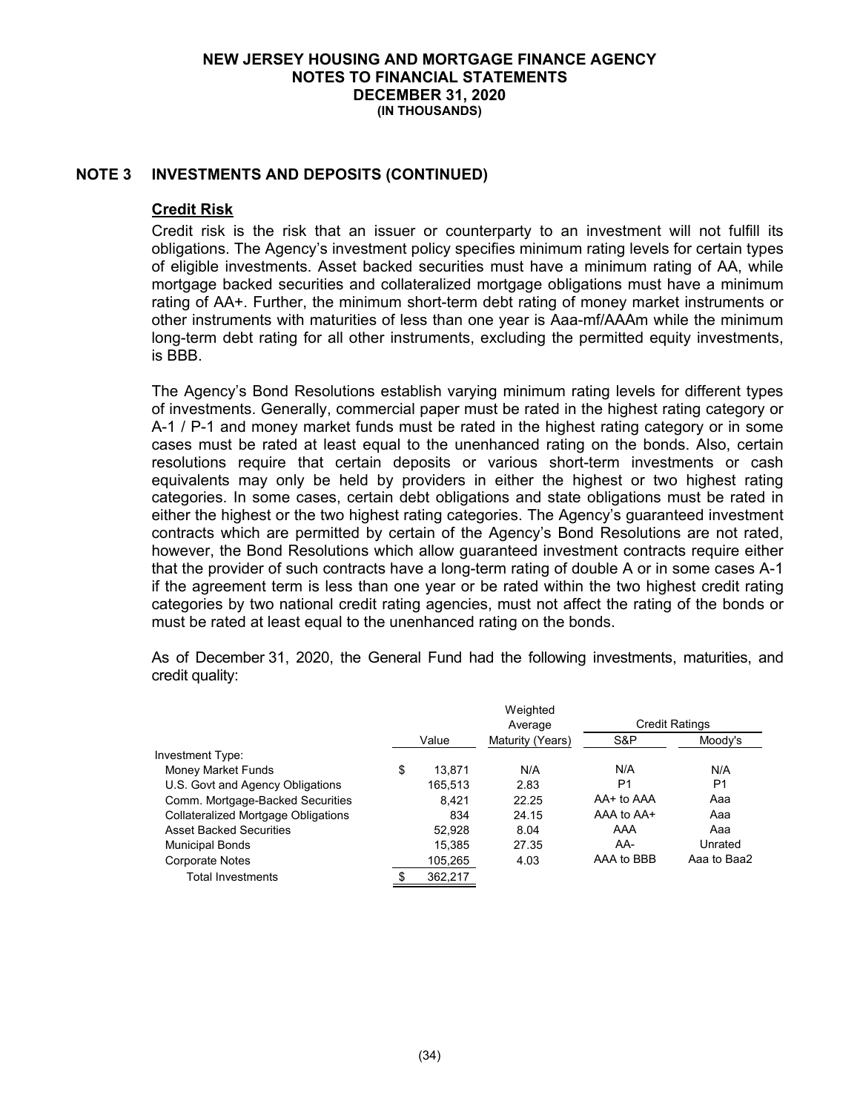### **NOTE 3 INVESTMENTS AND DEPOSITS (CONTINUED)**

#### **Credit Risk**

Credit risk is the risk that an issuer or counterparty to an investment will not fulfill its obligations. The Agency's investment policy specifies minimum rating levels for certain types of eligible investments. Asset backed securities must have a minimum rating of AA, while mortgage backed securities and collateralized mortgage obligations must have a minimum rating of AA+. Further, the minimum short-term debt rating of money market instruments or other instruments with maturities of less than one year is Aaa-mf/AAAm while the minimum long-term debt rating for all other instruments, excluding the permitted equity investments, is BBB.

The Agency's Bond Resolutions establish varying minimum rating levels for different types of investments. Generally, commercial paper must be rated in the highest rating category or A-1 / P-1 and money market funds must be rated in the highest rating category or in some cases must be rated at least equal to the unenhanced rating on the bonds. Also, certain resolutions require that certain deposits or various short-term investments or cash equivalents may only be held by providers in either the highest or two highest rating categories. In some cases, certain debt obligations and state obligations must be rated in either the highest or the two highest rating categories. The Agency's guaranteed investment contracts which are permitted by certain of the Agency's Bond Resolutions are not rated, however, the Bond Resolutions which allow guaranteed investment contracts require either that the provider of such contracts have a long-term rating of double A or in some cases A-1 if the agreement term is less than one year or be rated within the two highest credit rating categories by two national credit rating agencies, must not affect the rating of the bonds or must be rated at least equal to the unenhanced rating on the bonds.

As of December 31, 2020, the General Fund had the following investments, maturities, and credit quality:

|                                            |       |         | Weighted |            |                  |     |         |
|--------------------------------------------|-------|---------|----------|------------|------------------|-----|---------|
|                                            |       |         | Average  |            | Credit Ratings   |     |         |
|                                            | Value |         |          |            | Maturity (Years) | S&P | Moody's |
| Investment Type:                           |       |         |          |            |                  |     |         |
| Money Market Funds                         | \$    | 13.871  | N/A      | N/A        | N/A              |     |         |
| U.S. Govt and Agency Obligations           |       | 165.513 | 2.83     | P1         | P1               |     |         |
| Comm. Mortgage-Backed Securities           |       | 8.421   | 22.25    | AA+ to AAA | Aaa              |     |         |
| <b>Collateralized Mortgage Obligations</b> |       | 834     | 24.15    | AAA to AA+ | Aaa              |     |         |
| <b>Asset Backed Securities</b>             |       | 52,928  | 8.04     | AAA        | Aaa              |     |         |
| <b>Municipal Bonds</b>                     |       | 15.385  | 27.35    | AA-        | Unrated          |     |         |
| <b>Corporate Notes</b>                     |       | 105,265 | 4.03     | AAA to BBB | Aaa to Baa2      |     |         |
| <b>Total Investments</b>                   |       | 362,217 |          |            |                  |     |         |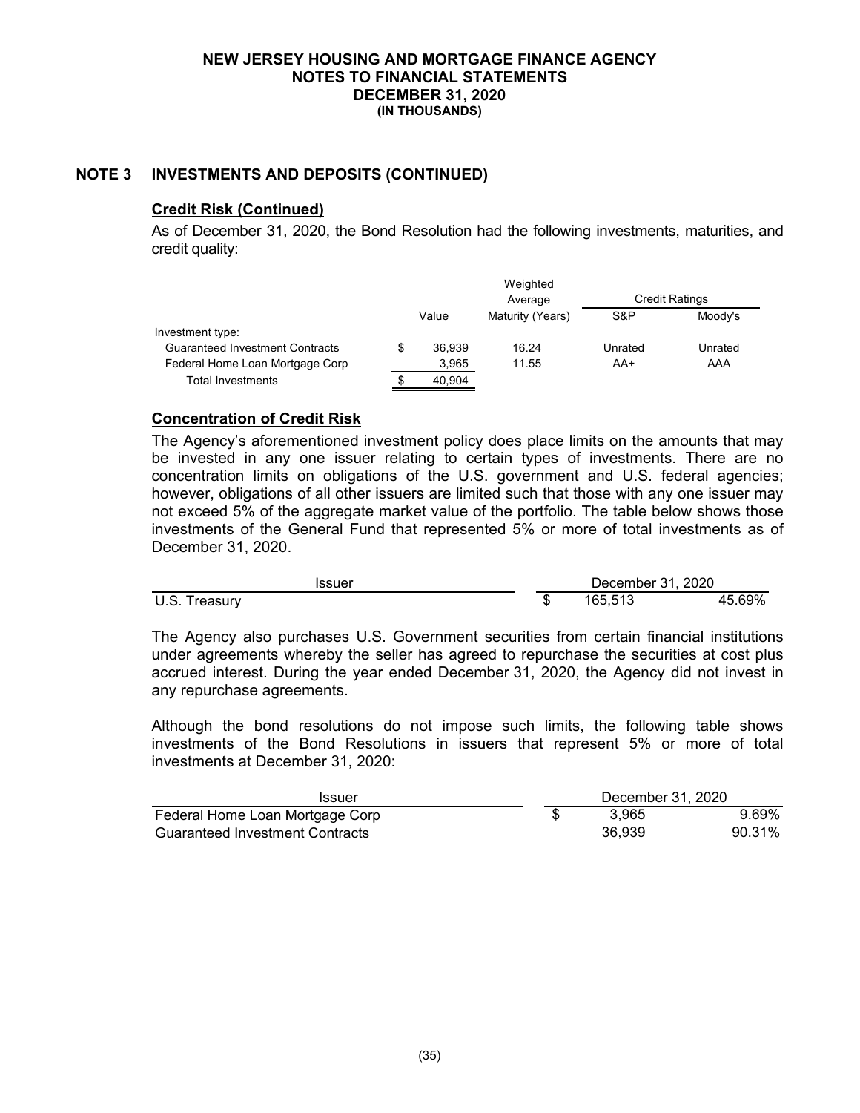### **NOTE 3 INVESTMENTS AND DEPOSITS (CONTINUED)**

#### **Credit Risk (Continued)**

As of December 31, 2020, the Bond Resolution had the following investments, maturities, and credit quality:

|                                        |              | Weighted<br>Average |         | <b>Credit Ratings</b> |
|----------------------------------------|--------------|---------------------|---------|-----------------------|
|                                        | Value        | Maturity (Years)    | S&P     | Moody's               |
| Investment type:                       |              |                     |         |                       |
| <b>Guaranteed Investment Contracts</b> | \$<br>36.939 | 16.24               | Unrated | Unrated               |
| Federal Home Loan Mortgage Corp        | 3.965        | 11.55               | $AA+$   | AAA                   |
| <b>Total Investments</b>               | \$<br>40.904 |                     |         |                       |

### **Concentration of Credit Risk**

The Agency's aforementioned investment policy does place limits on the amounts that may be invested in any one issuer relating to certain types of investments. There are no concentration limits on obligations of the U.S. government and U.S. federal agencies; however, obligations of all other issuers are limited such that those with any one issuer may not exceed 5% of the aggregate market value of the portfolio. The table below shows those investments of the General Fund that represented 5% or more of total investments as of December 31, 2020.

| <b>Issuer</b> | December 31, 2020 |         |        |
|---------------|-------------------|---------|--------|
| U.S. Treasury |                   | 165.513 | 45.69% |

The Agency also purchases U.S. Government securities from certain financial institutions under agreements whereby the seller has agreed to repurchase the securities at cost plus accrued interest. During the year ended December 31, 2020, the Agency did not invest in any repurchase agreements.

Although the bond resolutions do not impose such limits, the following table shows investments of the Bond Resolutions in issuers that represent 5% or more of total investments at December 31, 2020:

| <b>Issuer</b>                          | December 31, 2020 |        |
|----------------------------------------|-------------------|--------|
| Federal Home Loan Mortgage Corp        | 3.965             | 9.69%  |
| <b>Guaranteed Investment Contracts</b> | 36.939            | 90.31% |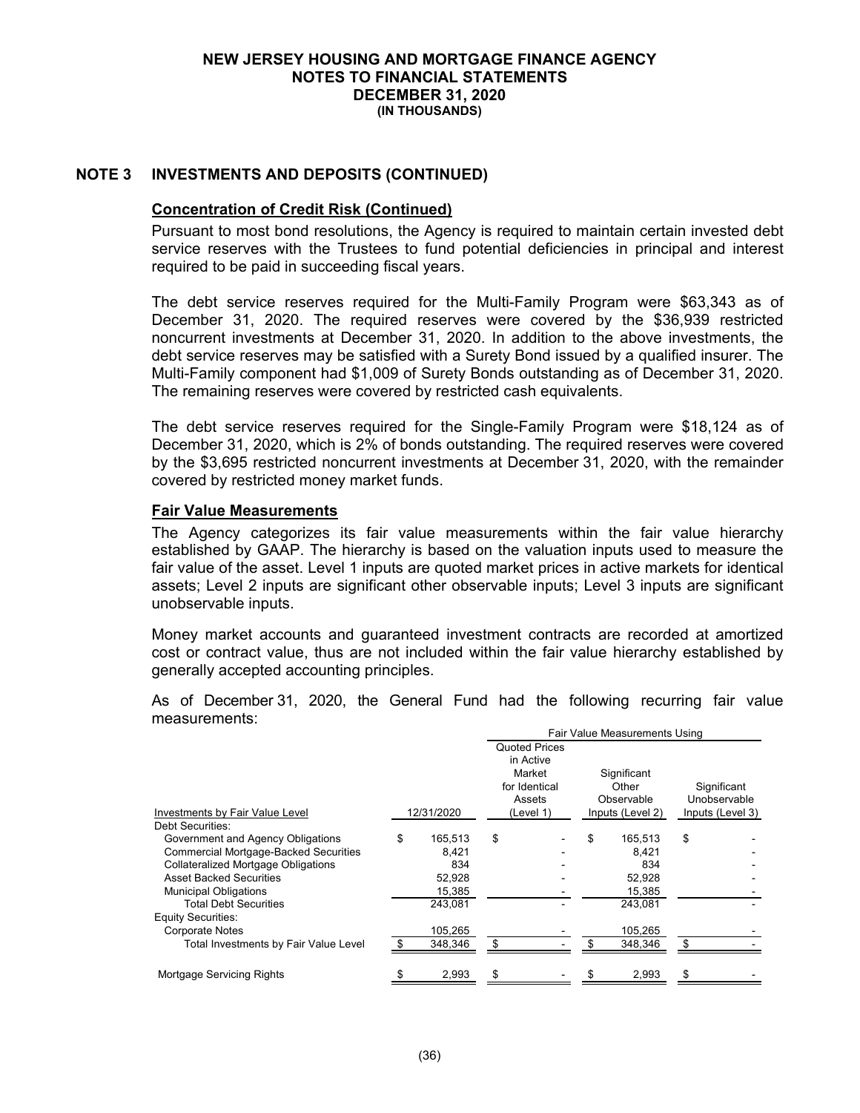### **NOTE 3 INVESTMENTS AND DEPOSITS (CONTINUED)**

#### **Concentration of Credit Risk (Continued)**

Pursuant to most bond resolutions, the Agency is required to maintain certain invested debt service reserves with the Trustees to fund potential deficiencies in principal and interest required to be paid in succeeding fiscal years.

The debt service reserves required for the Multi-Family Program were \$63,343 as of December 31, 2020. The required reserves were covered by the \$36,939 restricted noncurrent investments at December 31, 2020. In addition to the above investments, the debt service reserves may be satisfied with a Surety Bond issued by a qualified insurer. The Multi-Family component had \$1,009 of Surety Bonds outstanding as of December 31, 2020. The remaining reserves were covered by restricted cash equivalents.

The debt service reserves required for the Single-Family Program were \$18,124 as of December 31, 2020, which is 2% of bonds outstanding. The required reserves were covered by the \$3,695 restricted noncurrent investments at December 31, 2020, with the remainder covered by restricted money market funds.

#### **Fair Value Measurements**

The Agency categorizes its fair value measurements within the fair value hierarchy established by GAAP. The hierarchy is based on the valuation inputs used to measure the fair value of the asset. Level 1 inputs are quoted market prices in active markets for identical assets; Level 2 inputs are significant other observable inputs; Level 3 inputs are significant unobservable inputs.

Money market accounts and guaranteed investment contracts are recorded at amortized cost or contract value, thus are not included within the fair value hierarchy established by generally accepted accounting principles.

As of December 31, 2020, the General Fund had the following recurring fair value measurements: Fair Value Measurements Using

|               | Fair value Measurements Using |  |                                                                                     |         |                                               |                             |
|---------------|-------------------------------|--|-------------------------------------------------------------------------------------|---------|-----------------------------------------------|-----------------------------|
|               |                               |  |                                                                                     | Other   |                                               | Significant<br>Unobservable |
|               |                               |  |                                                                                     |         |                                               | Inputs (Level 3)            |
|               |                               |  |                                                                                     |         |                                               |                             |
| \$<br>165,513 | \$                            |  | \$                                                                                  | 165,513 | \$                                            |                             |
| 8.421         |                               |  |                                                                                     | 8.421   |                                               |                             |
| 834           |                               |  |                                                                                     | 834     |                                               |                             |
| 52,928        |                               |  |                                                                                     | 52,928  |                                               |                             |
| 15,385        |                               |  |                                                                                     | 15,385  |                                               |                             |
| 243,081       |                               |  |                                                                                     | 243.081 |                                               |                             |
|               |                               |  |                                                                                     |         |                                               |                             |
| 105,265       |                               |  |                                                                                     | 105,265 |                                               |                             |
| 348,346       |                               |  |                                                                                     | 348,346 |                                               |                             |
| 2,993         | \$                            |  |                                                                                     | 2,993   |                                               |                             |
|               | 12/31/2020                    |  | <b>Quoted Prices</b><br>in Active<br>Market<br>for Identical<br>Assets<br>(Level 1) |         | Significant<br>Observable<br>Inputs (Level 2) |                             |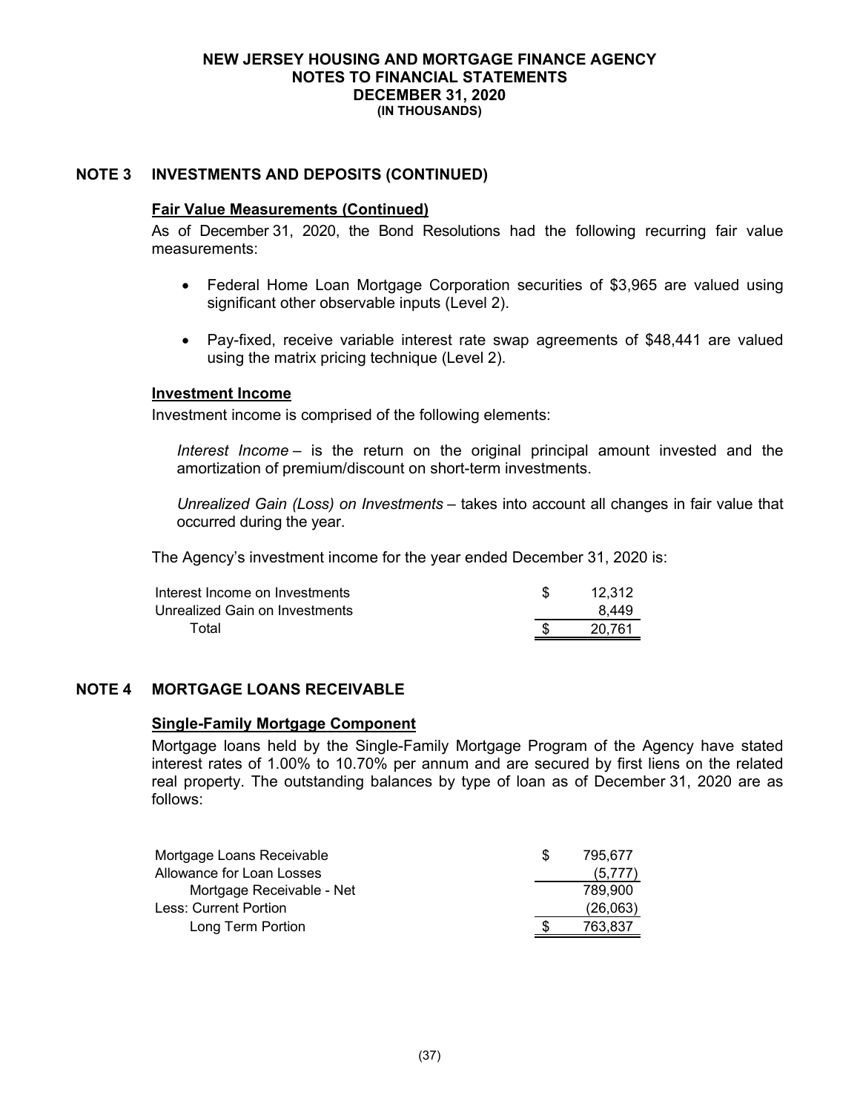### **NOTE 3 INVESTMENTS AND DEPOSITS (CONTINUED)**

### **Fair Value Measurements (Continued)**

As of December 31, 2020, the Bond Resolutions had the following recurring fair value measurements:

- Federal Home Loan Mortgage Corporation securities of \$3,965 are valued using significant other observable inputs (Level 2).
- Pay-fixed, receive variable interest rate swap agreements of \$48,441 are valued using the matrix pricing technique (Level 2).

#### **Investment Income**

Investment income is comprised of the following elements:

*Interest Income* – is the return on the original principal amount invested and the amortization of premium/discount on short-term investments.

*Unrealized Gain (Loss) on Investments* – takes into account all changes in fair value that occurred during the year.

The Agency's investment income for the year ended December 31, 2020 is:

| Interest Income on Investments | 12.312 |
|--------------------------------|--------|
| Unrealized Gain on Investments | 8.449  |
| Total                          | 20.761 |

### **NOTE 4 MORTGAGE LOANS RECEIVABLE**

### **Single-Family Mortgage Component**

Mortgage loans held by the Single-Family Mortgage Program of the Agency have stated interest rates of 1.00% to 10.70% per annum and are secured by first liens on the related real property. The outstanding balances by type of loan as of December 31, 2020 are as follows:

| Mortgage Loans Receivable | 795.677  |
|---------------------------|----------|
| Allowance for Loan Losses | (5, 777) |
| Mortgage Receivable - Net | 789.900  |
| Less: Current Portion     | (26,063) |
| Long Term Portion         | 763.837  |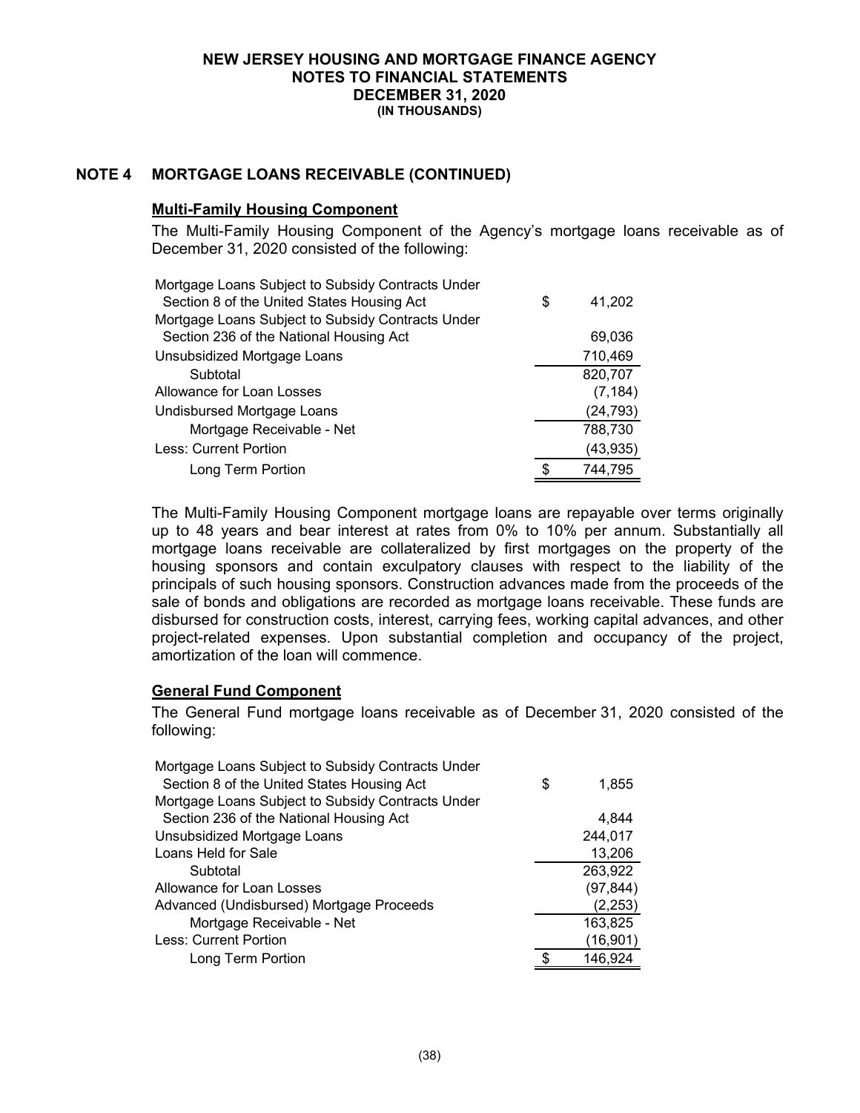### **NOTE 4 MORTGAGE LOANS RECEIVABLE (CONTINUED)**

#### **Multi-Family Housing Component**

The Multi-Family Housing Component of the Agency's mortgage loans receivable as of December 31, 2020 consisted of the following:

| Mortgage Loans Subject to Subsidy Contracts Under |    |           |
|---------------------------------------------------|----|-----------|
| Section 8 of the United States Housing Act        | \$ | 41,202    |
| Mortgage Loans Subject to Subsidy Contracts Under |    |           |
| Section 236 of the National Housing Act           |    | 69,036    |
| Unsubsidized Mortgage Loans                       |    | 710,469   |
| Subtotal                                          |    | 820,707   |
| Allowance for Loan Losses                         |    | (7, 184)  |
| Undisbursed Mortgage Loans                        |    | (24, 793) |
| Mortgage Receivable - Net                         |    | 788,730   |
| Less: Current Portion                             |    | (43, 935) |
| Long Term Portion                                 | S  | 744,795   |

The Multi-Family Housing Component mortgage loans are repayable over terms originally up to 48 years and bear interest at rates from 0% to 10% per annum. Substantially all mortgage loans receivable are collateralized by first mortgages on the property of the housing sponsors and contain exculpatory clauses with respect to the liability of the principals of such housing sponsors. Construction advances made from the proceeds of the sale of bonds and obligations are recorded as mortgage loans receivable. These funds are disbursed for construction costs, interest, carrying fees, working capital advances, and other project-related expenses. Upon substantial completion and occupancy of the project, amortization of the loan will commence.

### **General Fund Component**

The General Fund mortgage loans receivable as of December 31, 2020 consisted of the following:

| Mortgage Loans Subject to Subsidy Contracts Under |   |           |
|---------------------------------------------------|---|-----------|
| Section 8 of the United States Housing Act        | S | 1.855     |
| Mortgage Loans Subject to Subsidy Contracts Under |   |           |
| Section 236 of the National Housing Act           |   | 4.844     |
| Unsubsidized Mortgage Loans                       |   | 244,017   |
| Loans Held for Sale                               |   | 13,206    |
| Subtotal                                          |   | 263,922   |
| Allowance for Loan Losses                         |   | (97, 844) |
| Advanced (Undisbursed) Mortgage Proceeds          |   | (2,253)   |
| Mortgage Receivable - Net                         |   | 163,825   |
| Less: Current Portion                             |   | (16,901)  |
| Long Term Portion                                 |   | 146,924   |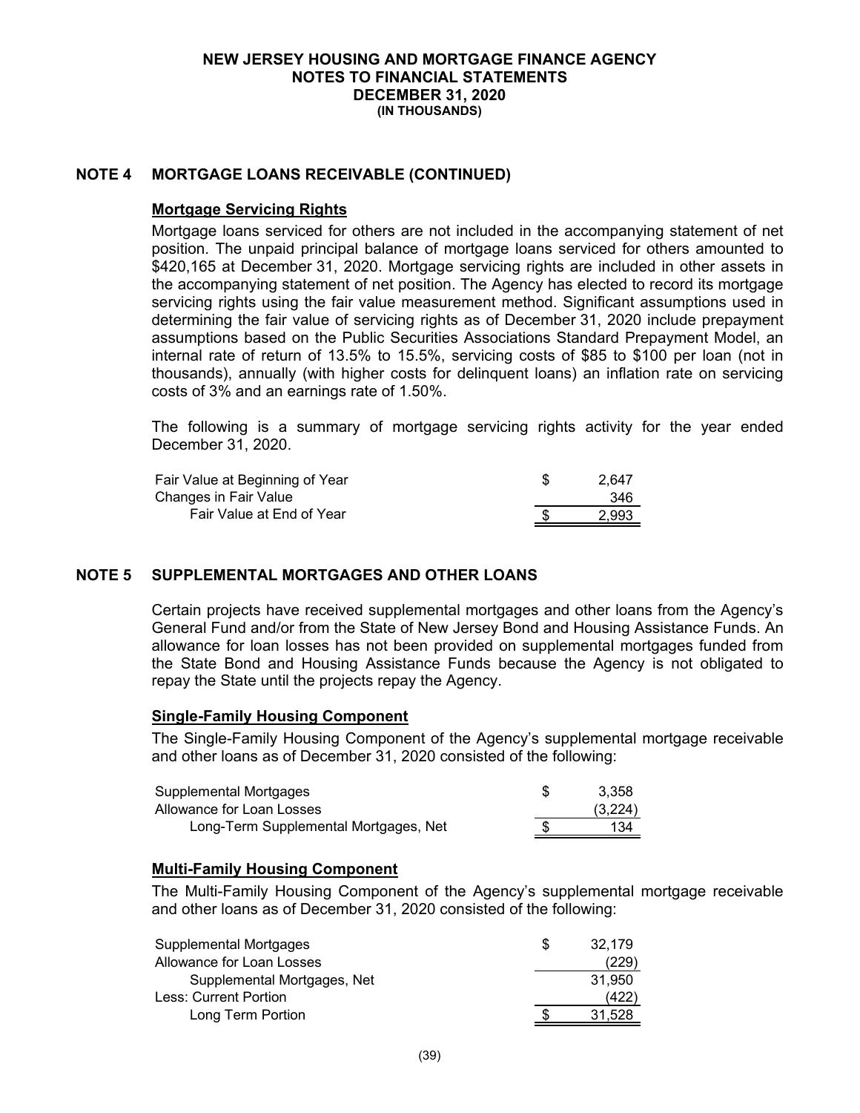### **NOTE 4 MORTGAGE LOANS RECEIVABLE (CONTINUED)**

#### **Mortgage Servicing Rights**

Mortgage loans serviced for others are not included in the accompanying statement of net position. The unpaid principal balance of mortgage loans serviced for others amounted to \$420,165 at December 31, 2020. Mortgage servicing rights are included in other assets in the accompanying statement of net position. The Agency has elected to record its mortgage servicing rights using the fair value measurement method. Significant assumptions used in determining the fair value of servicing rights as of December 31, 2020 include prepayment assumptions based on the Public Securities Associations Standard Prepayment Model, an internal rate of return of 13.5% to 15.5%, servicing costs of \$85 to \$100 per loan (not in thousands), annually (with higher costs for delinquent loans) an inflation rate on servicing costs of 3% and an earnings rate of 1.50%.

The following is a summary of mortgage servicing rights activity for the year ended December 31, 2020.

| Fair Value at Beginning of Year | 2.647 |
|---------------------------------|-------|
| Changes in Fair Value           | 346   |
| Fair Value at End of Year       | 2.993 |

### **NOTE 5 SUPPLEMENTAL MORTGAGES AND OTHER LOANS**

Certain projects have received supplemental mortgages and other loans from the Agency's General Fund and/or from the State of New Jersey Bond and Housing Assistance Funds. An allowance for loan losses has not been provided on supplemental mortgages funded from the State Bond and Housing Assistance Funds because the Agency is not obligated to repay the State until the projects repay the Agency.

### **Single-Family Housing Component**

The Single-Family Housing Component of the Agency's supplemental mortgage receivable and other loans as of December 31, 2020 consisted of the following:

| Supplemental Mortgages                | 3.358   |
|---------------------------------------|---------|
| Allowance for Loan Losses             | (3,224) |
| Long-Term Supplemental Mortgages, Net | 134     |

### **Multi-Family Housing Component**

The Multi-Family Housing Component of the Agency's supplemental mortgage receivable and other loans as of December 31, 2020 consisted of the following:

| Supplemental Mortgages      | 32.179 |
|-----------------------------|--------|
| Allowance for Loan Losses   | (229   |
| Supplemental Mortgages, Net | 31.950 |
| Less: Current Portion       | (422`  |
| Long Term Portion           | 31.528 |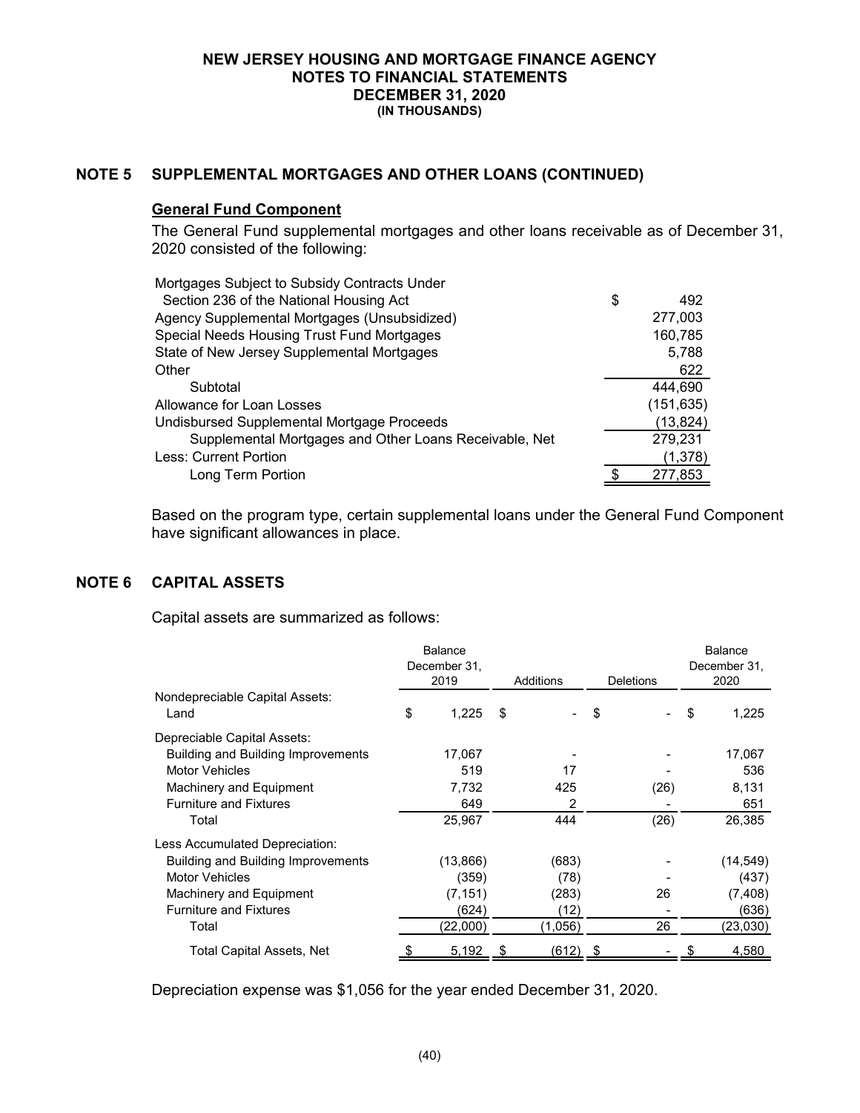### **NOTE 5 SUPPLEMENTAL MORTGAGES AND OTHER LOANS (CONTINUED)**

### **General Fund Component**

The General Fund supplemental mortgages and other loans receivable as of December 31, 2020 consisted of the following:

| Mortgages Subject to Subsidy Contracts Under           |            |
|--------------------------------------------------------|------------|
| Section 236 of the National Housing Act                | \$<br>492  |
| Agency Supplemental Mortgages (Unsubsidized)           | 277,003    |
| Special Needs Housing Trust Fund Mortgages             | 160,785    |
| State of New Jersey Supplemental Mortgages             | 5,788      |
| Other                                                  | 622        |
| Subtotal                                               | 444,690    |
| Allowance for Loan Losses                              | (151, 635) |
| Undisbursed Supplemental Mortgage Proceeds             | (13, 824)  |
| Supplemental Mortgages and Other Loans Receivable, Net | 279,231    |
| Less: Current Portion                                  | (1, 378)   |
| Long Term Portion                                      | 277,853    |

Based on the program type, certain supplemental loans under the General Fund Component have significant allowances in place.

# **NOTE 6 CAPITAL ASSETS**

Capital assets are summarized as follows:

|                                           |    | <b>Balance</b><br>December 31.<br>2019 | Additions<br><b>Deletions</b> |    |      |   | Balance<br>December 31,<br>2020 |  |  |
|-------------------------------------------|----|----------------------------------------|-------------------------------|----|------|---|---------------------------------|--|--|
| Nondepreciable Capital Assets:<br>Land    | \$ | 1.225                                  | \$                            | \$ |      | S | 1,225                           |  |  |
| Depreciable Capital Assets:               |    |                                        |                               |    |      |   |                                 |  |  |
| <b>Building and Building Improvements</b> |    | 17,067                                 |                               |    |      |   | 17,067                          |  |  |
| <b>Motor Vehicles</b>                     |    | 519                                    | 17                            |    |      |   | 536                             |  |  |
| Machinery and Equipment                   |    | 7,732                                  | 425                           |    | (26) |   | 8,131                           |  |  |
| <b>Furniture and Fixtures</b>             |    | 649                                    | 2                             |    |      |   | 651                             |  |  |
| Total                                     |    | 25,967                                 | 444                           |    | (26) |   | 26,385                          |  |  |
| Less Accumulated Depreciation:            |    |                                        |                               |    |      |   |                                 |  |  |
| <b>Building and Building Improvements</b> |    | (13, 866)                              | (683)                         |    |      |   | (14, 549)                       |  |  |
| <b>Motor Vehicles</b>                     |    | (359)                                  | (78)                          |    |      |   | (437)                           |  |  |
| Machinery and Equipment                   |    | (7, 151)                               | (283)                         |    | 26   |   | (7, 408)                        |  |  |
| <b>Furniture and Fixtures</b>             |    | (624)                                  | (12)                          |    |      |   | (636)                           |  |  |
| Total                                     |    | (22,000)                               | (1,056)                       |    | 26   |   | (23,030)                        |  |  |
| Total Capital Assets, Net                 |    | 5,192                                  | (612)                         |    |      |   | 4,580                           |  |  |

Depreciation expense was \$1,056 for the year ended December 31, 2020.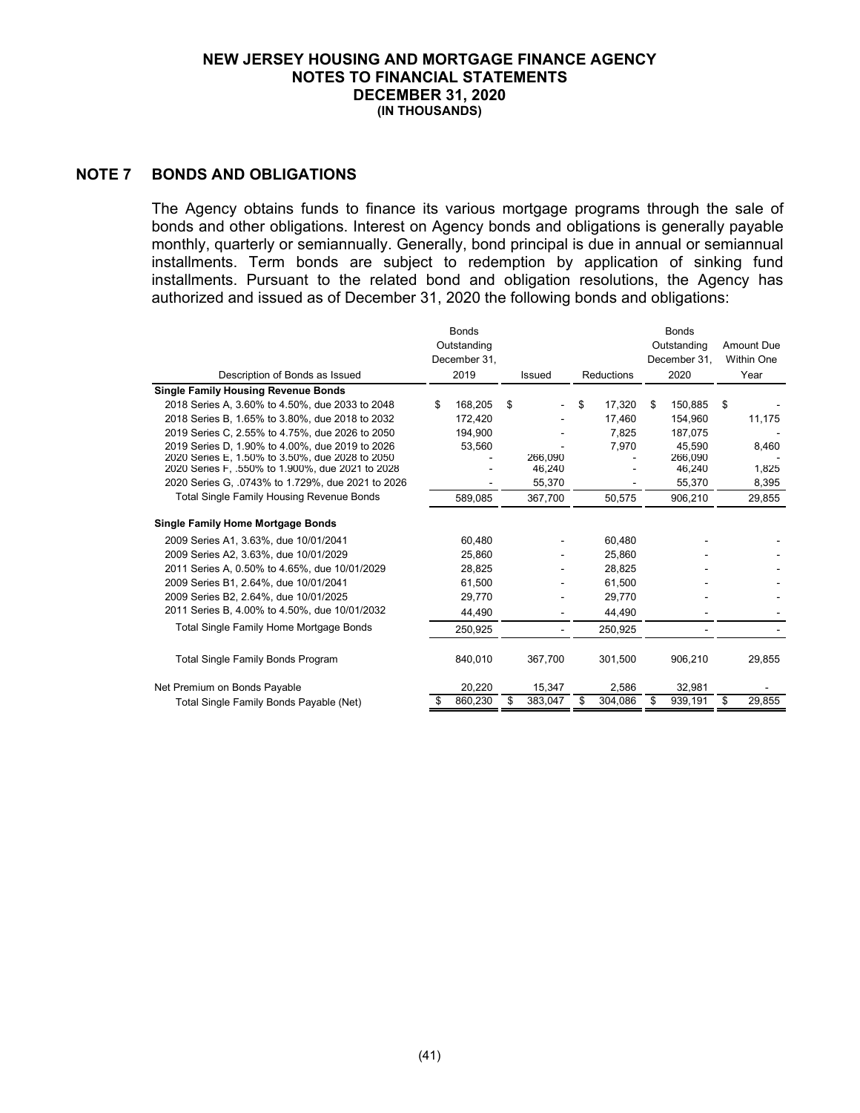### **NOTE 7 BONDS AND OBLIGATIONS**

The Agency obtains funds to finance its various mortgage programs through the sale of bonds and other obligations. Interest on Agency bonds and obligations is generally payable monthly, quarterly or semiannually. Generally, bond principal is due in annual or semiannual installments. Term bonds are subject to redemption by application of sinking fund installments. Pursuant to the related bond and obligation resolutions, the Agency has authorized and issued as of December 31, 2020 the following bonds and obligations:

|                                                   | <b>Bonds</b><br>Outstanding<br>December 31,<br>2019<br>Issued |         |    |         |                   |         | <b>Bonds</b><br>Outstanding<br>December 31, |         | <b>Amount Due</b><br><b>Within One</b> |        |
|---------------------------------------------------|---------------------------------------------------------------|---------|----|---------|-------------------|---------|---------------------------------------------|---------|----------------------------------------|--------|
| Description of Bonds as Issued                    |                                                               |         |    |         | <b>Reductions</b> |         | 2020                                        |         | Year                                   |        |
| <b>Single Family Housing Revenue Bonds</b>        |                                                               |         |    |         |                   |         |                                             |         |                                        |        |
| 2018 Series A, 3.60% to 4.50%, due 2033 to 2048   |                                                               | 168,205 | \$ |         | \$                | 17,320  | \$                                          | 150,885 | \$                                     |        |
| 2018 Series B, 1.65% to 3.80%, due 2018 to 2032   |                                                               | 172.420 |    |         |                   | 17,460  |                                             | 154.960 |                                        | 11,175 |
| 2019 Series C. 2.55% to 4.75%, due 2026 to 2050   |                                                               | 194.900 |    |         |                   | 7.825   |                                             | 187.075 |                                        |        |
| 2019 Series D, 1.90% to 4.00%, due 2019 to 2026   |                                                               | 53,560  |    |         |                   | 7,970   |                                             | 45.590  |                                        | 8,460  |
| 2020 Series E. 1.50% to 3.50%, due 2028 to 2050   |                                                               |         |    | 266.090 |                   |         |                                             | 266.090 |                                        |        |
| 2020 Series F, .550% to 1.900%, due 2021 to 2028  |                                                               |         |    | 46,240  |                   |         |                                             | 46,240  |                                        | 1,825  |
| 2020 Series G, .0743% to 1.729%, due 2021 to 2026 |                                                               |         |    | 55,370  |                   |         |                                             | 55,370  |                                        | 8,395  |
| <b>Total Single Family Housing Revenue Bonds</b>  |                                                               | 589,085 |    | 367,700 |                   | 50,575  |                                             | 906,210 |                                        | 29,855 |
| <b>Single Family Home Mortgage Bonds</b>          |                                                               |         |    |         |                   |         |                                             |         |                                        |        |
| 2009 Series A1, 3.63%, due 10/01/2041             |                                                               | 60,480  |    |         |                   | 60,480  |                                             |         |                                        |        |
| 2009 Series A2, 3.63%, due 10/01/2029             |                                                               | 25,860  |    |         |                   | 25,860  |                                             |         |                                        |        |
| 2011 Series A, 0.50% to 4.65%, due 10/01/2029     |                                                               | 28,825  |    |         |                   | 28,825  |                                             |         |                                        |        |
| 2009 Series B1, 2.64%, due 10/01/2041             |                                                               | 61.500  |    |         |                   | 61.500  |                                             |         |                                        |        |
| 2009 Series B2, 2.64%, due 10/01/2025             |                                                               | 29,770  |    |         |                   | 29,770  |                                             |         |                                        |        |
| 2011 Series B, 4.00% to 4.50%, due 10/01/2032     |                                                               | 44,490  |    |         |                   | 44,490  |                                             |         |                                        |        |
| Total Single Family Home Mortgage Bonds           |                                                               | 250,925 |    |         |                   | 250,925 |                                             |         |                                        |        |
| Total Single Family Bonds Program                 |                                                               | 840.010 |    | 367,700 |                   | 301.500 |                                             | 906,210 |                                        | 29,855 |
| Net Premium on Bonds Payable                      |                                                               | 20,220  |    | 15,347  |                   | 2,586   |                                             | 32,981  |                                        |        |
| Total Single Family Bonds Payable (Net)           |                                                               | 860,230 | S  | 383,047 | \$.               | 304,086 | S                                           | 939,191 | \$                                     | 29,855 |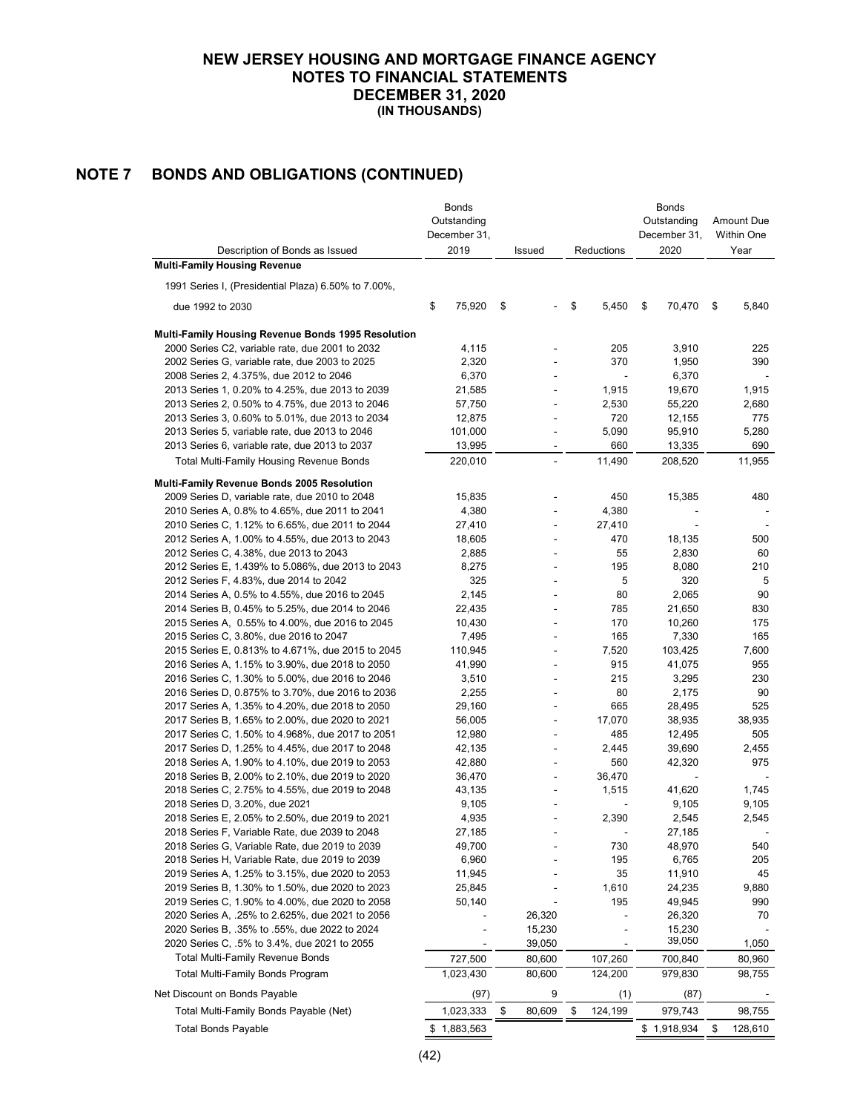# **NOTE 7 BONDS AND OBLIGATIONS (CONTINUED)**

|                                                     | Bonds<br>Outstanding<br>December 31, |        |                              |    |            | <b>Bonds</b><br>Outstanding<br>December 31, | Amount Due<br>Within One |
|-----------------------------------------------------|--------------------------------------|--------|------------------------------|----|------------|---------------------------------------------|--------------------------|
| Description of Bonds as Issued                      | 2019                                 |        | Issued                       |    | Reductions | 2020                                        | Year                     |
| <b>Multi-Family Housing Revenue</b>                 |                                      |        |                              |    |            |                                             |                          |
| 1991 Series I, (Presidential Plaza) 6.50% to 7.00%, |                                      |        |                              |    |            |                                             |                          |
| due 1992 to 2030                                    | \$                                   | 75,920 | \$                           | \$ | 5,450      | \$<br>70,470                                | \$<br>5,840              |
| Multi-Family Housing Revenue Bonds 1995 Resolution  |                                      |        |                              |    |            |                                             |                          |
| 2000 Series C2, variable rate, due 2001 to 2032     |                                      | 4,115  |                              |    | 205        | 3,910                                       | 225                      |
| 2002 Series G, variable rate, due 2003 to 2025      |                                      | 2,320  | $\overline{\phantom{a}}$     |    | 370        | 1,950                                       | 390                      |
| 2008 Series 2, 4.375%, due 2012 to 2046             |                                      | 6,370  | $\blacksquare$               |    |            | 6,370                                       |                          |
| 2013 Series 1, 0.20% to 4.25%, due 2013 to 2039     |                                      | 21,585 |                              |    | 1,915      | 19,670                                      | 1,915                    |
| 2013 Series 2, 0.50% to 4.75%, due 2013 to 2046     |                                      | 57,750 | $\overline{\phantom{a}}$     |    | 2,530      | 55,220                                      | 2,680                    |
| 2013 Series 3, 0.60% to 5.01%, due 2013 to 2034     |                                      | 12,875 | $\overline{a}$               |    | 720        | 12,155                                      | 775                      |
| 2013 Series 5, variable rate, due 2013 to 2046      | 101,000                              |        | ÷                            |    | 5,090      | 95,910                                      | 5,280                    |
| 2013 Series 6, variable rate, due 2013 to 2037      |                                      | 13,995 | $\qquad \qquad \blacksquare$ |    | 660        | 13,335                                      | 690                      |
| Total Multi-Family Housing Revenue Bonds            | 220,010                              |        | $\overline{a}$               |    | 11,490     | 208,520                                     | 11,955                   |
|                                                     |                                      |        |                              |    |            |                                             |                          |
| <b>Multi-Family Revenue Bonds 2005 Resolution</b>   |                                      |        |                              |    |            |                                             |                          |
| 2009 Series D, variable rate, due 2010 to 2048      |                                      | 15,835 | $\qquad \qquad \blacksquare$ |    | 450        | 15,385                                      | 480                      |
| 2010 Series A, 0.8% to 4.65%, due 2011 to 2041      |                                      | 4,380  | $\overline{\phantom{a}}$     |    | 4,380      |                                             |                          |
| 2010 Series C, 1.12% to 6.65%, due 2011 to 2044     |                                      | 27,410 | ÷                            |    | 27,410     |                                             |                          |
| 2012 Series A, 1.00% to 4.55%, due 2013 to 2043     |                                      | 18,605 | $\overline{\phantom{a}}$     |    | 470        | 18,135                                      | 500                      |
| 2012 Series C, 4.38%, due 2013 to 2043              |                                      | 2,885  | $\blacksquare$               |    | 55         | 2,830                                       | 60                       |
| 2012 Series E, 1.439% to 5.086%, due 2013 to 2043   |                                      | 8,275  | ÷                            |    | 195        | 8,080                                       | 210                      |
| 2012 Series F, 4.83%, due 2014 to 2042              |                                      | 325    | $\blacksquare$               |    | 5          | 320                                         | 5                        |
| 2014 Series A, 0.5% to 4.55%, due 2016 to 2045      |                                      | 2,145  | ä,                           |    | 80         | 2,065                                       | 90                       |
| 2014 Series B, 0.45% to 5.25%, due 2014 to 2046     |                                      | 22,435 | $\blacksquare$               |    | 785        | 21,650                                      | 830                      |
| 2015 Series A, 0.55% to 4.00%, due 2016 to 2045     |                                      | 10,430 | $\blacksquare$               |    | 170        | 10,260                                      | 175                      |
| 2015 Series C, 3.80%, due 2016 to 2047              |                                      | 7,495  | ÷                            |    | 165        | 7,330                                       | 165                      |
| 2015 Series E, 0.813% to 4.671%, due 2015 to 2045   | 110,945                              |        | $\blacksquare$               |    | 7,520      | 103,425                                     | 7,600                    |
| 2016 Series A, 1.15% to 3.90%, due 2018 to 2050     |                                      | 41,990 | $\blacksquare$               |    | 915        | 41,075                                      | 955                      |
| 2016 Series C, 1.30% to 5.00%, due 2016 to 2046     |                                      | 3,510  | $\blacksquare$               |    | 215        | 3,295                                       | 230                      |
| 2016 Series D, 0.875% to 3.70%, due 2016 to 2036    |                                      | 2,255  | ۰                            |    | 80         | 2,175                                       | 90                       |
| 2017 Series A, 1.35% to 4.20%, due 2018 to 2050     |                                      | 29,160 | $\qquad \qquad \blacksquare$ |    | 665        | 28,495                                      | 525                      |
| 2017 Series B, 1.65% to 2.00%, due 2020 to 2021     |                                      | 56,005 | $\blacksquare$               |    | 17,070     | 38,935                                      | 38,935                   |
| 2017 Series C, 1.50% to 4.968%, due 2017 to 2051    |                                      | 12,980 | $\blacksquare$               |    | 485        | 12,495                                      | 505                      |
| 2017 Series D, 1.25% to 4.45%, due 2017 to 2048     |                                      | 42,135 | $\overline{\phantom{a}}$     |    | 2,445      | 39,690                                      | 2,455                    |
| 2018 Series A, 1.90% to 4.10%, due 2019 to 2053     |                                      | 42,880 | ۰                            |    | 560        | 42,320                                      | 975                      |
| 2018 Series B, 2.00% to 2.10%, due 2019 to 2020     |                                      | 36,470 | $\overline{\phantom{a}}$     |    | 36,470     |                                             |                          |
| 2018 Series C, 2.75% to 4.55%, due 2019 to 2048     |                                      | 43,135 | ÷                            |    | 1,515      | 41,620                                      | 1,745                    |
| 2018 Series D, 3.20%, due 2021                      |                                      | 9,105  |                              |    |            | 9,105                                       | 9,105                    |
| 2018 Series E, 2.05% to 2.50%, due 2019 to 2021     |                                      | 4,935  | ÷                            |    | 2,390      | 2,545                                       | 2,545                    |
| 2018 Series F, Variable Rate, due 2039 to 2048      |                                      | 27,185 |                              |    |            | 27,185                                      |                          |
| 2018 Series G, Variable Rate, due 2019 to 2039      |                                      | 49,700 |                              |    | 730        | 48,970                                      | 540                      |
| 2018 Series H, Variable Rate, due 2019 to 2039      |                                      | 6,960  |                              |    | 195        | 6,765                                       | 205                      |
| 2019 Series A, 1.25% to 3.15%, due 2020 to 2053     |                                      | 11,945 |                              |    | 35         | 11,910                                      | 45                       |
| 2019 Series B, 1.30% to 1.50%, due 2020 to 2023     |                                      | 25,845 |                              |    | 1,610      | 24,235                                      | 9,880                    |
| 2019 Series C, 1.90% to 4.00%, due 2020 to 2058     |                                      | 50,140 |                              |    | 195        | 49,945                                      | 990                      |
| 2020 Series A, .25% to 2.625%, due 2021 to 2056     |                                      |        | 26,320                       |    |            | 26,320                                      | 70                       |
| 2020 Series B, .35% to .55%, due 2022 to 2024       |                                      |        | 15,230                       |    |            | 15,230                                      |                          |
| 2020 Series C, .5% to 3.4%, due 2021 to 2055        |                                      |        | 39,050                       |    |            | 39,050                                      | 1,050                    |
| <b>Total Multi-Family Revenue Bonds</b>             | 727,500                              |        | 80,600                       |    | 107,260    | 700,840                                     | 80,960                   |
| Total Multi-Family Bonds Program                    | 1,023,430                            |        | 80,600                       |    | 124,200    | 979,830                                     | 98,755                   |
| Net Discount on Bonds Payable                       |                                      | (97)   | 9                            |    | (1)        | (87)                                        |                          |
| Total Multi-Family Bonds Payable (Net)              | 1,023,333                            |        | \$<br>80,609                 | \$ | 124,199    | 979,743                                     | 98,755                   |
| <b>Total Bonds Payable</b>                          | \$1,883,563                          |        |                              |    |            | \$1,918,934                                 | \$<br>128,610            |
|                                                     |                                      |        |                              |    |            |                                             |                          |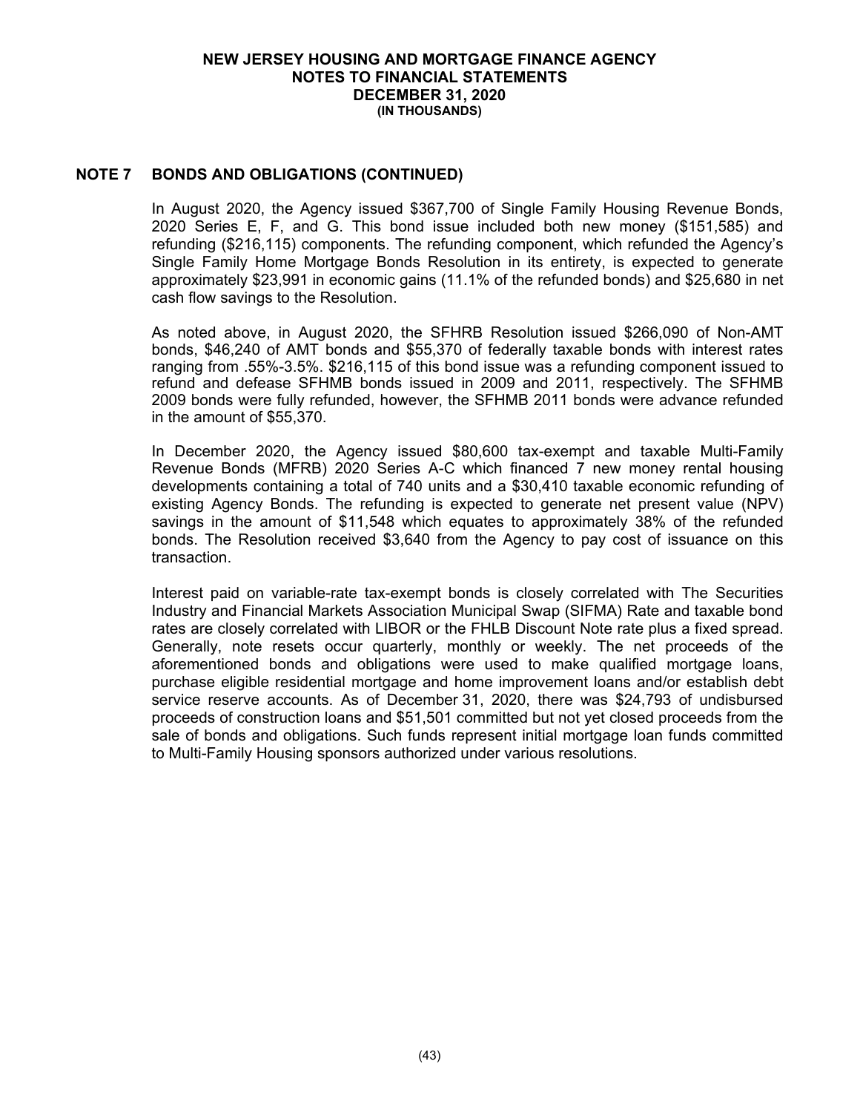### **NOTE 7 BONDS AND OBLIGATIONS (CONTINUED)**

In August 2020, the Agency issued \$367,700 of Single Family Housing Revenue Bonds, 2020 Series E, F, and G. This bond issue included both new money (\$151,585) and refunding (\$216,115) components. The refunding component, which refunded the Agency's Single Family Home Mortgage Bonds Resolution in its entirety, is expected to generate approximately \$23,991 in economic gains (11.1% of the refunded bonds) and \$25,680 in net cash flow savings to the Resolution.

As noted above, in August 2020, the SFHRB Resolution issued \$266,090 of Non-AMT bonds, \$46,240 of AMT bonds and \$55,370 of federally taxable bonds with interest rates ranging from .55%-3.5%. \$216,115 of this bond issue was a refunding component issued to refund and defease SFHMB bonds issued in 2009 and 2011, respectively. The SFHMB 2009 bonds were fully refunded, however, the SFHMB 2011 bonds were advance refunded in the amount of \$55,370.

In December 2020, the Agency issued \$80,600 tax-exempt and taxable Multi-Family Revenue Bonds (MFRB) 2020 Series A-C which financed 7 new money rental housing developments containing a total of 740 units and a \$30,410 taxable economic refunding of existing Agency Bonds. The refunding is expected to generate net present value (NPV) savings in the amount of \$11,548 which equates to approximately 38% of the refunded bonds. The Resolution received \$3,640 from the Agency to pay cost of issuance on this transaction.

Interest paid on variable-rate tax-exempt bonds is closely correlated with The Securities Industry and Financial Markets Association Municipal Swap (SIFMA) Rate and taxable bond rates are closely correlated with LIBOR or the FHLB Discount Note rate plus a fixed spread. Generally, note resets occur quarterly, monthly or weekly. The net proceeds of the aforementioned bonds and obligations were used to make qualified mortgage loans, purchase eligible residential mortgage and home improvement loans and/or establish debt service reserve accounts. As of December 31, 2020, there was \$24,793 of undisbursed proceeds of construction loans and \$51,501 committed but not yet closed proceeds from the sale of bonds and obligations. Such funds represent initial mortgage loan funds committed to Multi-Family Housing sponsors authorized under various resolutions.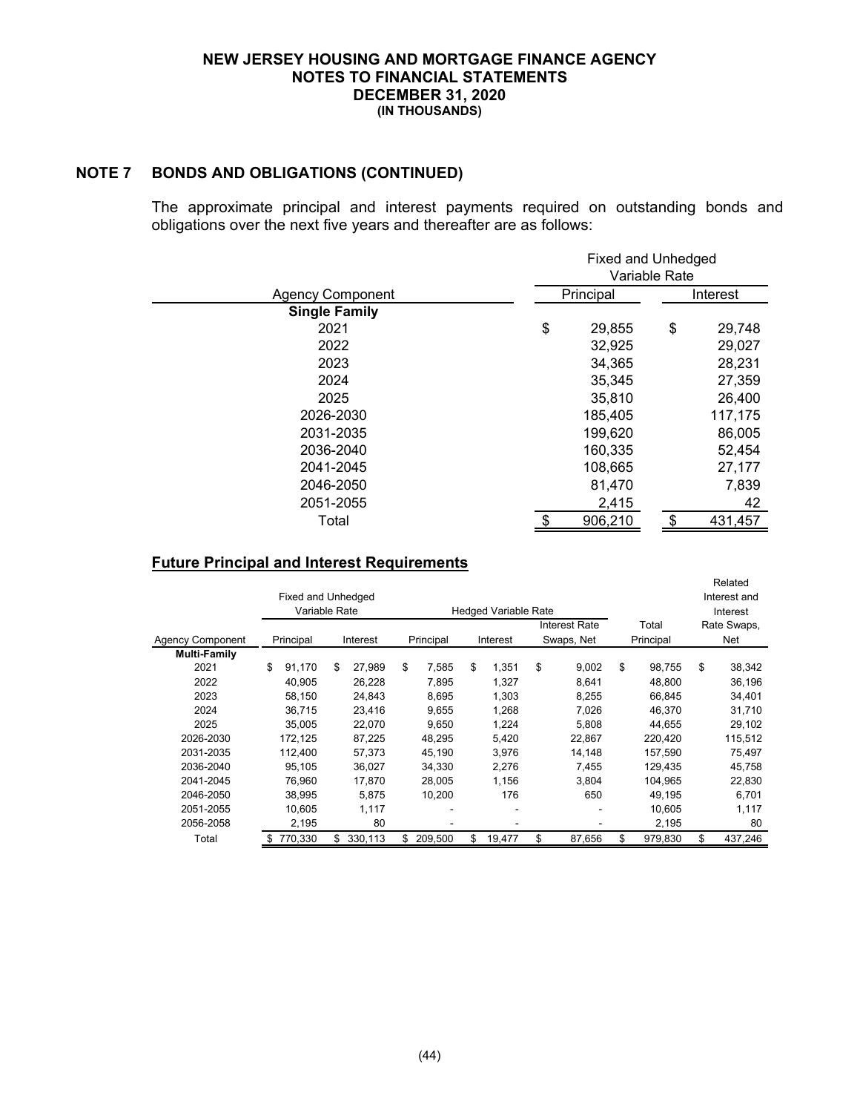# **NOTE 7 BONDS AND OBLIGATIONS (CONTINUED)**

The approximate principal and interest payments required on outstanding bonds and obligations over the next five years and thereafter are as follows:

|                         | <b>Fixed and Unhedged</b><br>Variable Rate |           |    |          |  |  |  |
|-------------------------|--------------------------------------------|-----------|----|----------|--|--|--|
| <b>Agency Component</b> |                                            | Principal |    | Interest |  |  |  |
| <b>Single Family</b>    |                                            |           |    |          |  |  |  |
| 2021                    | \$                                         | 29,855    | \$ | 29,748   |  |  |  |
| 2022                    |                                            | 32,925    |    | 29,027   |  |  |  |
| 2023                    |                                            | 34,365    |    | 28,231   |  |  |  |
| 2024                    |                                            | 35,345    |    | 27,359   |  |  |  |
| 2025                    |                                            | 35,810    |    | 26,400   |  |  |  |
| 2026-2030               |                                            | 185,405   |    | 117,175  |  |  |  |
| 2031-2035               |                                            | 199,620   |    | 86,005   |  |  |  |
| 2036-2040               |                                            | 160,335   |    | 52,454   |  |  |  |
| 2041-2045               |                                            | 108,665   |    | 27,177   |  |  |  |
| 2046-2050               |                                            | 81,470    |    | 7,839    |  |  |  |
| 2051-2055               |                                            | 2,415     |    | 42       |  |  |  |
| Total                   |                                            | 906,210   |    | 431,457  |  |  |  |

### **Future Principal and Interest Requirements**

| <b>Agency Component</b> | Fixed and Unhedged<br>Variable Rate<br>Principal | Interest      | <b>Hedged Variable Rate</b><br>Interest Rate<br>Principal<br>Interest<br>Swaps, Net |         |    |        |    |        | Total<br>Principal | Related<br>Interest and<br>Interest<br>Rate Swaps,<br>Net |
|-------------------------|--------------------------------------------------|---------------|-------------------------------------------------------------------------------------|---------|----|--------|----|--------|--------------------|-----------------------------------------------------------|
| Multi-Family            |                                                  |               |                                                                                     |         |    |        |    |        |                    |                                                           |
| 2021                    | \$<br>91,170                                     | \$<br>27,989  | \$                                                                                  | 7,585   | \$ | 1,351  | \$ | 9,002  | \$<br>98,755       | \$<br>38,342                                              |
| 2022                    | 40,905                                           | 26,228        |                                                                                     | 7,895   |    | 1,327  |    | 8,641  | 48,800             | 36,196                                                    |
| 2023                    | 58,150                                           | 24,843        |                                                                                     | 8,695   |    | 1,303  |    | 8,255  | 66,845             | 34,401                                                    |
| 2024                    | 36,715                                           | 23.416        |                                                                                     | 9,655   |    | 1,268  |    | 7,026  | 46.370             | 31,710                                                    |
| 2025                    | 35,005                                           | 22,070        |                                                                                     | 9,650   |    | 1,224  |    | 5,808  | 44,655             | 29,102                                                    |
| 2026-2030               | 172,125                                          | 87,225        |                                                                                     | 48,295  |    | 5,420  |    | 22,867 | 220,420            | 115,512                                                   |
| 2031-2035               | 112.400                                          | 57,373        |                                                                                     | 45,190  |    | 3,976  |    | 14,148 | 157,590            | 75,497                                                    |
| 2036-2040               | 95,105                                           | 36,027        |                                                                                     | 34,330  |    | 2,276  |    | 7,455  | 129,435            | 45,758                                                    |
| 2041-2045               | 76.960                                           | 17.870        |                                                                                     | 28,005  |    | 1,156  |    | 3.804  | 104,965            | 22,830                                                    |
| 2046-2050               | 38.995                                           | 5.875         |                                                                                     | 10,200  |    | 176    |    | 650    | 49,195             | 6,701                                                     |
| 2051-2055               | 10.605                                           | 1.117         |                                                                                     |         |    |        |    |        | 10.605             | 1.117                                                     |
| 2056-2058               | 2,195                                            | 80            |                                                                                     |         |    |        |    |        | 2,195              | 80                                                        |
| Total                   | 770.330<br>\$                                    | \$<br>330.113 | \$                                                                                  | 209.500 | \$ | 19,477 | \$ | 87,656 | \$<br>979,830      | \$<br>437.246                                             |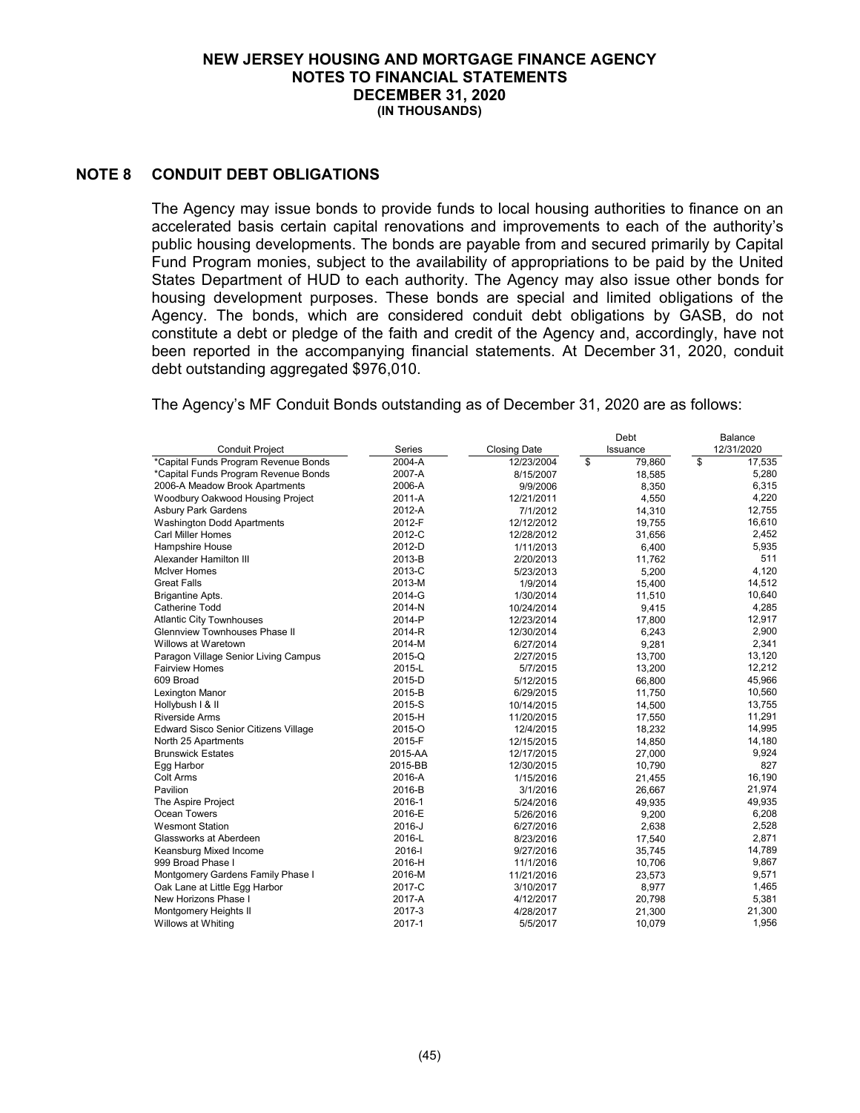### **NOTE 8 CONDUIT DEBT OBLIGATIONS**

The Agency may issue bonds to provide funds to local housing authorities to finance on an accelerated basis certain capital renovations and improvements to each of the authority's public housing developments. The bonds are payable from and secured primarily by Capital Fund Program monies, subject to the availability of appropriations to be paid by the United States Department of HUD to each authority. The Agency may also issue other bonds for housing development purposes. These bonds are special and limited obligations of the Agency. The bonds, which are considered conduit debt obligations by GASB, do not constitute a debt or pledge of the faith and credit of the Agency and, accordingly, have not been reported in the accompanying financial statements. At December 31, 2020, conduit debt outstanding aggregated \$976,010.

The Agency's MF Conduit Bonds outstanding as of December 31, 2020 are as follows:

|                                      |         |                     | Debt         | <b>Balance</b> |
|--------------------------------------|---------|---------------------|--------------|----------------|
| <b>Conduit Project</b>               | Series  | <b>Closing Date</b> | Issuance     | 12/31/2020     |
| *Capital Funds Program Revenue Bonds | 2004-A  | 12/23/2004          | \$<br>79,860 | \$<br>17,535   |
| *Capital Funds Program Revenue Bonds | 2007-A  | 8/15/2007           | 18,585       | 5,280          |
| 2006-A Meadow Brook Apartments       | 2006-A  | 9/9/2006            | 8,350        | 6,315          |
| Woodbury Oakwood Housing Project     | 2011-A  | 12/21/2011          | 4,550        | 4,220          |
| <b>Asbury Park Gardens</b>           | 2012-A  | 7/1/2012            | 14,310       | 12,755         |
| <b>Washington Dodd Apartments</b>    | 2012-F  | 12/12/2012          | 19,755       | 16,610         |
| <b>Carl Miller Homes</b>             | 2012-C  | 12/28/2012          | 31,656       | 2,452          |
| Hampshire House                      | 2012-D  | 1/11/2013           | 6,400        | 5,935          |
| Alexander Hamilton III               | 2013-B  | 2/20/2013           | 11,762       | 511            |
| <b>McIver Homes</b>                  | 2013-C  | 5/23/2013           | 5,200        | 4,120          |
| <b>Great Falls</b>                   | 2013-M  | 1/9/2014            | 15,400       | 14,512         |
| Brigantine Apts.                     | 2014-G  | 1/30/2014           | 11,510       | 10,640         |
| <b>Catherine Todd</b>                | 2014-N  | 10/24/2014          | 9,415        | 4,285          |
| <b>Atlantic City Townhouses</b>      | 2014-P  | 12/23/2014          | 17,800       | 12,917         |
| <b>Glennview Townhouses Phase II</b> | 2014-R  | 12/30/2014          | 6,243        | 2,900          |
| Willows at Waretown                  | 2014-M  | 6/27/2014           | 9,281        | 2,341          |
| Paragon Village Senior Living Campus | 2015-Q  | 2/27/2015           | 13,700       | 13,120         |
| <b>Fairview Homes</b>                | 2015-L  | 5/7/2015            | 13,200       | 12,212         |
| 609 Broad                            | 2015-D  | 5/12/2015           | 66,800       | 45,966         |
| Lexington Manor                      | 2015-B  | 6/29/2015           | 11,750       | 10,560         |
| Hollybush I & II                     | 2015-S  | 10/14/2015          | 14,500       | 13,755         |
| <b>Riverside Arms</b>                | 2015-H  | 11/20/2015          | 17,550       | 11,291         |
| Edward Sisco Senior Citizens Village | 2015-O  | 12/4/2015           | 18,232       | 14,995         |
| North 25 Apartments                  | 2015-F  | 12/15/2015          | 14,850       | 14,180         |
| <b>Brunswick Estates</b>             | 2015-AA | 12/17/2015          | 27,000       | 9,924          |
| Egg Harbor                           | 2015-BB | 12/30/2015          | 10,790       | 827            |
| Colt Arms                            | 2016-A  | 1/15/2016           | 21,455       | 16,190         |
| Pavilion                             | 2016-B  | 3/1/2016            | 26,667       | 21,974         |
| The Aspire Project                   | 2016-1  | 5/24/2016           | 49,935       | 49,935         |
| Ocean Towers                         | 2016-E  | 5/26/2016           | 9,200        | 6,208          |
| <b>Wesmont Station</b>               | 2016-J  | 6/27/2016           | 2,638        | 2,528          |
| Glassworks at Aberdeen               | 2016-L  | 8/23/2016           | 17,540       | 2,871          |
| Keansburg Mixed Income               | 2016-l  | 9/27/2016           | 35,745       | 14,789         |
| 999 Broad Phase I                    | 2016-H  | 11/1/2016           | 10,706       | 9,867          |
| Montgomery Gardens Family Phase I    | 2016-M  | 11/21/2016          | 23,573       | 9,571          |
| Oak Lane at Little Egg Harbor        | 2017-C  | 3/10/2017           | 8,977        | 1,465          |
| New Horizons Phase I                 | 2017-A  | 4/12/2017           | 20,798       | 5,381          |
| Montgomery Heights II                | 2017-3  | 4/28/2017           | 21,300       | 21,300         |
| Willows at Whiting                   | 2017-1  | 5/5/2017            | 10,079       | 1,956          |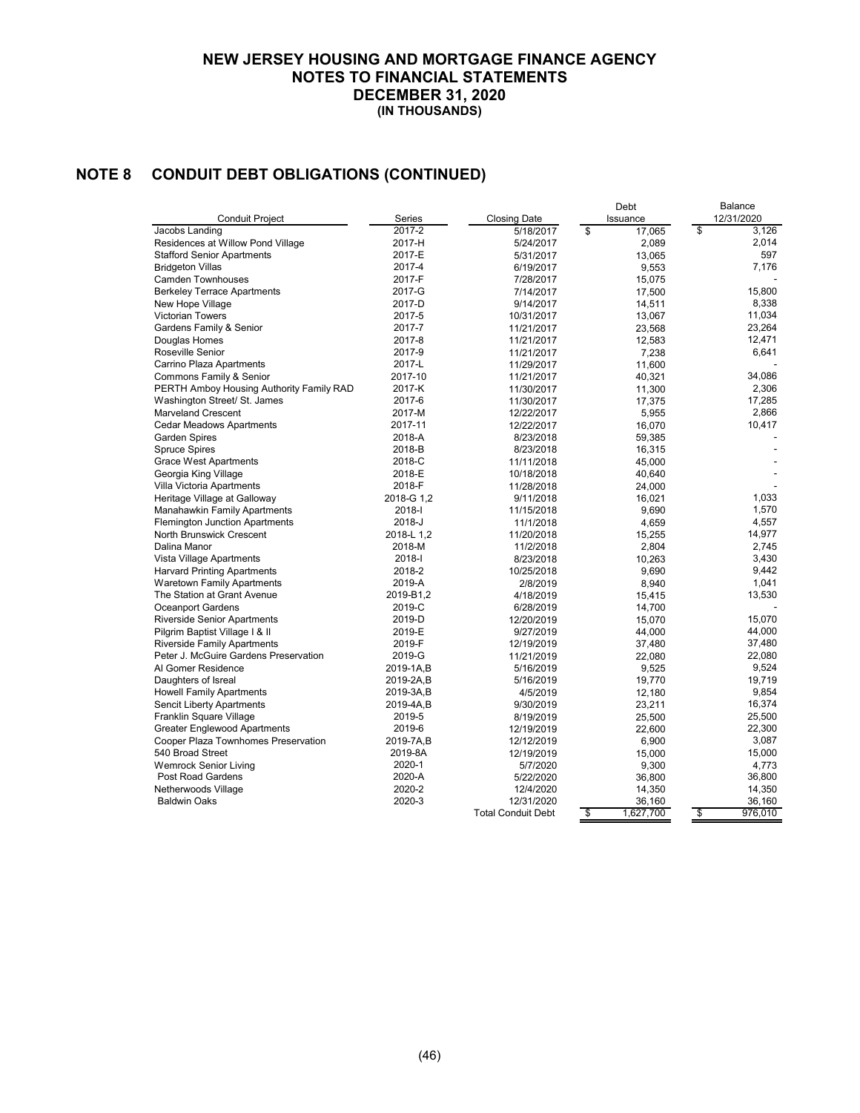# **NOTE 8 CONDUIT DEBT OBLIGATIONS (CONTINUED)**

|                                          |            |                           |                         | Debt      |    | Balance    |
|------------------------------------------|------------|---------------------------|-------------------------|-----------|----|------------|
| <b>Conduit Project</b>                   | Series     | <b>Closing Date</b>       |                         | Issuance  |    | 12/31/2020 |
| Jacobs Landing                           | 2017-2     | 5/18/2017                 | $\overline{\mathbf{s}}$ | 17,065    | s. | 3,126      |
| Residences at Willow Pond Village        | 2017-H     | 5/24/2017                 |                         | 2,089     |    | 2,014      |
| <b>Stafford Senior Apartments</b>        | 2017-E     | 5/31/2017                 |                         | 13,065    |    | 597        |
| <b>Bridgeton Villas</b>                  | 2017-4     | 6/19/2017                 |                         | 9,553     |    | 7,176      |
| <b>Camden Townhouses</b>                 | 2017-F     | 7/28/2017                 |                         | 15,075    |    |            |
| <b>Berkeley Terrace Apartments</b>       | 2017-G     | 7/14/2017                 |                         | 17,500    |    | 15,800     |
| New Hope Village                         | 2017-D     | 9/14/2017                 |                         | 14,511    |    | 8,338      |
| <b>Victorian Towers</b>                  | 2017-5     | 10/31/2017                |                         | 13,067    |    | 11,034     |
| Gardens Family & Senior                  | 2017-7     | 11/21/2017                |                         | 23,568    |    | 23,264     |
| Douglas Homes                            | 2017-8     | 11/21/2017                |                         | 12,583    |    | 12,471     |
| Roseville Senior                         | 2017-9     | 11/21/2017                |                         | 7,238     |    | 6,641      |
| Carrino Plaza Apartments                 | 2017-L     | 11/29/2017                |                         | 11,600    |    |            |
| Commons Family & Senior                  | 2017-10    | 11/21/2017                |                         | 40,321    |    | 34,086     |
| PERTH Amboy Housing Authority Family RAD | 2017-K     | 11/30/2017                |                         | 11,300    |    | 2,306      |
| Washington Street/ St. James             | 2017-6     | 11/30/2017                |                         | 17,375    |    | 17,285     |
| <b>Marveland Crescent</b>                | 2017-M     | 12/22/2017                |                         | 5,955     |    | 2,866      |
| <b>Cedar Meadows Apartments</b>          | 2017-11    | 12/22/2017                |                         | 16,070    |    | 10,417     |
| <b>Garden Spires</b>                     | 2018-A     | 8/23/2018                 |                         | 59,385    |    |            |
| <b>Spruce Spires</b>                     | 2018-B     | 8/23/2018                 |                         | 16,315    |    |            |
| <b>Grace West Apartments</b>             | 2018-C     | 11/11/2018                |                         | 45,000    |    |            |
| Georgia King Village                     | 2018-E     | 10/18/2018                |                         | 40,640    |    |            |
| Villa Victoria Apartments                | 2018-F     | 11/28/2018                |                         | 24,000    |    |            |
| Heritage Village at Galloway             | 2018-G 1,2 | 9/11/2018                 |                         | 16,021    |    | 1,033      |
| Manahawkin Family Apartments             | 2018-l     | 11/15/2018                |                         | 9,690     |    | 1,570      |
| <b>Flemington Junction Apartments</b>    | 2018-J     | 11/1/2018                 |                         | 4,659     |    | 4,557      |
| North Brunswick Crescent                 | 2018-L 1,2 | 11/20/2018                |                         | 15,255    |    | 14,977     |
| Dalina Manor                             | 2018-M     | 11/2/2018                 |                         | 2,804     |    | 2,745      |
| Vista Village Apartments                 | 2018-l     | 8/23/2018                 |                         | 10,263    |    | 3,430      |
| <b>Harvard Printing Apartments</b>       | 2018-2     | 10/25/2018                |                         | 9.690     |    | 9,442      |
| <b>Waretown Family Apartments</b>        | 2019-A     | 2/8/2019                  |                         | 8,940     |    | 1,041      |
| The Station at Grant Avenue              | 2019-B1,2  | 4/18/2019                 |                         | 15,415    |    | 13,530     |
| <b>Oceanport Gardens</b>                 | 2019-C     | 6/28/2019                 |                         | 14,700    |    |            |
| <b>Riverside Senior Apartments</b>       | 2019-D     | 12/20/2019                |                         | 15,070    |    | 15,070     |
| Pilgrim Baptist Village I & II           | 2019-E     | 9/27/2019                 |                         | 44,000    |    | 44,000     |
| <b>Riverside Family Apartments</b>       | 2019-F     | 12/19/2019                |                         | 37,480    |    | 37,480     |
| Peter J. McGuire Gardens Preservation    | 2019-G     | 11/21/2019                |                         | 22,080    |    | 22,080     |
| Al Gomer Residence                       | 2019-1A,B  |                           |                         |           |    | 9,524      |
| Daughters of Isreal                      | 2019-2A,B  | 5/16/2019                 |                         | 9,525     |    | 19,719     |
|                                          |            | 5/16/2019                 |                         | 19,770    |    | 9,854      |
| <b>Howell Family Apartments</b>          | 2019-3A,B  | 4/5/2019                  |                         | 12,180    |    | 16,374     |
| Sencit Liberty Apartments                | 2019-4A,B  | 9/30/2019                 |                         | 23,211    |    | 25,500     |
| Franklin Square Village                  | 2019-5     | 8/19/2019                 |                         | 25,500    |    |            |
| <b>Greater Englewood Apartments</b>      | 2019-6     | 12/19/2019                |                         | 22,600    |    | 22,300     |
| Cooper Plaza Townhomes Preservation      | 2019-7A,B  | 12/12/2019                |                         | 6,900     |    | 3,087      |
| 540 Broad Street                         | 2019-8A    | 12/19/2019                |                         | 15,000    |    | 15,000     |
| <b>Wemrock Senior Living</b>             | 2020-1     | 5/7/2020                  |                         | 9,300     |    | 4,773      |
| <b>Post Road Gardens</b>                 | 2020-A     | 5/22/2020                 |                         | 36,800    |    | 36,800     |
| Netherwoods Village                      | 2020-2     | 12/4/2020                 |                         | 14,350    |    | 14,350     |
| <b>Baldwin Oaks</b>                      | 2020-3     | 12/31/2020                |                         | 36,160    |    | 36,160     |
|                                          |            | <b>Total Conduit Debt</b> | \$                      | 1,627,700 | \$ | 976,010    |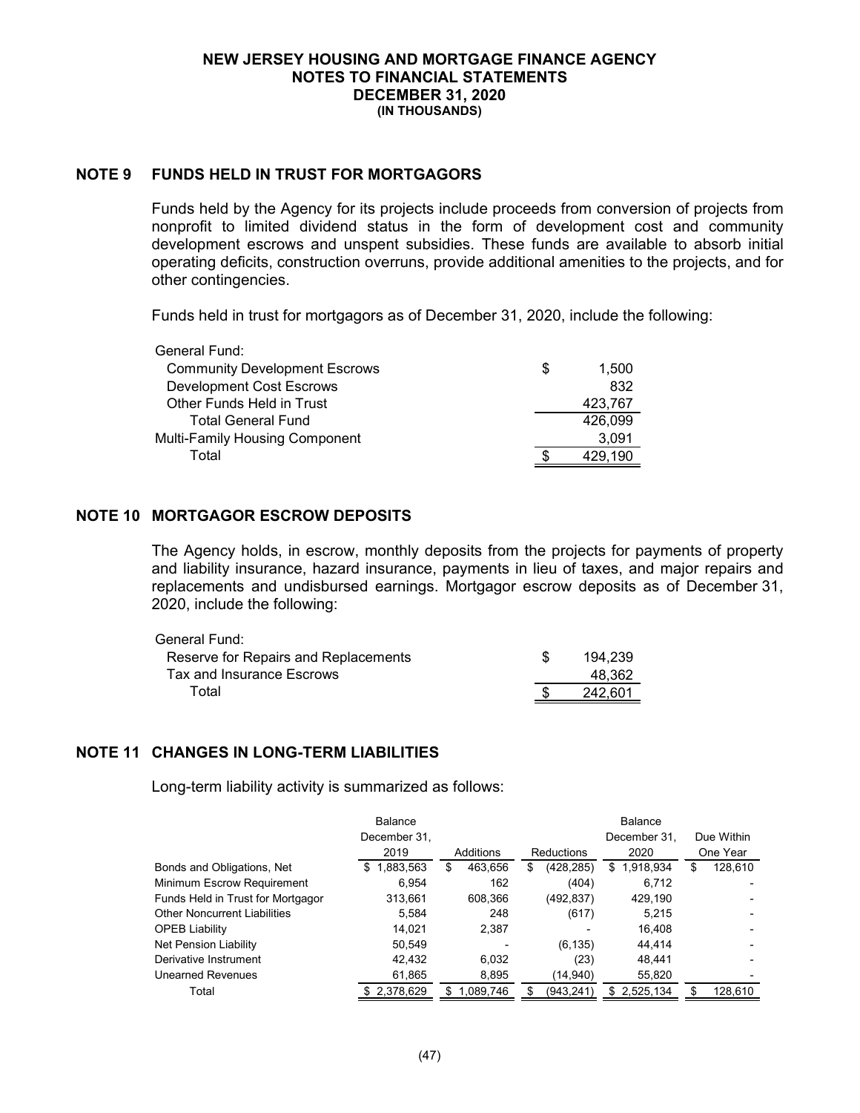### **NOTE 9 FUNDS HELD IN TRUST FOR MORTGAGORS**

Funds held by the Agency for its projects include proceeds from conversion of projects from nonprofit to limited dividend status in the form of development cost and community development escrows and unspent subsidies. These funds are available to absorb initial operating deficits, construction overruns, provide additional amenities to the projects, and for other contingencies.

Funds held in trust for mortgagors as of December 31, 2020, include the following:

| General Fund:                         |     |         |
|---------------------------------------|-----|---------|
| <b>Community Development Escrows</b>  | \$. | 1.500   |
| <b>Development Cost Escrows</b>       |     | 832     |
| Other Funds Held in Trust             |     | 423,767 |
| <b>Total General Fund</b>             |     | 426,099 |
| <b>Multi-Family Housing Component</b> |     | 3.091   |
| Total                                 |     |         |

### **NOTE 10 MORTGAGOR ESCROW DEPOSITS**

The Agency holds, in escrow, monthly deposits from the projects for payments of property and liability insurance, hazard insurance, payments in lieu of taxes, and major repairs and replacements and undisbursed earnings. Mortgagor escrow deposits as of December 31, 2020, include the following:

| General Fund:                        |         |
|--------------------------------------|---------|
| Reserve for Repairs and Replacements | 194.239 |
| Tax and Insurance Escrows            | 48.362  |
| Total                                | 242.601 |

## **NOTE 11 CHANGES IN LONG-TERM LIABILITIES**

Long-term liability activity is summarized as follows:

|                                     | <b>Balance</b> |                |                  | Balance         |               |
|-------------------------------------|----------------|----------------|------------------|-----------------|---------------|
|                                     | December 31.   |                |                  | December 31.    | Due Within    |
|                                     | 2019           | Additions      | Reductions       | 2020            | One Year      |
| Bonds and Obligations, Net          | 1,883,563<br>S | 463,656<br>\$  | (428, 285)<br>\$ | 1,918,934<br>\$ | 128,610<br>S  |
| Minimum Escrow Requirement          | 6,954          | 162            | (404)            | 6,712           |               |
| Funds Held in Trust for Mortgagor   | 313,661        | 608,366        | (492,837)        | 429,190         |               |
| <b>Other Noncurrent Liabilities</b> | 5,584          | 248            | (617)            | 5.215           |               |
| <b>OPEB Liability</b>               | 14.021         | 2,387          |                  | 16,408          |               |
| <b>Net Pension Liability</b>        | 50,549         |                | (6, 135)         | 44.414          |               |
| Derivative Instrument               | 42.432         | 6,032          | (23)             | 48.441          |               |
| <b>Unearned Revenues</b>            | 61,865         | 8,895          | (14, 940)        | 55,820          |               |
| Total                               | \$2,378,629    | 1.089.746<br>S | (943.241)        | \$2,525,134     | 128.610<br>\$ |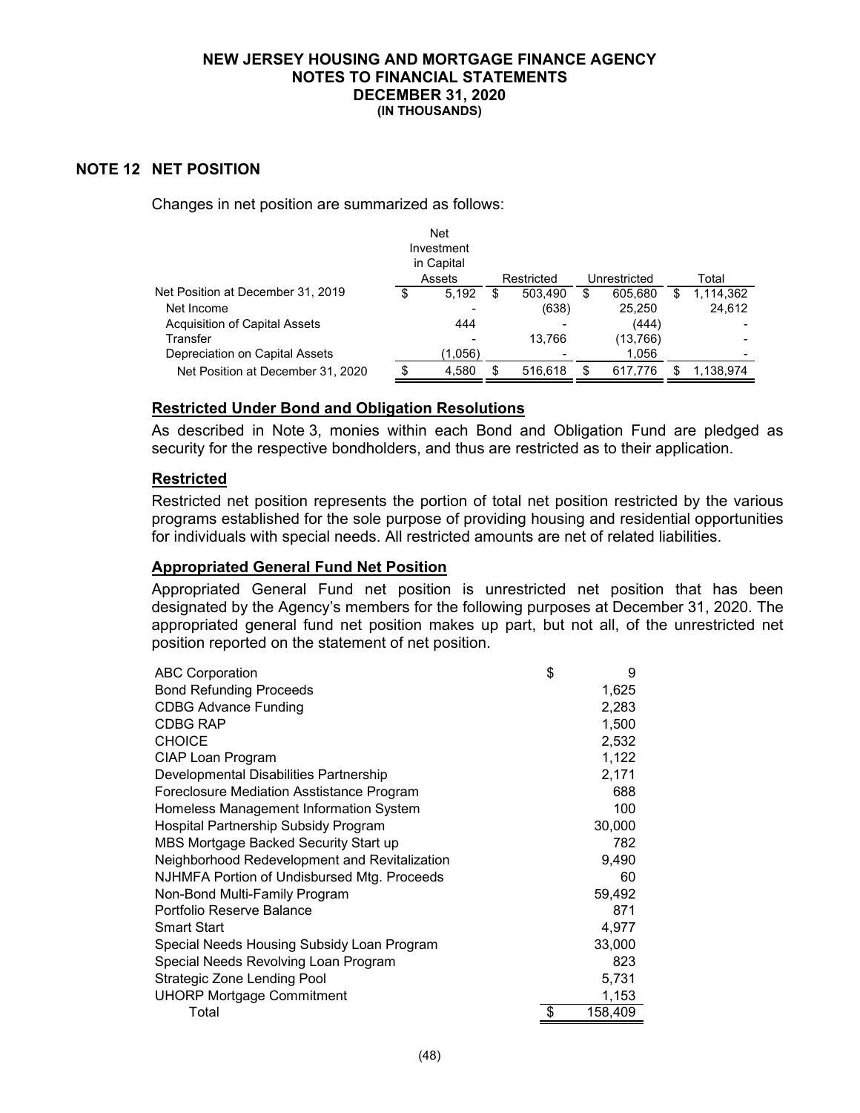### **NOTE 12 NET POSITION**

Changes in net position are summarized as follows:

|                                      |   | <b>Net</b><br>Investment<br>in Capital |            |    |              |   |           |
|--------------------------------------|---|----------------------------------------|------------|----|--------------|---|-----------|
|                                      |   | Assets                                 | Restricted |    | Unrestricted |   | Total     |
| Net Position at December 31, 2019    | S | 5.192                                  | 503.490    | \$ | 605.680      | S | 1,114,362 |
| Net Income                           |   |                                        | (638)      |    | 25,250       |   | 24,612    |
| <b>Acquisition of Capital Assets</b> |   | 444                                    |            |    | (444)        |   |           |
| Transfer                             |   |                                        | 13.766     |    | (13,766)     |   |           |
| Depreciation on Capital Assets       |   | (1,056)                                |            |    | 1,056        |   |           |
| Net Position at December 31, 2020    |   | 4.580                                  | 516.618    | S  | 617.776      |   | 1.138.974 |

### **Restricted Under Bond and Obligation Resolutions**

As described in Note 3, monies within each Bond and Obligation Fund are pledged as security for the respective bondholders, and thus are restricted as to their application.

### **Restricted**

Restricted net position represents the portion of total net position restricted by the various programs established for the sole purpose of providing housing and residential opportunities for individuals with special needs. All restricted amounts are net of related liabilities.

### **Appropriated General Fund Net Position**

Appropriated General Fund net position is unrestricted net position that has been designated by the Agency's members for the following purposes at December 31, 2020. The appropriated general fund net position makes up part, but not all, of the unrestricted net position reported on the statement of net position.

| <b>ABC Corporation</b>                        | \$<br>9       |
|-----------------------------------------------|---------------|
| <b>Bond Refunding Proceeds</b>                | 1,625         |
| <b>CDBG Advance Funding</b>                   | 2,283         |
| <b>CDBG RAP</b>                               | 1,500         |
| <b>CHOICE</b>                                 | 2,532         |
| CIAP Loan Program                             | 1,122         |
| Developmental Disabilities Partnership        | 2,171         |
| Foreclosure Mediation Asstistance Program     | 688           |
| Homeless Management Information System        | 100           |
| Hospital Partnership Subsidy Program          | 30,000        |
| MBS Mortgage Backed Security Start up         | 782           |
| Neighborhood Redevelopment and Revitalization | 9.490         |
| NJHMFA Portion of Undisbursed Mtg. Proceeds   | 60            |
| Non-Bond Multi-Family Program                 | 59,492        |
| Portfolio Reserve Balance                     | 871           |
| <b>Smart Start</b>                            | 4,977         |
| Special Needs Housing Subsidy Loan Program    | 33,000        |
| Special Needs Revolving Loan Program          | 823           |
| Strategic Zone Lending Pool                   | 5,731         |
| <b>UHORP Mortgage Commitment</b>              | 1,153         |
| Total                                         | \$<br>158,409 |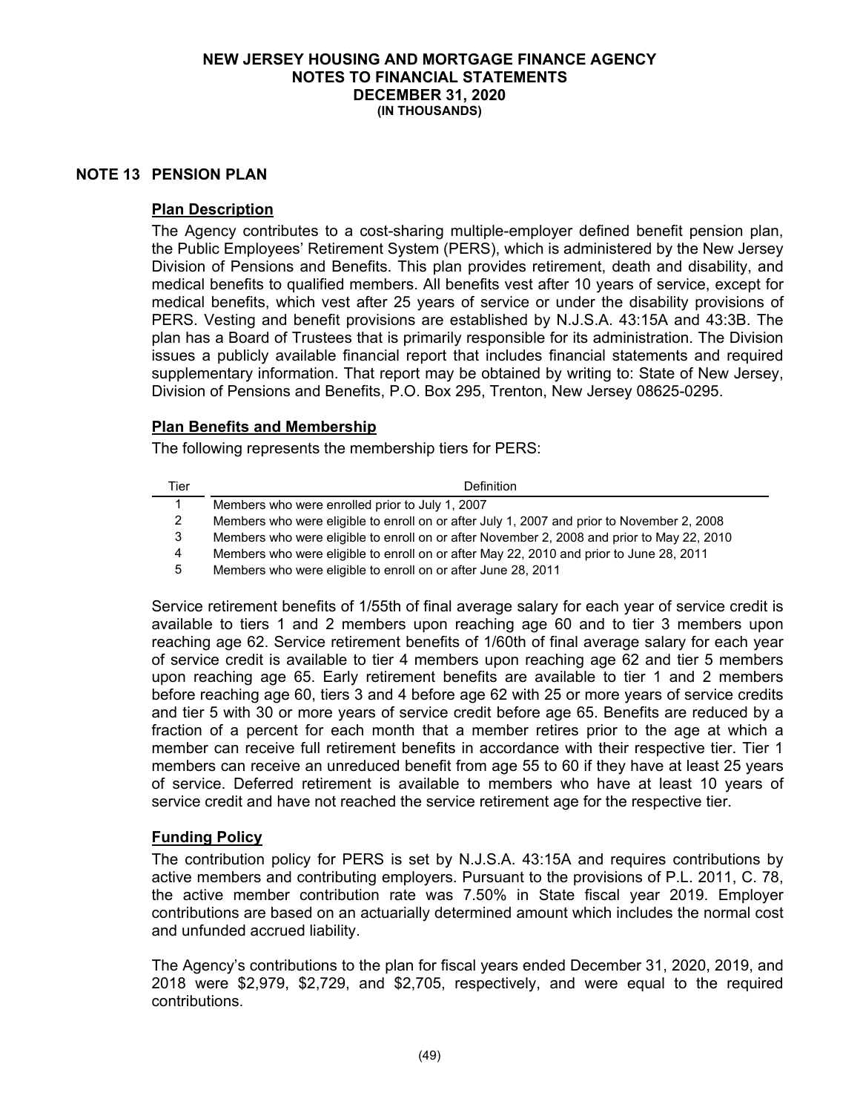#### **NOTE 13 PENSION PLAN**

#### **Plan Description**

The Agency contributes to a cost-sharing multiple-employer defined benefit pension plan, the Public Employees' Retirement System (PERS), which is administered by the New Jersey Division of Pensions and Benefits. This plan provides retirement, death and disability, and medical benefits to qualified members. All benefits vest after 10 years of service, except for medical benefits, which vest after 25 years of service or under the disability provisions of PERS. Vesting and benefit provisions are established by N.J.S.A. 43:15A and 43:3B. The plan has a Board of Trustees that is primarily responsible for its administration. The Division issues a publicly available financial report that includes financial statements and required supplementary information. That report may be obtained by writing to: State of New Jersey, Division of Pensions and Benefits, P.O. Box 295, Trenton, New Jersey 08625-0295.

### **Plan Benefits and Membership**

The following represents the membership tiers for PERS:

| Tier | Definition                                                                                 |
|------|--------------------------------------------------------------------------------------------|
|      | Members who were enrolled prior to July 1, 2007                                            |
| 2    | Members who were eligible to enroll on or after July 1, 2007 and prior to November 2, 2008 |
| 3    | Members who were eligible to enroll on or after November 2, 2008 and prior to May 22, 2010 |
| 4    | Members who were eligible to enroll on or after May 22, 2010 and prior to June 28, 2011    |
| 5    | Members who were eligible to enroll on or after June 28, 2011                              |

Service retirement benefits of 1/55th of final average salary for each year of service credit is available to tiers 1 and 2 members upon reaching age 60 and to tier 3 members upon reaching age 62. Service retirement benefits of 1/60th of final average salary for each year of service credit is available to tier 4 members upon reaching age 62 and tier 5 members upon reaching age 65. Early retirement benefits are available to tier 1 and 2 members before reaching age 60, tiers 3 and 4 before age 62 with 25 or more years of service credits and tier 5 with 30 or more years of service credit before age 65. Benefits are reduced by a fraction of a percent for each month that a member retires prior to the age at which a member can receive full retirement benefits in accordance with their respective tier. Tier 1 members can receive an unreduced benefit from age 55 to 60 if they have at least 25 years of service. Deferred retirement is available to members who have at least 10 years of service credit and have not reached the service retirement age for the respective tier.

### **Funding Policy**

The contribution policy for PERS is set by N.J.S.A. 43:15A and requires contributions by active members and contributing employers. Pursuant to the provisions of P.L. 2011, C. 78, the active member contribution rate was 7.50% in State fiscal year 2019. Employer contributions are based on an actuarially determined amount which includes the normal cost and unfunded accrued liability.

The Agency's contributions to the plan for fiscal years ended December 31, 2020, 2019, and 2018 were \$2,979, \$2,729, and \$2,705, respectively, and were equal to the required contributions.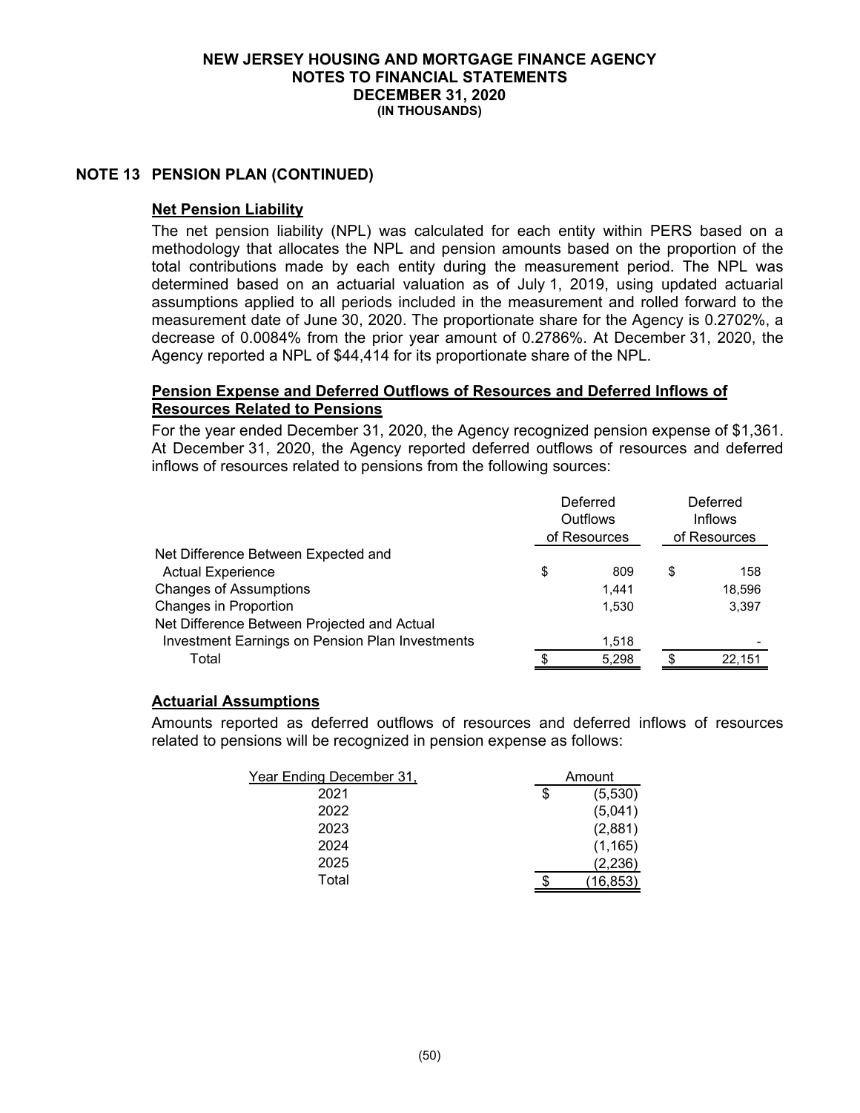### **NOTE 13 PENSION PLAN (CONTINUED)**

#### **Net Pension Liability**

The net pension liability (NPL) was calculated for each entity within PERS based on a methodology that allocates the NPL and pension amounts based on the proportion of the total contributions made by each entity during the measurement period. The NPL was determined based on an actuarial valuation as of July 1, 2019, using updated actuarial assumptions applied to all periods included in the measurement and rolled forward to the measurement date of June 30, 2020. The proportionate share for the Agency is 0.2702%, a decrease of 0.0084% from the prior year amount of 0.2786%. At December 31, 2020, the Agency reported a NPL of \$44,414 for its proportionate share of the NPL.

### **Pension Expense and Deferred Outflows of Resources and Deferred Inflows of Resources Related to Pensions**

For the year ended December 31, 2020, the Agency recognized pension expense of \$1,361. At December 31, 2020, the Agency reported deferred outflows of resources and deferred inflows of resources related to pensions from the following sources:

| Deferred<br>Outflows<br>of Resources |       | Deferred<br><b>Inflows</b><br>of Resources |        |
|--------------------------------------|-------|--------------------------------------------|--------|
|                                      |       |                                            |        |
| \$                                   | 809   | \$                                         | 158    |
|                                      | 1.441 |                                            | 18,596 |
|                                      | 1,530 |                                            | 3,397  |
|                                      |       |                                            |        |
|                                      | 1,518 |                                            |        |
|                                      | 5,298 |                                            | 22.151 |
|                                      |       |                                            |        |

### **Actuarial Assumptions**

Amounts reported as deferred outflows of resources and deferred inflows of resources related to pensions will be recognized in pension expense as follows:

| Year Ending December 31, | Amount        |
|--------------------------|---------------|
| 2021                     | \$<br>(5,530) |
| 2022                     | (5,041)       |
| 2023                     | (2,881)       |
| 2024                     | (1, 165)      |
| 2025                     | (2, 236)      |
| Total                    | 16,853)       |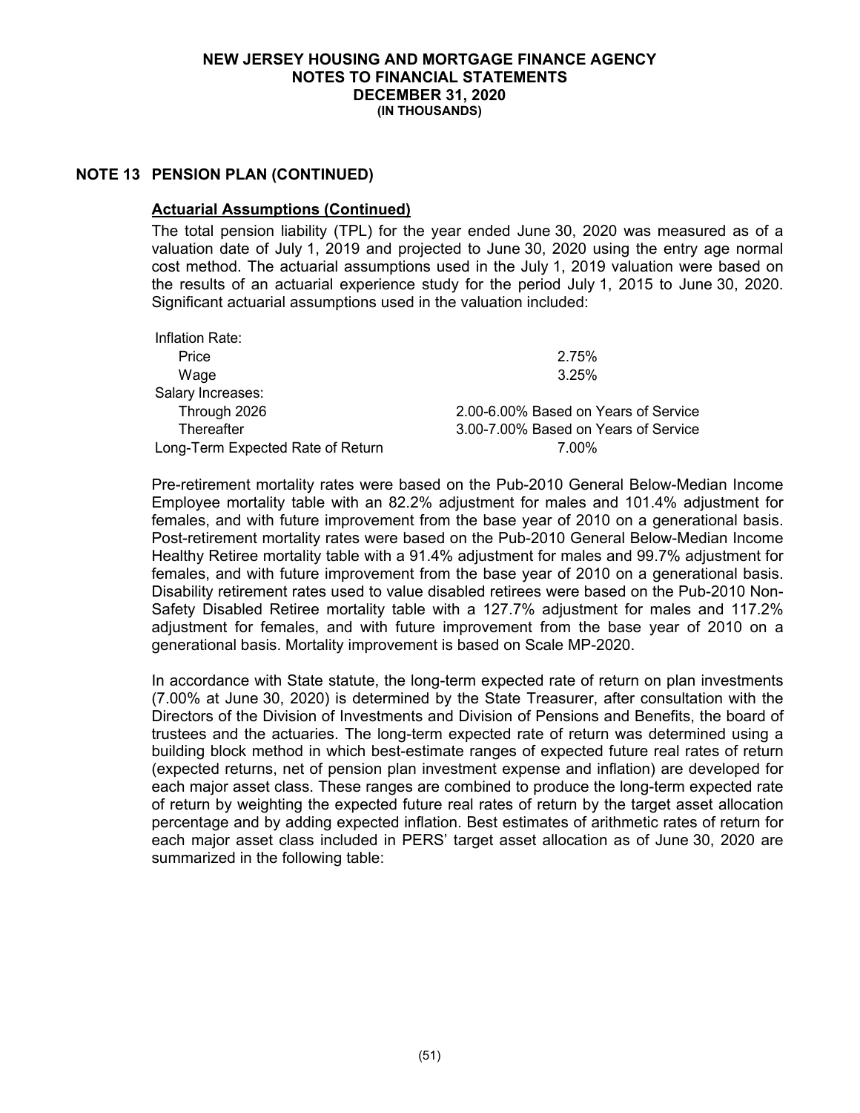### **NOTE 13 PENSION PLAN (CONTINUED)**

### **Actuarial Assumptions (Continued)**

The total pension liability (TPL) for the year ended June 30, 2020 was measured as of a valuation date of July 1, 2019 and projected to June 30, 2020 using the entry age normal cost method. The actuarial assumptions used in the July 1, 2019 valuation were based on the results of an actuarial experience study for the period July 1, 2015 to June 30, 2020. Significant actuarial assumptions used in the valuation included:

| 2.75%                                |
|--------------------------------------|
| 3.25%                                |
|                                      |
| 2.00-6.00% Based on Years of Service |
| 3.00-7.00% Based on Years of Service |
| 7.00%                                |
|                                      |

Pre-retirement mortality rates were based on the Pub-2010 General Below-Median Income Employee mortality table with an 82.2% adjustment for males and 101.4% adjustment for females, and with future improvement from the base year of 2010 on a generational basis. Post-retirement mortality rates were based on the Pub-2010 General Below-Median Income Healthy Retiree mortality table with a 91.4% adjustment for males and 99.7% adjustment for females, and with future improvement from the base year of 2010 on a generational basis. Disability retirement rates used to value disabled retirees were based on the Pub-2010 Non-Safety Disabled Retiree mortality table with a 127.7% adjustment for males and 117.2% adjustment for females, and with future improvement from the base year of 2010 on a generational basis. Mortality improvement is based on Scale MP-2020.

In accordance with State statute, the long-term expected rate of return on plan investments (7.00% at June 30, 2020) is determined by the State Treasurer, after consultation with the Directors of the Division of Investments and Division of Pensions and Benefits, the board of trustees and the actuaries. The long-term expected rate of return was determined using a building block method in which best-estimate ranges of expected future real rates of return (expected returns, net of pension plan investment expense and inflation) are developed for each major asset class. These ranges are combined to produce the long-term expected rate of return by weighting the expected future real rates of return by the target asset allocation percentage and by adding expected inflation. Best estimates of arithmetic rates of return for each major asset class included in PERS' target asset allocation as of June 30, 2020 are summarized in the following table: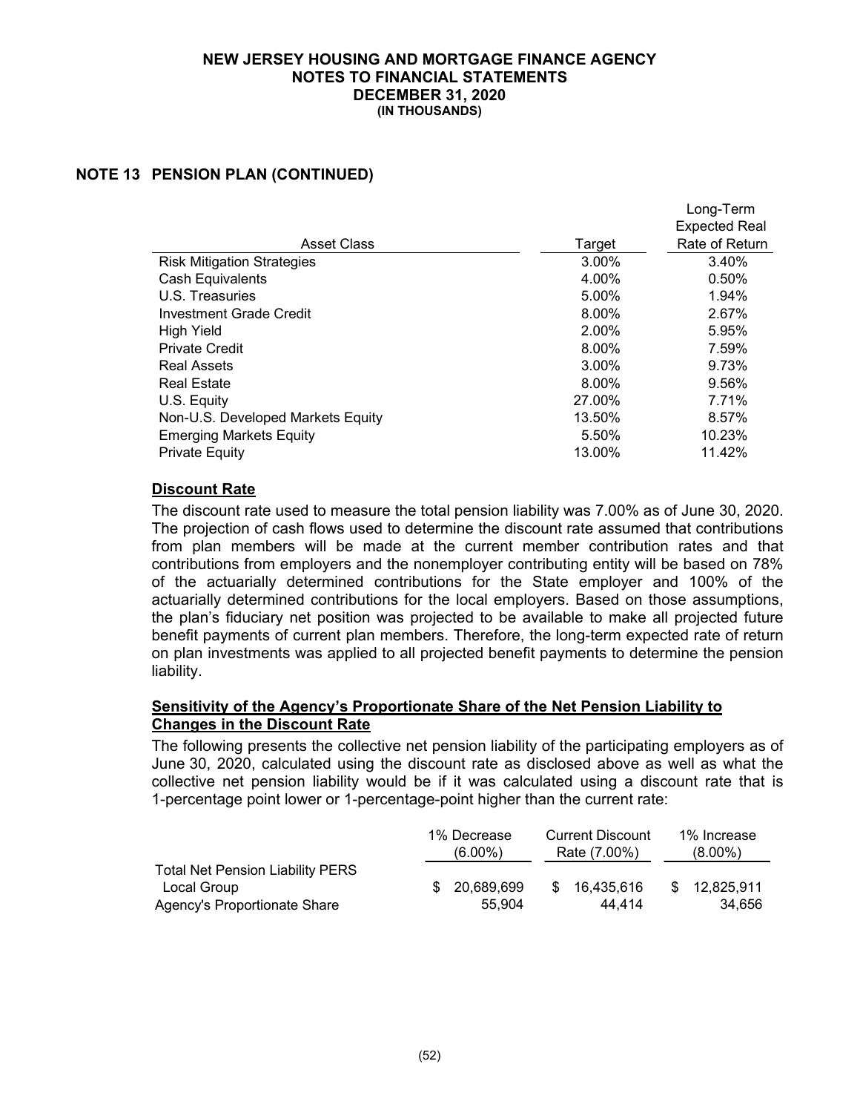## **NOTE 13 PENSION PLAN (CONTINUED)**

|                                   |        | LUIY-TUIT            |
|-----------------------------------|--------|----------------------|
|                                   |        | <b>Expected Real</b> |
| Asset Class                       | Target | Rate of Return       |
| <b>Risk Mitigation Strategies</b> | 3.00%  | 3.40%                |
| Cash Equivalents                  | 4.00%  | 0.50%                |
| U.S. Treasuries                   | 5.00%  | 1.94%                |
| Investment Grade Credit           | 8.00%  | 2.67%                |
| <b>High Yield</b>                 | 2.00%  | 5.95%                |
| <b>Private Credit</b>             | 8.00%  | 7.59%                |
| <b>Real Assets</b>                | 3.00%  | 9.73%                |
| <b>Real Estate</b>                | 8.00%  | 9.56%                |
| U.S. Equity                       | 27.00% | 7.71%                |
| Non-U.S. Developed Markets Equity | 13.50% | 8.57%                |
| <b>Emerging Markets Equity</b>    | 5.50%  | 10.23%               |
| <b>Private Equity</b>             | 13.00% | 11.42%               |
|                                   |        |                      |

Long-Term

### **Discount Rate**

The discount rate used to measure the total pension liability was 7.00% as of June 30, 2020. The projection of cash flows used to determine the discount rate assumed that contributions from plan members will be made at the current member contribution rates and that contributions from employers and the nonemployer contributing entity will be based on 78% of the actuarially determined contributions for the State employer and 100% of the actuarially determined contributions for the local employers. Based on those assumptions, the plan's fiduciary net position was projected to be available to make all projected future benefit payments of current plan members. Therefore, the long-term expected rate of return on plan investments was applied to all projected benefit payments to determine the pension liability.

### **Sensitivity of the Agency's Proportionate Share of the Net Pension Liability to Changes in the Discount Rate**

The following presents the collective net pension liability of the participating employers as of June 30, 2020, calculated using the discount rate as disclosed above as well as what the collective net pension liability would be if it was calculated using a discount rate that is 1-percentage point lower or 1-percentage-point higher than the current rate:

|                                                        |     | 1% Decrease<br>(6.00%) |     | <b>Current Discount</b><br>Rate (7.00%) |    | 1% Increase<br>$(8.00\%)$ |  |
|--------------------------------------------------------|-----|------------------------|-----|-----------------------------------------|----|---------------------------|--|
| <b>Total Net Pension Liability PERS</b><br>Local Group | \$. | 20,689,699             | \$. | 16.435.616                              | \$ | 12,825,911                |  |
|                                                        |     |                        |     |                                         |    |                           |  |
| Agency's Proportionate Share                           |     | 55.904                 |     | 44.414                                  |    | 34.656                    |  |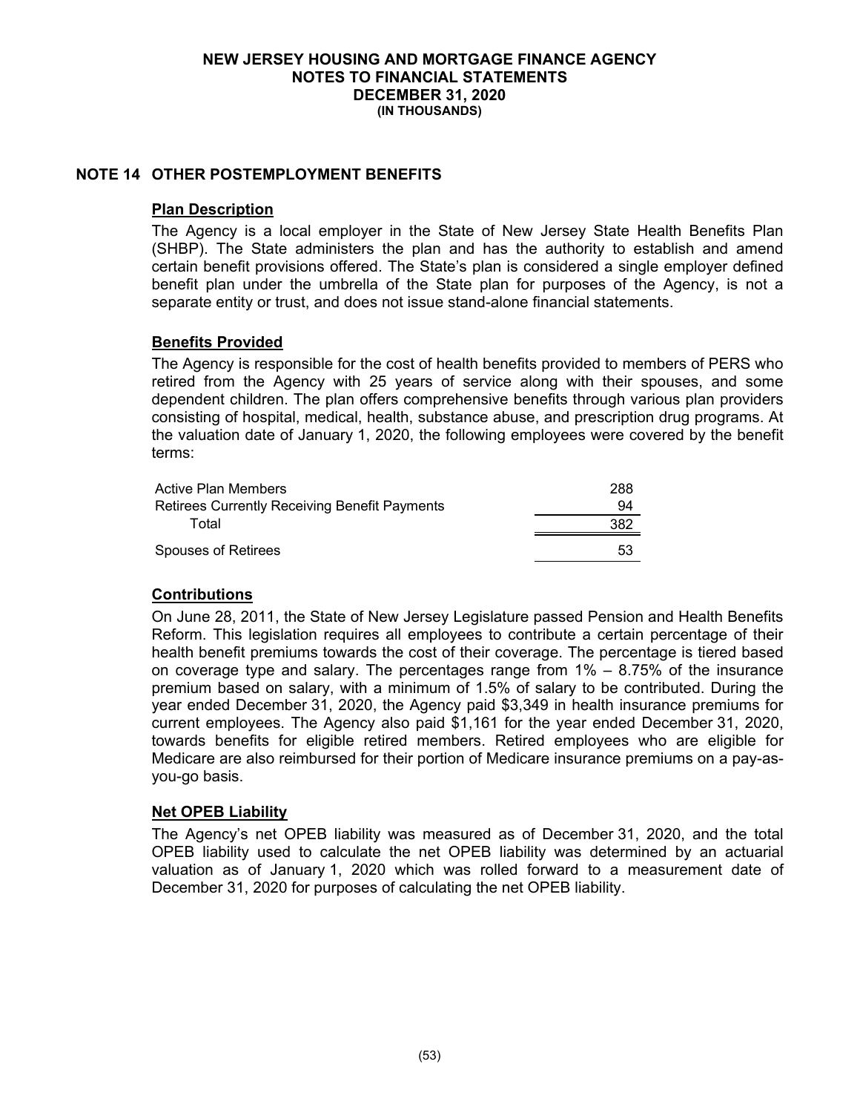### **NOTE 14 OTHER POSTEMPLOYMENT BENEFITS**

#### **Plan Description**

The Agency is a local employer in the State of New Jersey State Health Benefits Plan (SHBP). The State administers the plan and has the authority to establish and amend certain benefit provisions offered. The State's plan is considered a single employer defined benefit plan under the umbrella of the State plan for purposes of the Agency, is not a separate entity or trust, and does not issue stand-alone financial statements.

### **Benefits Provided**

The Agency is responsible for the cost of health benefits provided to members of PERS who retired from the Agency with 25 years of service along with their spouses, and some dependent children. The plan offers comprehensive benefits through various plan providers consisting of hospital, medical, health, substance abuse, and prescription drug programs. At the valuation date of January 1, 2020, the following employees were covered by the benefit terms:

| Active Plan Members                                  | 288 |
|------------------------------------------------------|-----|
| <b>Retirees Currently Receiving Benefit Payments</b> | 94  |
| Total                                                | 382 |
| Spouses of Retirees                                  | 53  |

### **Contributions**

On June 28, 2011, the State of New Jersey Legislature passed Pension and Health Benefits Reform. This legislation requires all employees to contribute a certain percentage of their health benefit premiums towards the cost of their coverage. The percentage is tiered based on coverage type and salary. The percentages range from  $1\% - 8.75\%$  of the insurance premium based on salary, with a minimum of 1.5% of salary to be contributed. During the year ended December 31, 2020, the Agency paid \$3,349 in health insurance premiums for current employees. The Agency also paid \$1,161 for the year ended December 31, 2020, towards benefits for eligible retired members. Retired employees who are eligible for Medicare are also reimbursed for their portion of Medicare insurance premiums on a pay-asyou-go basis.

### **Net OPEB Liability**

The Agency's net OPEB liability was measured as of December 31, 2020, and the total OPEB liability used to calculate the net OPEB liability was determined by an actuarial valuation as of January 1, 2020 which was rolled forward to a measurement date of December 31, 2020 for purposes of calculating the net OPEB liability.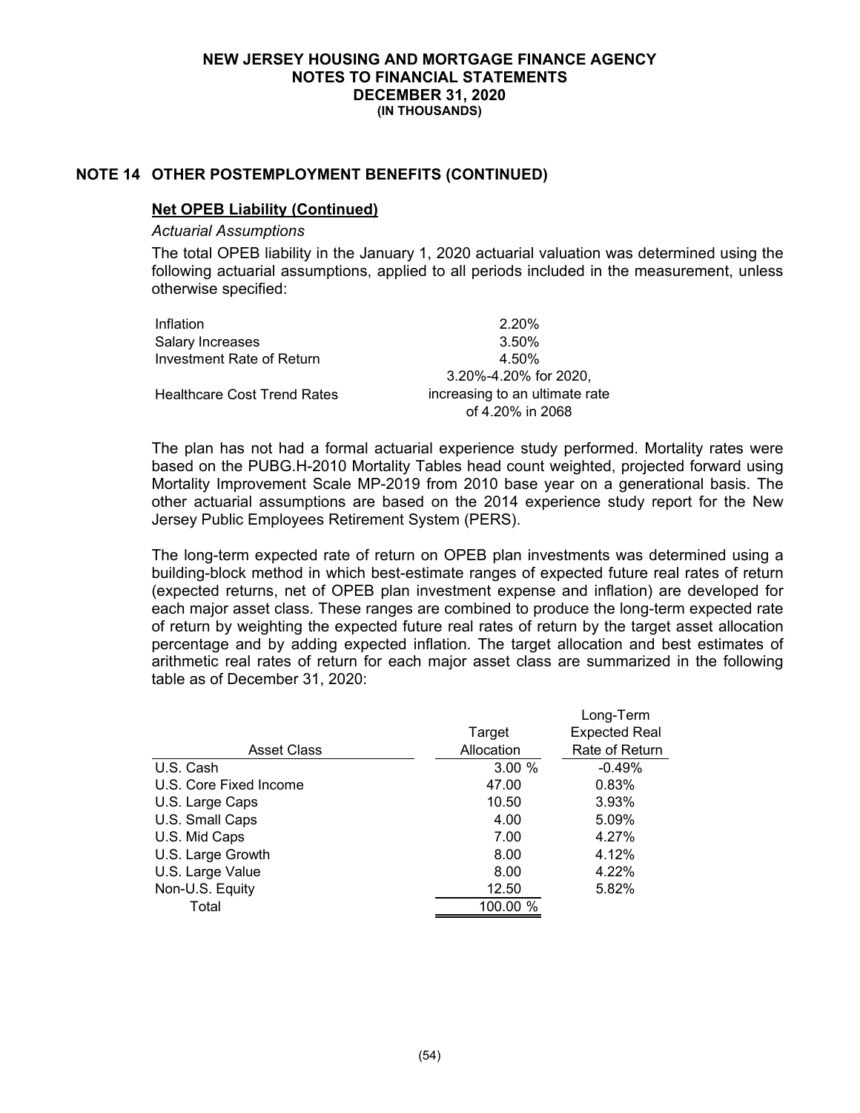### **NOTE 14 OTHER POSTEMPLOYMENT BENEFITS (CONTINUED)**

#### **Net OPEB Liability (Continued)**

#### *Actuarial Assumptions*

The total OPEB liability in the January 1, 2020 actuarial valuation was determined using the following actuarial assumptions, applied to all periods included in the measurement, unless otherwise specified:

| Inflation                   | 2.20%                                              |
|-----------------------------|----------------------------------------------------|
| Salary Increases            | 3.50%                                              |
| Investment Rate of Return   | 4.50%                                              |
|                             | 3.20%-4.20% for 2020,                              |
| Healthcare Cost Trend Rates | increasing to an ultimate rate<br>of 4.20% in 2068 |

The plan has not had a formal actuarial experience study performed. Mortality rates were based on the PUBG.H-2010 Mortality Tables head count weighted, projected forward using Mortality Improvement Scale MP-2019 from 2010 base year on a generational basis. The other actuarial assumptions are based on the 2014 experience study report for the New Jersey Public Employees Retirement System (PERS).

The long-term expected rate of return on OPEB plan investments was determined using a building-block method in which best-estimate ranges of expected future real rates of return (expected returns, net of OPEB plan investment expense and inflation) are developed for each major asset class. These ranges are combined to produce the long-term expected rate of return by weighting the expected future real rates of return by the target asset allocation percentage and by adding expected inflation. The target allocation and best estimates of arithmetic real rates of return for each major asset class are summarized in the following table as of December 31, 2020:

|                        |            | Long-Term            |
|------------------------|------------|----------------------|
|                        | Target     | <b>Expected Real</b> |
| <b>Asset Class</b>     | Allocation | Rate of Return       |
| U.S. Cash              | 3.00%      | $-0.49%$             |
| U.S. Core Fixed Income | 47.00      | 0.83%                |
| U.S. Large Caps        | 10.50      | 3.93%                |
| U.S. Small Caps        | 4.00       | 5.09%                |
| U.S. Mid Caps          | 7.00       | 4.27%                |
| U.S. Large Growth      | 8.00       | 4.12%                |
| U.S. Large Value       | 8.00       | 4.22%                |
| Non-U.S. Equity        | 12.50      | 5.82%                |
| Total                  | 100.00 %   |                      |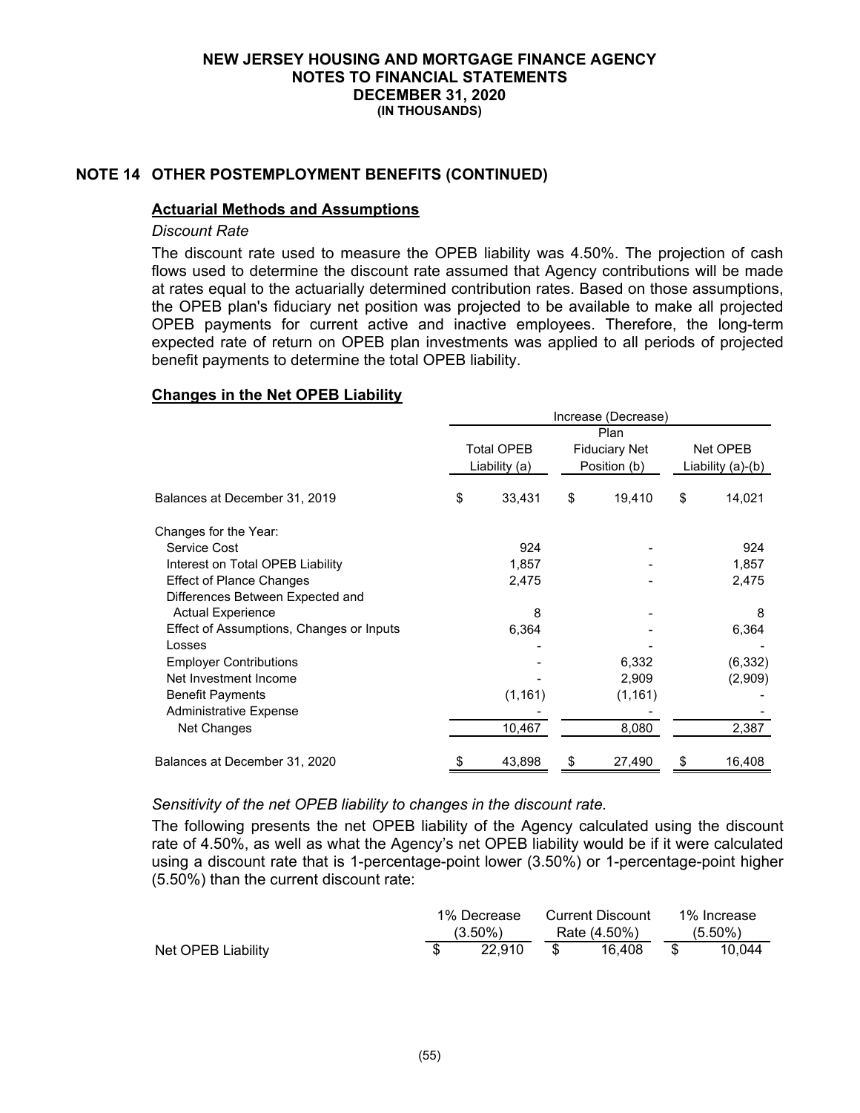### **NOTE 14 OTHER POSTEMPLOYMENT BENEFITS (CONTINUED)**

#### **Actuarial Methods and Assumptions**

#### *Discount Rate*

The discount rate used to measure the OPEB liability was 4.50%. The projection of cash flows used to determine the discount rate assumed that Agency contributions will be made at rates equal to the actuarially determined contribution rates. Based on those assumptions, the OPEB plan's fiduciary net position was projected to be available to make all projected OPEB payments for current active and inactive employees. Therefore, the long-term expected rate of return on OPEB plan investments was applied to all periods of projected benefit payments to determine the total OPEB liability.

#### **Changes in the Net OPEB Liability**

|                                          | Increase (Decrease) |               |    |                      |    |                   |  |
|------------------------------------------|---------------------|---------------|----|----------------------|----|-------------------|--|
|                                          | Plan                |               |    |                      |    |                   |  |
|                                          | Total OPEB          |               |    | <b>Fiduciary Net</b> |    | Net OPEB          |  |
|                                          |                     | Liability (a) |    | Position (b)         |    | Liability (a)-(b) |  |
| Balances at December 31, 2019            | \$                  | 33,431        | \$ | 19,410               | \$ | 14,021            |  |
| Changes for the Year:                    |                     |               |    |                      |    |                   |  |
| Service Cost                             |                     | 924           |    |                      |    | 924               |  |
| Interest on Total OPEB Liability         |                     | 1,857         |    |                      |    | 1,857             |  |
| <b>Effect of Plance Changes</b>          |                     | 2,475         |    |                      |    | 2,475             |  |
| Differences Between Expected and         |                     |               |    |                      |    |                   |  |
| <b>Actual Experience</b>                 |                     | 8             |    |                      |    | 8                 |  |
| Effect of Assumptions, Changes or Inputs |                     | 6,364         |    |                      |    | 6,364             |  |
| Losses                                   |                     |               |    |                      |    |                   |  |
| <b>Employer Contributions</b>            |                     |               |    | 6,332                |    | (6, 332)          |  |
| Net Investment Income                    |                     |               |    | 2,909                |    | (2,909)           |  |
| <b>Benefit Payments</b>                  |                     | (1, 161)      |    | (1, 161)             |    |                   |  |
| <b>Administrative Expense</b>            |                     |               |    |                      |    |                   |  |
| Net Changes                              |                     | 10,467        |    | 8,080                |    | 2,387             |  |
| Balances at December 31, 2020            |                     | 43,898        | \$ | 27,490               | \$ | 16,408            |  |

### *Sensitivity of the net OPEB liability to changes in the discount rate.*

The following presents the net OPEB liability of the Agency calculated using the discount rate of 4.50%, as well as what the Agency's net OPEB liability would be if it were calculated using a discount rate that is 1-percentage-point lower (3.50%) or 1-percentage-point higher (5.50%) than the current discount rate:

|                    | 1% Decrease |        |              | Current Discount |            | 1% Increase |
|--------------------|-------------|--------|--------------|------------------|------------|-------------|
|                    | $(3.50\%)$  |        | Rate (4.50%) |                  | $(5.50\%)$ |             |
| Net OPEB Liability |             | 22.910 |              | 16.408           |            | 10.044      |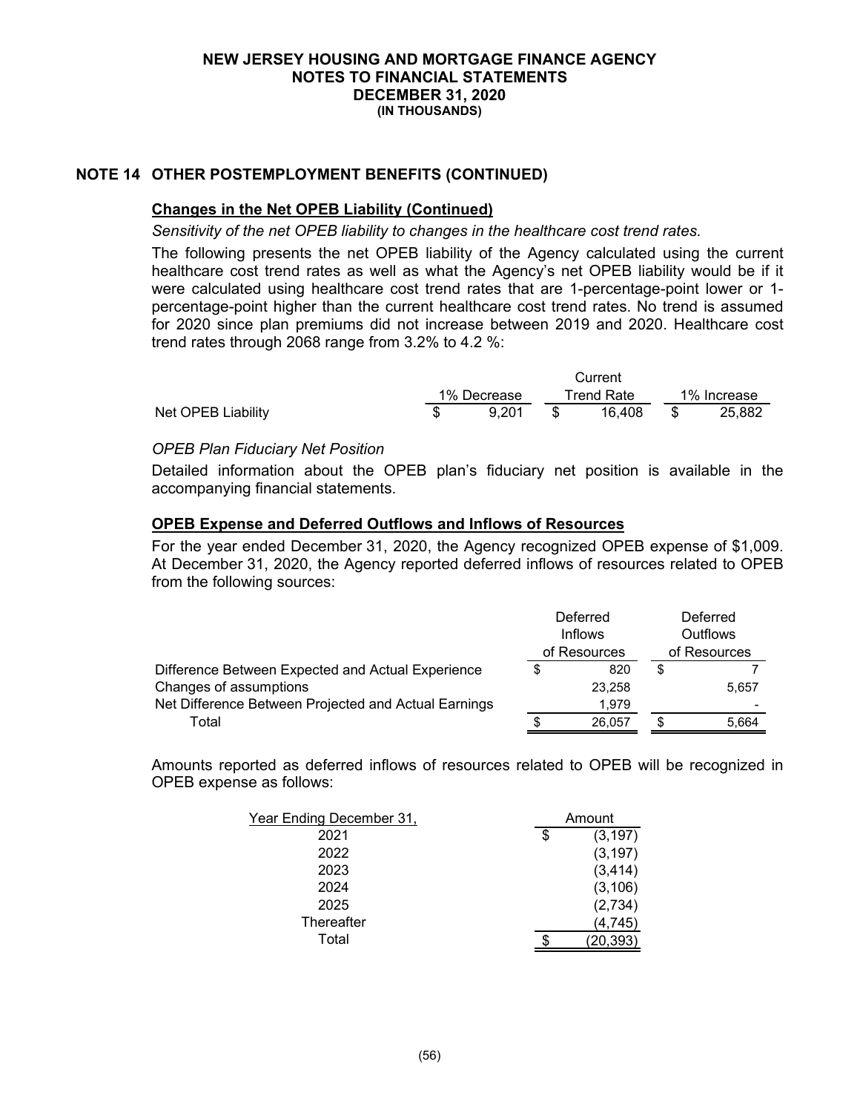### **NOTE 14 OTHER POSTEMPLOYMENT BENEFITS (CONTINUED)**

### **Changes in the Net OPEB Liability (Continued)**

*Sensitivity of the net OPEB liability to changes in the healthcare cost trend rates.* 

The following presents the net OPEB liability of the Agency calculated using the current healthcare cost trend rates as well as what the Agency's net OPEB liability would be if it were calculated using healthcare cost trend rates that are 1-percentage-point lower or 1 percentage-point higher than the current healthcare cost trend rates. No trend is assumed for 2020 since plan premiums did not increase between 2019 and 2020. Healthcare cost trend rates through 2068 range from 3.2% to 4.2 %:

|                    | Current     |       |  |            |    |             |  |
|--------------------|-------------|-------|--|------------|----|-------------|--|
|                    | 1% Decrease |       |  | Trend Rate |    | 1% Increase |  |
| Net OPEB Liability |             | 9.201 |  | 16.408     | S. | 25.882      |  |

### *OPEB Plan Fiduciary Net Position*

Detailed information about the OPEB plan's fiduciary net position is available in the accompanying financial statements.

### **OPEB Expense and Deferred Outflows and Inflows of Resources**

For the year ended December 31, 2020, the Agency recognized OPEB expense of \$1,009. At December 31, 2020, the Agency reported deferred inflows of resources related to OPEB from the following sources:

|                                                      |   | Deferred       |                 | Deferred |  |  |
|------------------------------------------------------|---|----------------|-----------------|----------|--|--|
|                                                      |   | <b>Inflows</b> | <b>Outflows</b> |          |  |  |
|                                                      |   | of Resources   | of Resources    |          |  |  |
| Difference Between Expected and Actual Experience    | S | 820            | \$              |          |  |  |
| Changes of assumptions                               |   | 23,258         |                 | 5,657    |  |  |
| Net Difference Between Projected and Actual Earnings |   | 1.979          |                 |          |  |  |
| Total                                                |   | 26.057         |                 | 5.664    |  |  |

Amounts reported as deferred inflows of resources related to OPEB will be recognized in OPEB expense as follows:

| Year Ending December 31. |   | Amount    |  |  |
|--------------------------|---|-----------|--|--|
| 2021                     | S | (3, 197)  |  |  |
| 2022                     |   | (3, 197)  |  |  |
| 2023                     |   | (3, 414)  |  |  |
| 2024                     |   | (3, 106)  |  |  |
| 2025                     |   | (2,734)   |  |  |
| Thereafter               |   | (4,745)   |  |  |
| Total                    |   | (20, 393) |  |  |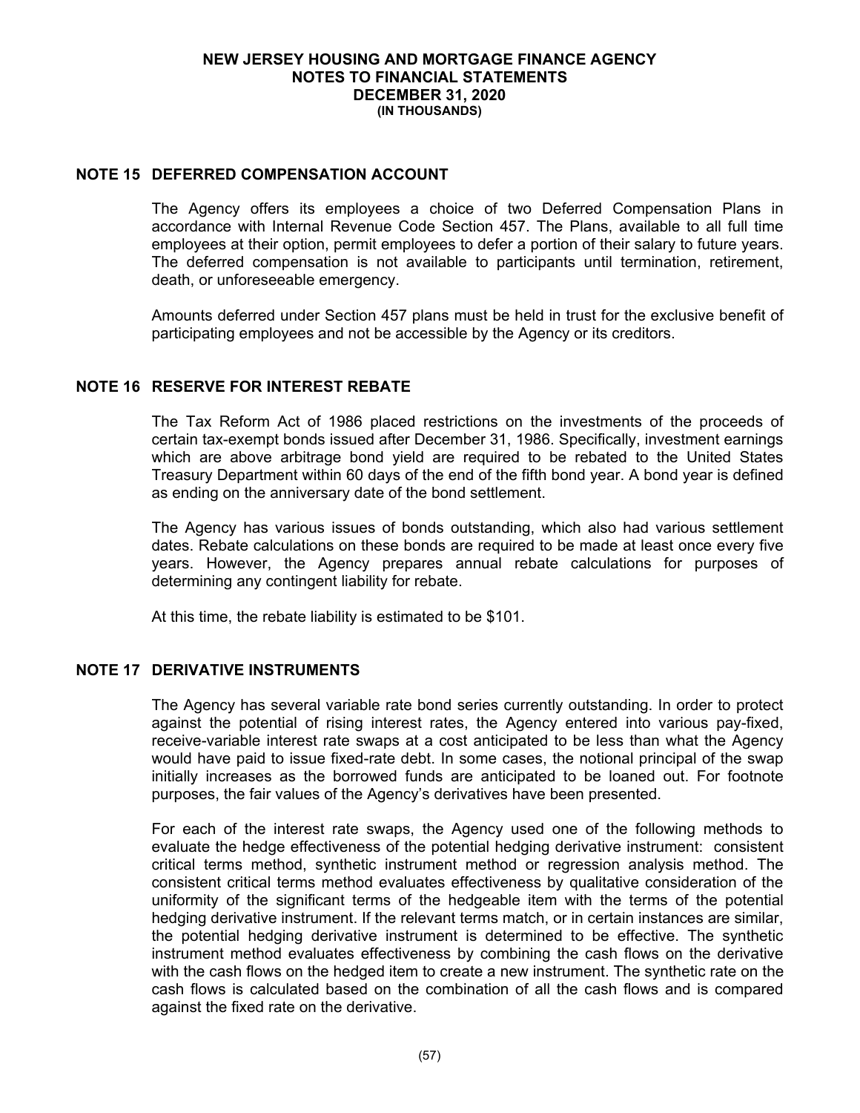### **NOTE 15 DEFERRED COMPENSATION ACCOUNT**

The Agency offers its employees a choice of two Deferred Compensation Plans in accordance with Internal Revenue Code Section 457. The Plans, available to all full time employees at their option, permit employees to defer a portion of their salary to future years. The deferred compensation is not available to participants until termination, retirement, death, or unforeseeable emergency.

Amounts deferred under Section 457 plans must be held in trust for the exclusive benefit of participating employees and not be accessible by the Agency or its creditors.

### **NOTE 16 RESERVE FOR INTEREST REBATE**

The Tax Reform Act of 1986 placed restrictions on the investments of the proceeds of certain tax-exempt bonds issued after December 31, 1986. Specifically, investment earnings which are above arbitrage bond yield are required to be rebated to the United States Treasury Department within 60 days of the end of the fifth bond year. A bond year is defined as ending on the anniversary date of the bond settlement.

The Agency has various issues of bonds outstanding, which also had various settlement dates. Rebate calculations on these bonds are required to be made at least once every five years. However, the Agency prepares annual rebate calculations for purposes of determining any contingent liability for rebate.

At this time, the rebate liability is estimated to be \$101.

### **NOTE 17 DERIVATIVE INSTRUMENTS**

The Agency has several variable rate bond series currently outstanding. In order to protect against the potential of rising interest rates, the Agency entered into various pay-fixed, receive-variable interest rate swaps at a cost anticipated to be less than what the Agency would have paid to issue fixed-rate debt. In some cases, the notional principal of the swap initially increases as the borrowed funds are anticipated to be loaned out. For footnote purposes, the fair values of the Agency's derivatives have been presented.

For each of the interest rate swaps, the Agency used one of the following methods to evaluate the hedge effectiveness of the potential hedging derivative instrument: consistent critical terms method, synthetic instrument method or regression analysis method. The consistent critical terms method evaluates effectiveness by qualitative consideration of the uniformity of the significant terms of the hedgeable item with the terms of the potential hedging derivative instrument. If the relevant terms match, or in certain instances are similar, the potential hedging derivative instrument is determined to be effective. The synthetic instrument method evaluates effectiveness by combining the cash flows on the derivative with the cash flows on the hedged item to create a new instrument. The synthetic rate on the cash flows is calculated based on the combination of all the cash flows and is compared against the fixed rate on the derivative.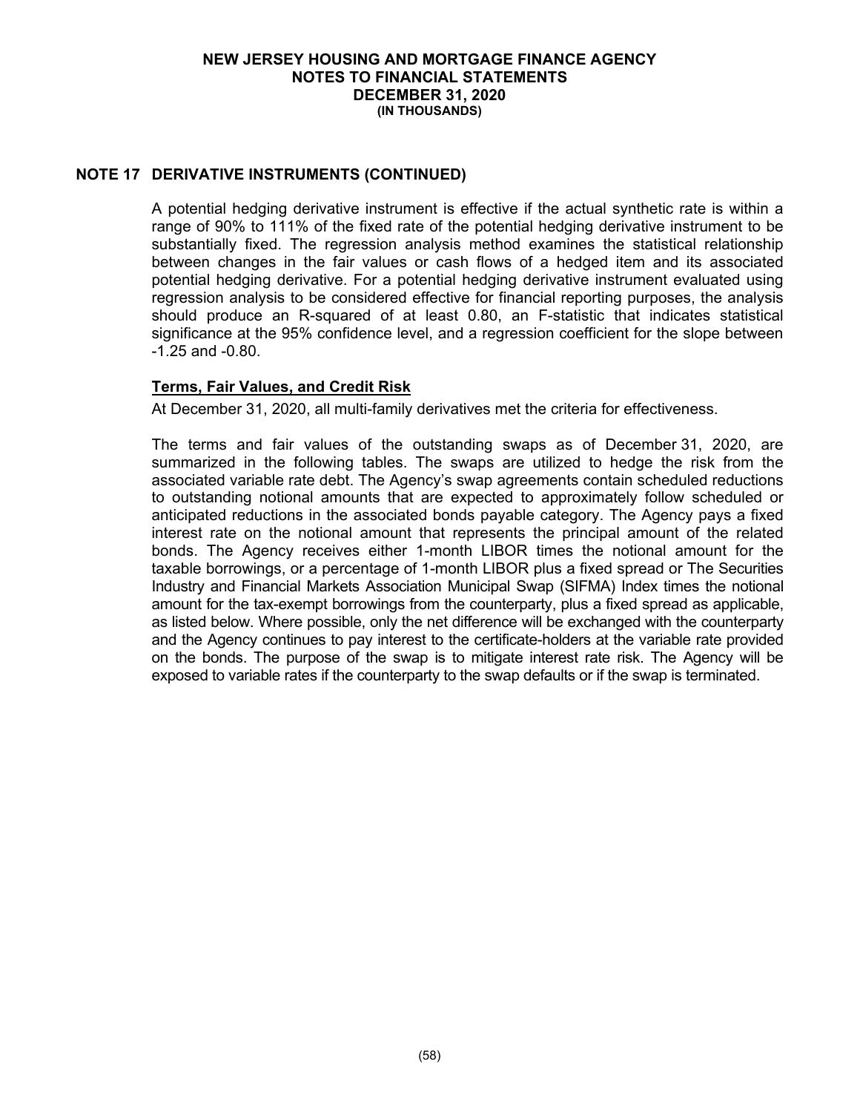### **NOTE 17 DERIVATIVE INSTRUMENTS (CONTINUED)**

A potential hedging derivative instrument is effective if the actual synthetic rate is within a range of 90% to 111% of the fixed rate of the potential hedging derivative instrument to be substantially fixed. The regression analysis method examines the statistical relationship between changes in the fair values or cash flows of a hedged item and its associated potential hedging derivative. For a potential hedging derivative instrument evaluated using regression analysis to be considered effective for financial reporting purposes, the analysis should produce an R-squared of at least 0.80, an F-statistic that indicates statistical significance at the 95% confidence level, and a regression coefficient for the slope between -1.25 and -0.80.

### **Terms, Fair Values, and Credit Risk**

At December 31, 2020, all multi-family derivatives met the criteria for effectiveness.

The terms and fair values of the outstanding swaps as of December 31, 2020, are summarized in the following tables. The swaps are utilized to hedge the risk from the associated variable rate debt. The Agency's swap agreements contain scheduled reductions to outstanding notional amounts that are expected to approximately follow scheduled or anticipated reductions in the associated bonds payable category. The Agency pays a fixed interest rate on the notional amount that represents the principal amount of the related bonds. The Agency receives either 1-month LIBOR times the notional amount for the taxable borrowings, or a percentage of 1-month LIBOR plus a fixed spread or The Securities Industry and Financial Markets Association Municipal Swap (SIFMA) Index times the notional amount for the tax-exempt borrowings from the counterparty, plus a fixed spread as applicable, as listed below. Where possible, only the net difference will be exchanged with the counterparty and the Agency continues to pay interest to the certificate-holders at the variable rate provided on the bonds. The purpose of the swap is to mitigate interest rate risk. The Agency will be exposed to variable rates if the counterparty to the swap defaults or if the swap is terminated.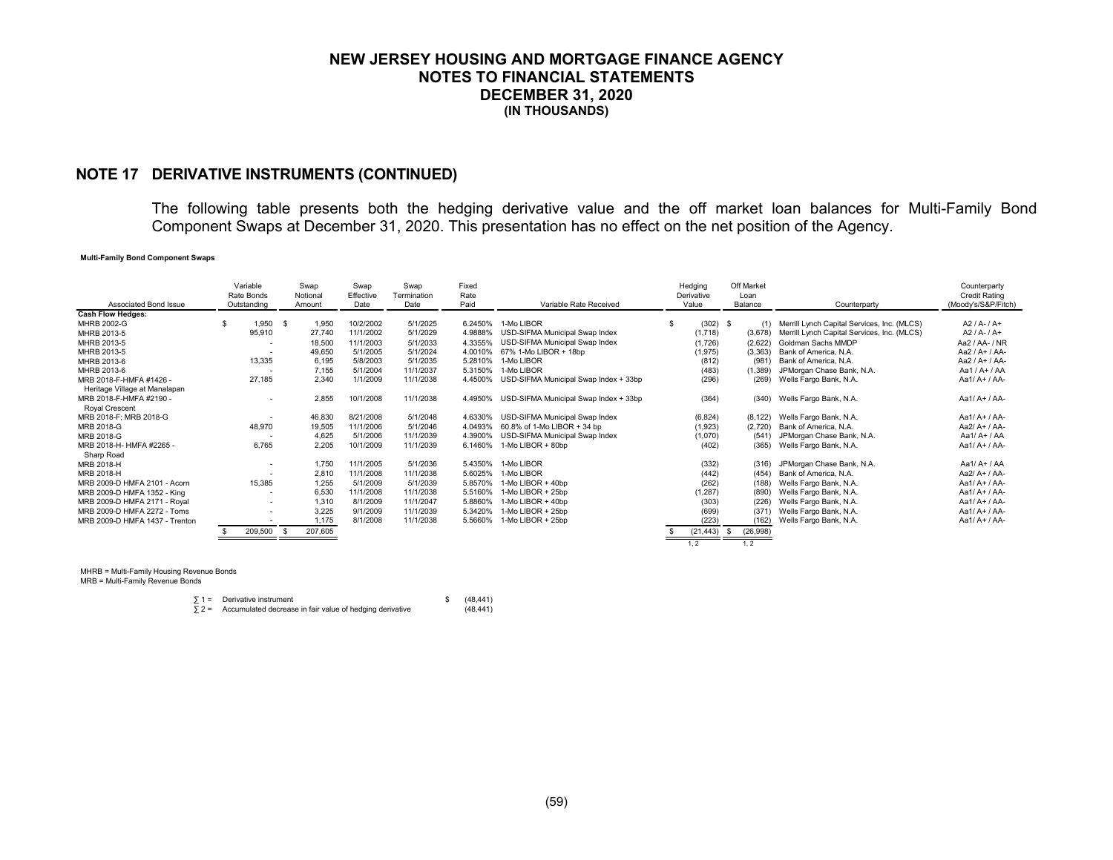### **NOTE 17 DERIVATIVE INSTRUMENTS (CONTINUED)**

The following table presents both the hedging derivative value and the off market loan balances for Multi-Family Bond Component Swaps at December 31, 2020. This presentation has no effect on the net position of the Agency.

#### **Multi-Family Bond Component Swaps**

| Associated Bond Issue          | Variable<br>Rate Bonds<br>Outstanding | Swap<br>Notional<br>Amount | Swap<br>Effective<br>Date | Swap<br>Termination<br>Date | Fixed<br>Rate<br>Paid | Variable Rate Received                | Hedging<br>Derivative<br>Value | Off Market<br>Loan<br>Balance | Counterparty                                | Counterparty<br>Credit Rating<br>(Moody's/S&P/Fitch) |
|--------------------------------|---------------------------------------|----------------------------|---------------------------|-----------------------------|-----------------------|---------------------------------------|--------------------------------|-------------------------------|---------------------------------------------|------------------------------------------------------|
| <b>Cash Flow Hedges:</b>       |                                       |                            |                           |                             |                       |                                       |                                |                               |                                             |                                                      |
| MHRB 2002-G                    | 1,950<br>ŝ.                           | 1,950<br>- \$              | 10/2/2002                 | 5/1/2025                    | 6.2450%               | 1-Mo LIBOR                            | \$<br>$(302)$ \$               | (1)                           | Merrill Lynch Capital Services, Inc. (MLCS) | $A2 / A - / A +$                                     |
| MHRB 2013-5                    | 95,910                                | 27,740                     | 11/1/2002                 | 5/1/2029                    | 4.9888%               | USD-SIFMA Municipal Swap Index        | (1,718)                        | (3,678)                       | Merrill Lynch Capital Services, Inc. (MLCS) | $A2 / A - / A +$                                     |
| MHRB 2013-5                    |                                       | 18,500                     | 11/1/2003                 | 5/1/2033                    | 4.3355%               | USD-SIFMA Municipal Swap Index        | (1,726)                        | (2,622)                       | Goldman Sachs MMDP                          | Aa2 / AA- / NR                                       |
| MHRB 2013-5                    |                                       | 49,650                     | 5/1/2005                  | 5/1/2024                    | 4.0010%               | 67% 1-Mo LIBOR + 18bp                 | (1, 975)                       | (3,363)                       | Bank of America, N.A.                       | Aa2 / A+ / AA-                                       |
| MHRB 2013-6                    | 13,335                                | 6,195                      | 5/8/2003                  | 5/1/2035                    | 5.2810%               | 1-Mo LIBOR                            | (812)                          | (981)                         | Bank of America, N.A.                       | Aa2 / A+ / AA-                                       |
| MHRB 2013-6                    |                                       | 7,155                      | 5/1/2004                  | 11/1/2037                   | 5.3150%               | 1-Mo LIBOR                            | (483)                          | (1,389)                       | JPMorgan Chase Bank, N.A.                   | Aa1/A+/AA                                            |
| MRB 2018-F-HMFA #1426 -        | 27,185                                | 2,340                      | 1/1/2009                  | 11/1/2038                   | 4.4500%               | USD-SIFMA Municipal Swap Index + 33bp | (296)                          | (269)                         | Wells Fargo Bank, N.A.                      | Aa1/ A+ / AA-                                        |
| Heritage Village at Manalapan  |                                       |                            |                           |                             |                       |                                       |                                |                               |                                             |                                                      |
| MRB 2018-F-HMFA #2190 -        |                                       | 2,855                      | 10/1/2008                 | 11/1/2038                   | 4.4950%               | USD-SIFMA Municipal Swap Index + 33bp | (364)                          | (340)                         | Wells Fargo Bank, N.A.                      | Aa1/ A+ / AA-                                        |
| <b>Royal Crescent</b>          |                                       |                            |                           |                             |                       |                                       |                                |                               |                                             |                                                      |
| MRB 2018-F: MRB 2018-G         | $\sim$                                | 46.830                     | 8/21/2008                 | 5/1/2048                    | 4.6330%               | USD-SIFMA Municipal Swap Index        | (6,824)                        | (8, 122)                      | Wells Fargo Bank, N.A.                      | Aa $1/A+$ / AA-                                      |
| MRB 2018-G                     | 48.970                                | 19.505                     | 11/1/2006                 | 5/1/2046                    | 4.0493%               | 60.8% of 1-Mo LIBOR + 34 bp           | (1,923)                        | (2,720)                       | Bank of America, N.A.                       | Aa $2/$ A+ $/$ AA-                                   |
| MRB 2018-G                     |                                       | 4,625                      | 5/1/2006                  | 11/1/2039                   | 4.3900%               | USD-SIFMA Municipal Swap Index        | (1,070)                        | (541)                         | JPMorgan Chase Bank, N.A.                   | Aa1/ A+ / AA                                         |
| MRB 2018-H- HMFA #2265 -       | 6,765                                 | 2,205                      | 10/1/2009                 | 11/1/2039                   | 6.1460%               | 1-Mo LIBOR + 80bp                     | (402)                          | (365)                         | Wells Fargo Bank, N.A.                      | Aa1/ A+ / AA-                                        |
| Sharp Road                     |                                       |                            |                           |                             |                       |                                       |                                |                               |                                             |                                                      |
| MRB 2018-H                     | $\sim$                                | 1.750                      | 11/1/2005                 | 5/1/2036                    | 5.4350%               | 1-Mo LIBOR                            | (332)                          | (316)                         | JPMorgan Chase Bank, N.A.                   | Aa1/ A+ / AA                                         |
| MRB 2018-H                     |                                       | 2,810                      | 11/1/2008                 | 11/1/2038                   | 5.6025%               | 1-Mo LIBOR                            | (442)                          | (454)                         | Bank of America, N.A.                       | Aa $2/$ A+ $/$ AA-                                   |
| MRB 2009-D HMFA 2101 - Acorn   | 15,385                                | 1.255                      | 5/1/2009                  | 5/1/2039                    | 5.8570%               | 1-Mo LIBOR + 40bp                     | (262)                          | (188)                         | Wells Fargo Bank, N.A.                      | Aa1/ A+ / AA-                                        |
| MRB 2009-D HMFA 1352 - King    |                                       | 6,530                      | 11/1/2008                 | 11/1/2038                   | 5.5160%               | 1-Mo LIBOR + 25bp                     | (1, 287)                       | (890)                         | Wells Fargo Bank, N.A.                      | Aa1/ A+ / AA-                                        |
| MRB 2009-D HMFA 2171 - Roval   |                                       | 1,310                      | 8/1/2009                  | 11/1/2047                   | 5.8860%               | 1-Mo LIBOR + 40bp                     | (303)                          | (226)                         | Wells Fargo Bank, N.A.                      | Aa1/ A+ / AA-                                        |
| MRB 2009-D HMFA 2272 - Toms    |                                       | 3,225                      | 9/1/2009                  | 11/1/2039                   | 5.3420%               | 1-Mo LIBOR + 25bp                     | (699)                          | (371)                         | Wells Fargo Bank, N.A.                      | Aa1/ A+ / AA-                                        |
| MRB 2009-D HMFA 1437 - Trenton |                                       | 1,175                      | 8/1/2008                  | 11/1/2038                   | 5.5660%               | 1-Mo LIBOR + 25bp                     | (223)                          | (162)                         | Wells Fargo Bank, N.A.                      | Aa1/ A+ / AA-                                        |
|                                | 209,500                               | 207,605                    |                           |                             |                       |                                       | (21, 443)                      | (26,998)<br>\$                |                                             |                                                      |
|                                |                                       |                            |                           |                             |                       |                                       | 1, 2                           | 1, 2                          |                                             |                                                      |
|                                |                                       |                            |                           |                             |                       |                                       |                                |                               |                                             |                                                      |

MHRB = Multi-Family Housing Revenue Bonds

MRB = Multi-Family Revenue Bonds

 $\Sigma$  1 = Derivative instrument (48,441)<br>  $\Sigma$  2 = Accumulated decrease in fair value of hedging derivative (48,441)

 $\overline{\Sigma}$  2 = Accumulated decrease in fair value of hedging derivative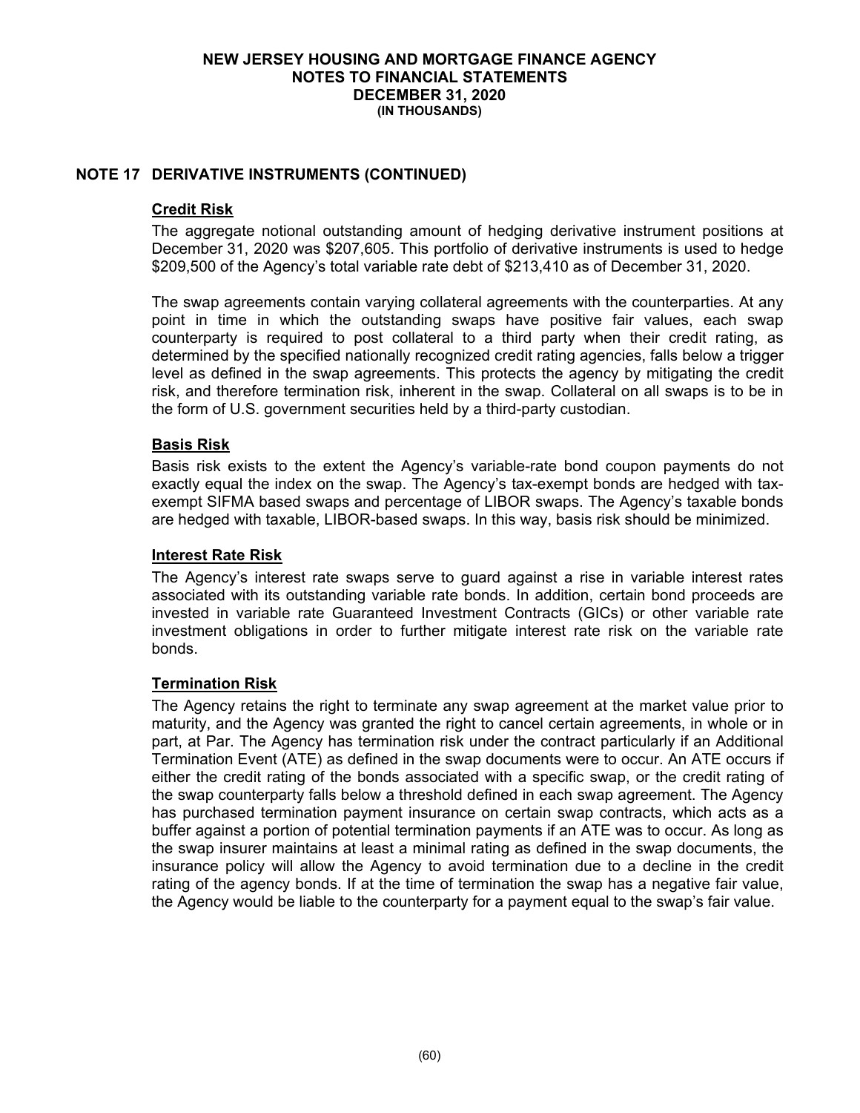### **NOTE 17 DERIVATIVE INSTRUMENTS (CONTINUED)**

### **Credit Risk**

The aggregate notional outstanding amount of hedging derivative instrument positions at December 31, 2020 was \$207,605. This portfolio of derivative instruments is used to hedge \$209,500 of the Agency's total variable rate debt of \$213,410 as of December 31, 2020.

The swap agreements contain varying collateral agreements with the counterparties. At any point in time in which the outstanding swaps have positive fair values, each swap counterparty is required to post collateral to a third party when their credit rating, as determined by the specified nationally recognized credit rating agencies, falls below a trigger level as defined in the swap agreements. This protects the agency by mitigating the credit risk, and therefore termination risk, inherent in the swap. Collateral on all swaps is to be in the form of U.S. government securities held by a third-party custodian.

### **Basis Risk**

Basis risk exists to the extent the Agency's variable-rate bond coupon payments do not exactly equal the index on the swap. The Agency's tax-exempt bonds are hedged with taxexempt SIFMA based swaps and percentage of LIBOR swaps. The Agency's taxable bonds are hedged with taxable, LIBOR-based swaps. In this way, basis risk should be minimized.

#### **Interest Rate Risk**

The Agency's interest rate swaps serve to guard against a rise in variable interest rates associated with its outstanding variable rate bonds. In addition, certain bond proceeds are invested in variable rate Guaranteed Investment Contracts (GICs) or other variable rate investment obligations in order to further mitigate interest rate risk on the variable rate bonds.

### **Termination Risk**

The Agency retains the right to terminate any swap agreement at the market value prior to maturity, and the Agency was granted the right to cancel certain agreements, in whole or in part, at Par. The Agency has termination risk under the contract particularly if an Additional Termination Event (ATE) as defined in the swap documents were to occur. An ATE occurs if either the credit rating of the bonds associated with a specific swap, or the credit rating of the swap counterparty falls below a threshold defined in each swap agreement. The Agency has purchased termination payment insurance on certain swap contracts, which acts as a buffer against a portion of potential termination payments if an ATE was to occur. As long as the swap insurer maintains at least a minimal rating as defined in the swap documents, the insurance policy will allow the Agency to avoid termination due to a decline in the credit rating of the agency bonds. If at the time of termination the swap has a negative fair value, the Agency would be liable to the counterparty for a payment equal to the swap's fair value.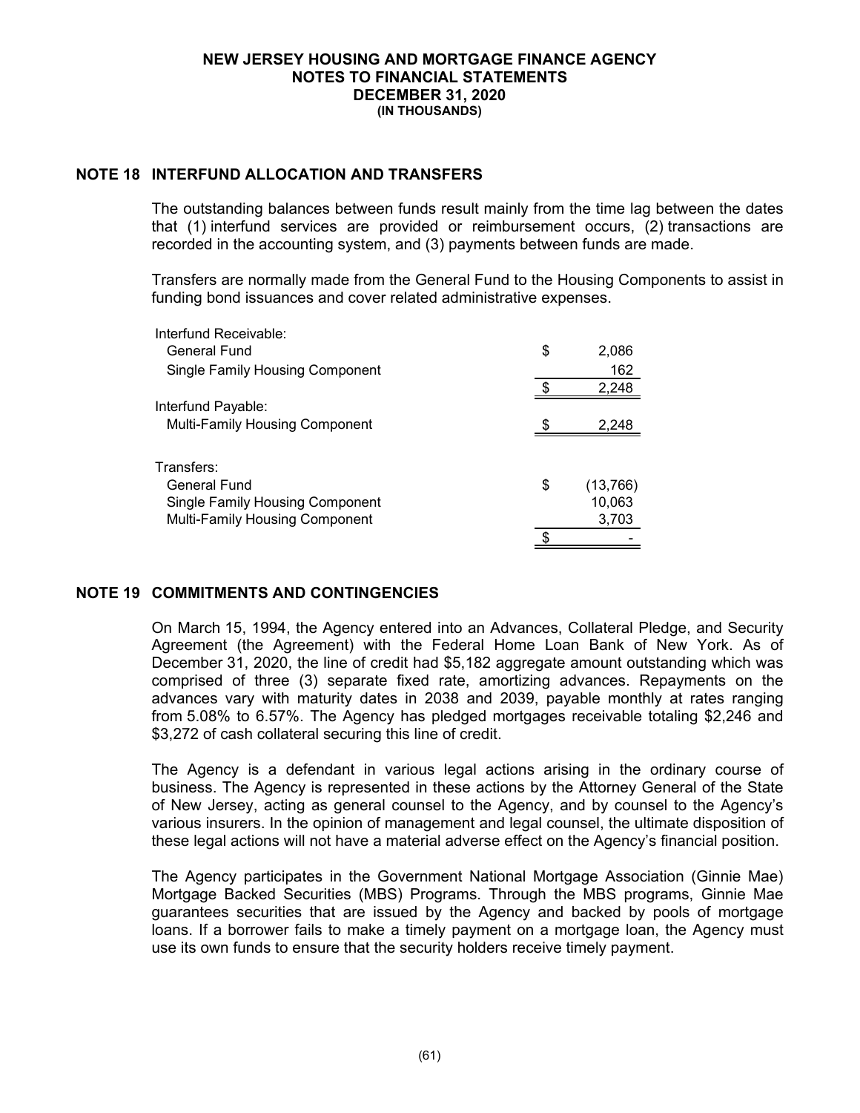### **NOTE 18 INTERFUND ALLOCATION AND TRANSFERS**

The outstanding balances between funds result mainly from the time lag between the dates that (1) interfund services are provided or reimbursement occurs, (2) transactions are recorded in the accounting system, and (3) payments between funds are made.

Transfers are normally made from the General Fund to the Housing Components to assist in funding bond issuances and cover related administrative expenses.

| Interfund Receivable:                  |                 |
|----------------------------------------|-----------------|
| General Fund                           | \$<br>2,086     |
| <b>Single Family Housing Component</b> | 162             |
|                                        | 2,248           |
| Interfund Payable:                     |                 |
| <b>Multi-Family Housing Component</b>  | 2,248           |
| Transfers:                             |                 |
| General Fund                           | \$<br>(13, 766) |
| <b>Single Family Housing Component</b> | 10,063          |
| <b>Multi-Family Housing Component</b>  | 3,703           |
|                                        |                 |
|                                        |                 |

### **NOTE 19 COMMITMENTS AND CONTINGENCIES**

On March 15, 1994, the Agency entered into an Advances, Collateral Pledge, and Security Agreement (the Agreement) with the Federal Home Loan Bank of New York. As of December 31, 2020, the line of credit had \$5,182 aggregate amount outstanding which was comprised of three (3) separate fixed rate, amortizing advances. Repayments on the advances vary with maturity dates in 2038 and 2039, payable monthly at rates ranging from 5.08% to 6.57%. The Agency has pledged mortgages receivable totaling \$2,246 and \$3,272 of cash collateral securing this line of credit.

The Agency is a defendant in various legal actions arising in the ordinary course of business. The Agency is represented in these actions by the Attorney General of the State of New Jersey, acting as general counsel to the Agency, and by counsel to the Agency's various insurers. In the opinion of management and legal counsel, the ultimate disposition of these legal actions will not have a material adverse effect on the Agency's financial position.

The Agency participates in the Government National Mortgage Association (Ginnie Mae) Mortgage Backed Securities (MBS) Programs. Through the MBS programs, Ginnie Mae guarantees securities that are issued by the Agency and backed by pools of mortgage loans. If a borrower fails to make a timely payment on a mortgage loan, the Agency must use its own funds to ensure that the security holders receive timely payment.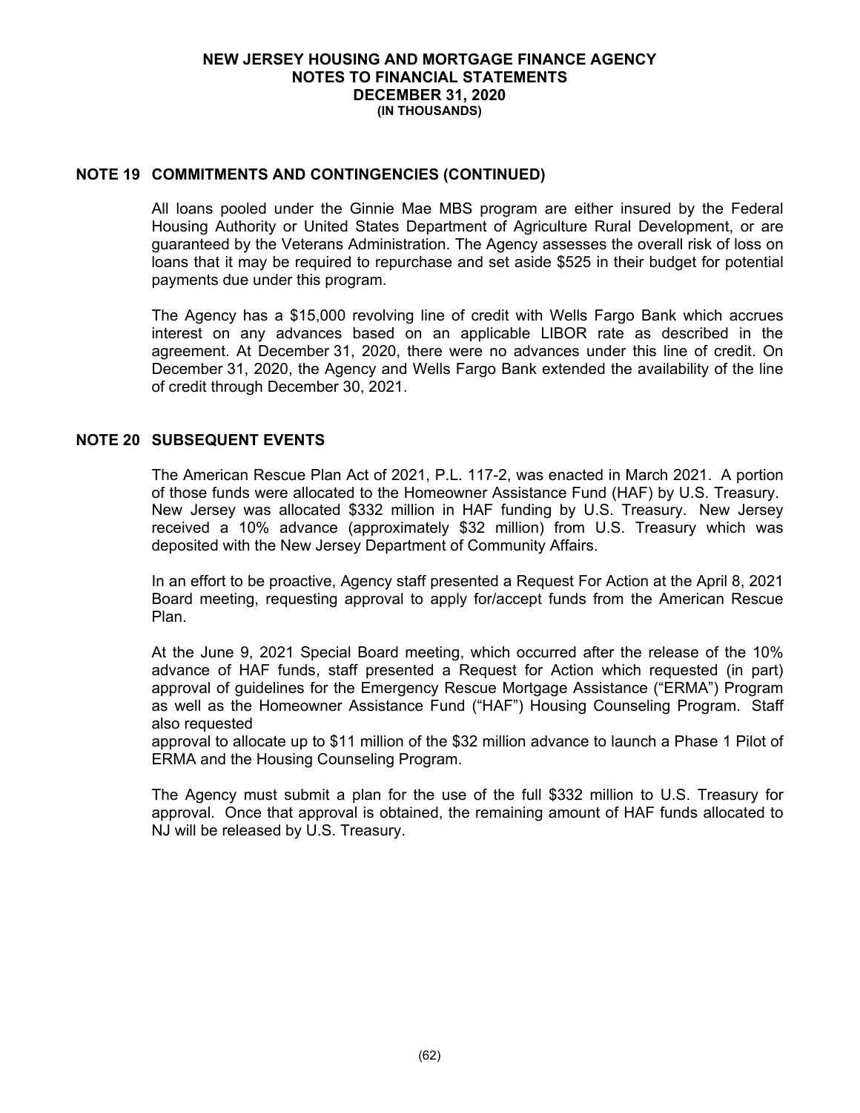### **NOTE 19 COMMITMENTS AND CONTINGENCIES (CONTINUED)**

All loans pooled under the Ginnie Mae MBS program are either insured by the Federal Housing Authority or United States Department of Agriculture Rural Development, or are guaranteed by the Veterans Administration. The Agency assesses the overall risk of loss on loans that it may be required to repurchase and set aside \$525 in their budget for potential payments due under this program.

The Agency has a \$15,000 revolving line of credit with Wells Fargo Bank which accrues interest on any advances based on an applicable LIBOR rate as described in the agreement. At December 31, 2020, there were no advances under this line of credit. On December 31, 2020, the Agency and Wells Fargo Bank extended the availability of the line of credit through December 30, 2021.

## **NOTE 20 SUBSEQUENT EVENTS**

The American Rescue Plan Act of 2021, P.L. 117-2, was enacted in March 2021. A portion of those funds were allocated to the Homeowner Assistance Fund (HAF) by U.S. Treasury. New Jersey was allocated \$332 million in HAF funding by U.S. Treasury. New Jersey received a 10% advance (approximately \$32 million) from U.S. Treasury which was deposited with the New Jersey Department of Community Affairs.

In an effort to be proactive, Agency staff presented a Request For Action at the April 8, 2021 Board meeting, requesting approval to apply for/accept funds from the American Rescue Plan.

At the June 9, 2021 Special Board meeting, which occurred after the release of the 10% advance of HAF funds, staff presented a Request for Action which requested (in part) approval of guidelines for the Emergency Rescue Mortgage Assistance ("ERMA") Program as well as the Homeowner Assistance Fund ("HAF") Housing Counseling Program. Staff also requested

approval to allocate up to \$11 million of the \$32 million advance to launch a Phase 1 Pilot of ERMA and the Housing Counseling Program.

The Agency must submit a plan for the use of the full \$332 million to U.S. Treasury for approval. Once that approval is obtained, the remaining amount of HAF funds allocated to NJ will be released by U.S. Treasury.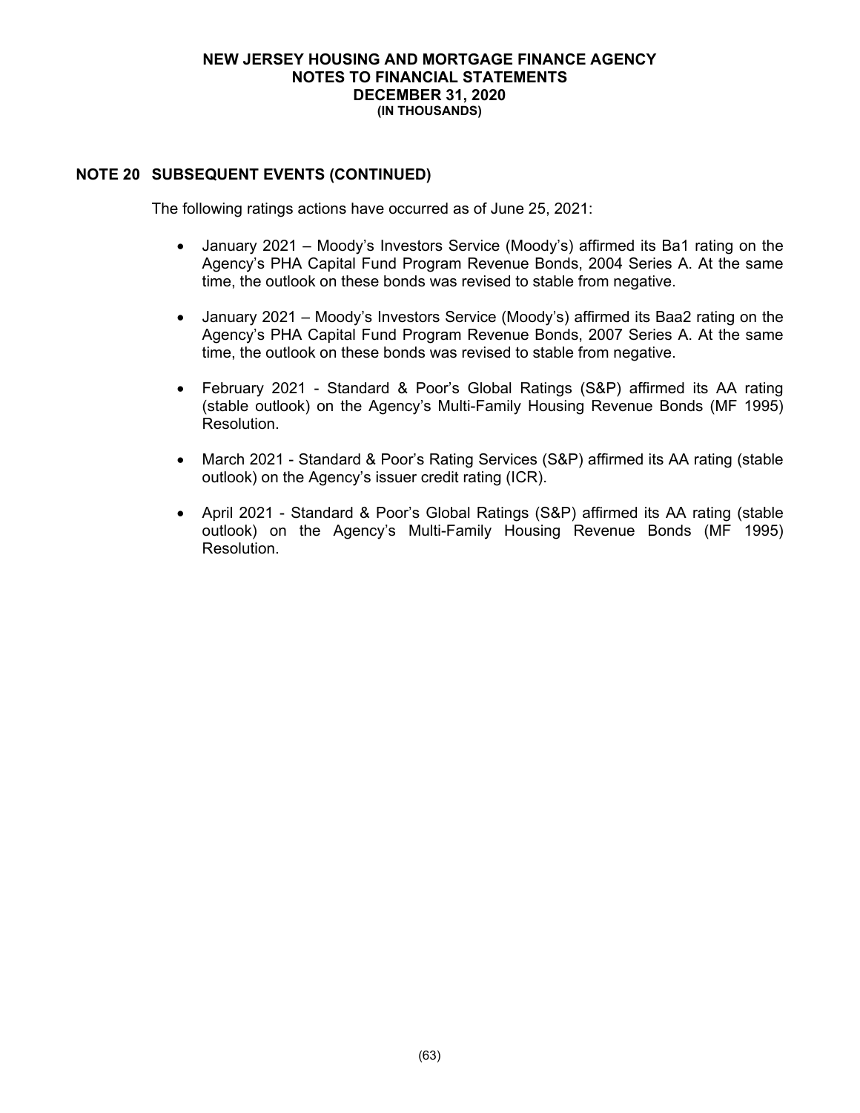### **NOTE 20 SUBSEQUENT EVENTS (CONTINUED)**

The following ratings actions have occurred as of June 25, 2021:

- January 2021 Moody's Investors Service (Moody's) affirmed its Ba1 rating on the Agency's PHA Capital Fund Program Revenue Bonds, 2004 Series A. At the same time, the outlook on these bonds was revised to stable from negative.
- January 2021 Moody's Investors Service (Moody's) affirmed its Baa2 rating on the Agency's PHA Capital Fund Program Revenue Bonds, 2007 Series A. At the same time, the outlook on these bonds was revised to stable from negative.
- February 2021 Standard & Poor's Global Ratings (S&P) affirmed its AA rating (stable outlook) on the Agency's Multi-Family Housing Revenue Bonds (MF 1995) Resolution.
- March 2021 Standard & Poor's Rating Services (S&P) affirmed its AA rating (stable outlook) on the Agency's issuer credit rating (ICR).
- April 2021 Standard & Poor's Global Ratings (S&P) affirmed its AA rating (stable outlook) on the Agency's Multi-Family Housing Revenue Bonds (MF 1995) Resolution.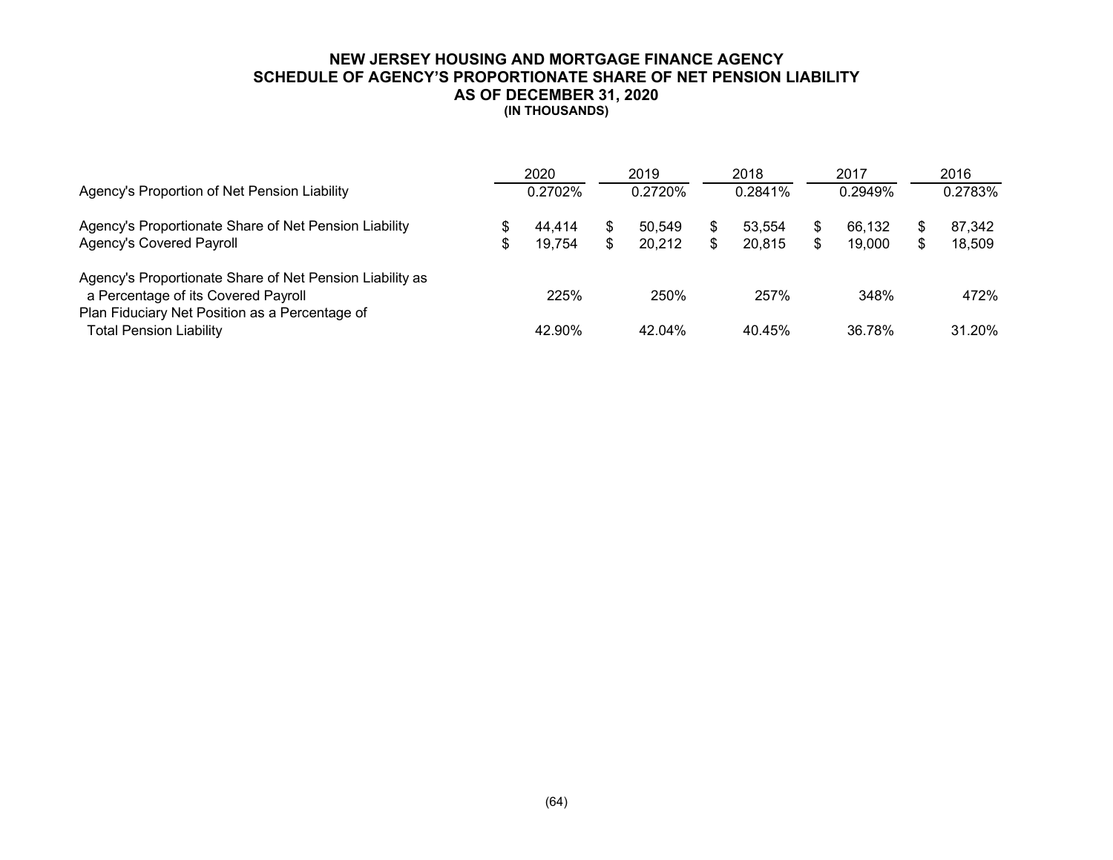#### **NEW JERSEY HOUSING AND MORTGAGE FINANCE AGENCY SCHEDULE OF AGENCY'S PROPORTIONATE SHARE OF NET PENSION LIABILITY AS OF DECEMBER 31, 2020 (IN THOUSANDS)**

|                                                          | 2020 |         |  | 2019    |  | 2018    |     | 2017    |    | 2016    |  |
|----------------------------------------------------------|------|---------|--|---------|--|---------|-----|---------|----|---------|--|
| Agency's Proportion of Net Pension Liability             |      | 0.2702% |  | 0.2720% |  | 0.2841% |     | 0.2949% |    | 0.2783% |  |
| Agency's Proportionate Share of Net Pension Liability    |      | 44.414  |  | 50.549  |  | 53.554  | \$. | 66.132  | S  | 87.342  |  |
| Agency's Covered Payroll                                 | \$   | 19.754  |  | 20.212  |  | 20.815  | \$  | 19.000  | \$ | 18,509  |  |
| Agency's Proportionate Share of Net Pension Liability as |      |         |  |         |  |         |     |         |    |         |  |
| a Percentage of its Covered Payroll                      |      | 225%    |  | 250%    |  | 257%    |     | 348%    |    | 472%    |  |
| Plan Fiduciary Net Position as a Percentage of           |      |         |  |         |  |         |     |         |    |         |  |
| <b>Total Pension Liability</b>                           |      | 42.90%  |  | 42.04%  |  | 40.45%  |     | 36.78%  |    | 31.20%  |  |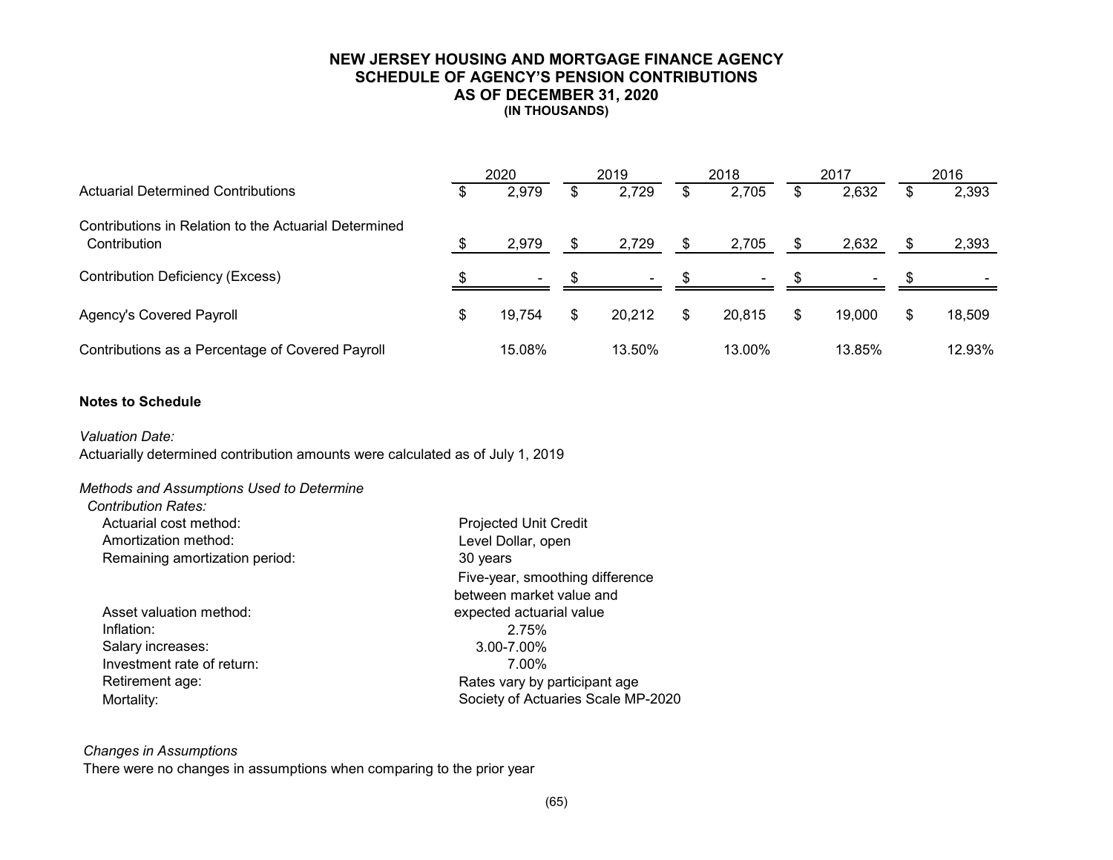### **NEW JERSEY HOUSING AND MORTGAGE FINANCE AGENCY SCHEDULE OF AGENCY'S PENSION CONTRIBUTIONS AS OF DECEMBER 31, 2020 (IN THOUSANDS)**

|                                                                       |   | 2020   |    | 2019   | 2018 |        | 2017 |        | 2016 |        |
|-----------------------------------------------------------------------|---|--------|----|--------|------|--------|------|--------|------|--------|
| <b>Actuarial Determined Contributions</b>                             |   | 2,979  | S  | 2,729  |      | 2,705  | S    | 2,632  |      | 2,393  |
| Contributions in Relation to the Actuarial Determined<br>Contribution |   | 2,979  |    | 2,729  |      | 2,705  |      | 2,632  |      | 2,393  |
| Contribution Deficiency (Excess)                                      |   | $\sim$ |    | $\sim$ | \$.  | $\sim$ |      | ۰.     |      |        |
| Agency's Covered Payroll                                              | S | 19,754 | \$ | 20,212 | \$.  | 20,815 | \$   | 19,000 |      | 18,509 |
| Contributions as a Percentage of Covered Payroll                      |   | 15.08% |    | 13.50% |      | 13.00% |      | 13.85% |      | 12.93% |

#### **Notes to Schedule**

*Valuation Date:*

Actuarially determined contribution amounts were calculated as of July 1, 2019

#### *Methods and Assumptions Used to Determine*

 *Contribution Rates:*Actuarial cost method:

| Actuarial cost method:         | <b>Projected Unit Credit</b>       |
|--------------------------------|------------------------------------|
| Amortization method:           | Level Dollar, open                 |
| Remaining amortization period: | 30 years                           |
|                                | Five-year, smoothing difference    |
|                                | between market value and           |
| Asset valuation method:        | expected actuarial value           |
| Inflation:                     | 2.75%                              |
| Salary increases:              | 3.00-7.00%                         |
| Investment rate of return:     | 7.00%                              |
| Retirement age:                | Rates vary by participant age      |
| Mortality:                     | Society of Actuaries Scale MP-2020 |

 *Changes in Assumptions* 

There were no changes in assumptions when comparing to the prior year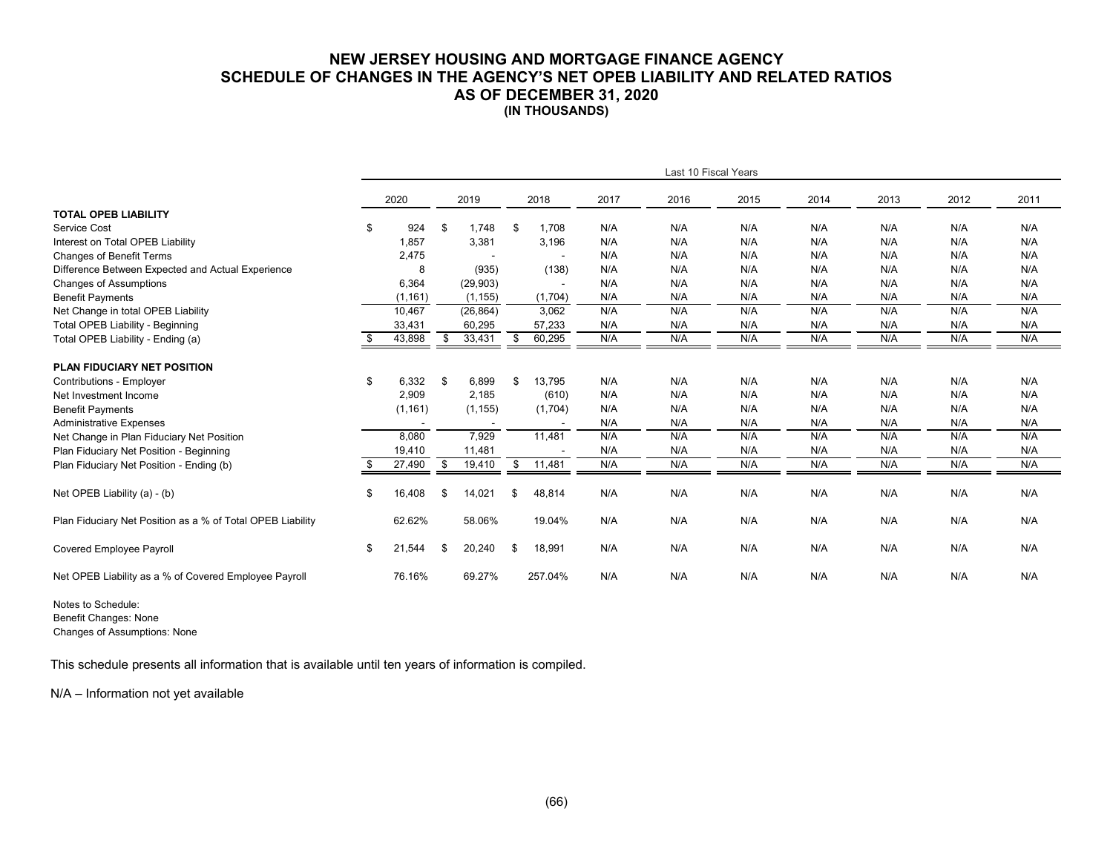#### **NEW JERSEY HOUSING AND MORTGAGE FINANCE AGENCY SCHEDULE OF CHANGES IN THE AGENCY'S NET OPEB LIABILITY AND RELATED RATIOS AS OF DECEMBER 31, 2020 (IN THOUSANDS)**

|                                                            |              |              |              |      | Last 10 Fiscal Years |      |      |      |      |      |
|------------------------------------------------------------|--------------|--------------|--------------|------|----------------------|------|------|------|------|------|
|                                                            | 2020         | 2019         | 2018         | 2017 | 2016                 | 2015 | 2014 | 2013 | 2012 | 2011 |
| <b>TOTAL OPEB LIABILITY</b>                                |              |              |              |      |                      |      |      |      |      |      |
| Service Cost                                               | \$<br>924    | \$<br>1,748  | \$<br>1,708  | N/A  | N/A                  | N/A  | N/A  | N/A  | N/A  | N/A  |
| Interest on Total OPEB Liability                           | 1.857        | 3,381        | 3.196        | N/A  | N/A                  | N/A  | N/A  | N/A  | N/A  | N/A  |
| <b>Changes of Benefit Terms</b>                            | 2,475        |              |              | N/A  | N/A                  | N/A  | N/A  | N/A  | N/A  | N/A  |
| Difference Between Expected and Actual Experience          | 8            | (935)        | (138)        | N/A  | N/A                  | N/A  | N/A  | N/A  | N/A  | N/A  |
| <b>Changes of Assumptions</b>                              | 6,364        | (29,903)     |              | N/A  | N/A                  | N/A  | N/A  | N/A  | N/A  | N/A  |
| <b>Benefit Payments</b>                                    | (1, 161)     | (1, 155)     | (1,704)      | N/A  | N/A                  | N/A  | N/A  | N/A  | N/A  | N/A  |
| Net Change in total OPEB Liability                         | 10,467       | (26, 864)    | 3,062        | N/A  | N/A                  | N/A  | N/A  | N/A  | N/A  | N/A  |
| <b>Total OPEB Liability - Beginning</b>                    | 33,431       | 60,295       | 57,233       | N/A  | N/A                  | N/A  | N/A  | N/A  | N/A  | N/A  |
| Total OPEB Liability - Ending (a)                          | 43,898       | \$<br>33,431 | \$<br>60,295 | N/A  | N/A                  | N/A  | N/A  | N/A  | N/A  | N/A  |
| PLAN FIDUCIARY NET POSITION                                |              |              |              |      |                      |      |      |      |      |      |
| <b>Contributions - Employer</b>                            | \$<br>6,332  | \$<br>6,899  | \$<br>13,795 | N/A  | N/A                  | N/A  | N/A  | N/A  | N/A  | N/A  |
| Net Investment Income                                      | 2,909        | 2,185        | (610)        | N/A  | N/A                  | N/A  | N/A  | N/A  | N/A  | N/A  |
| <b>Benefit Payments</b>                                    | (1, 161)     | (1, 155)     | (1,704)      | N/A  | N/A                  | N/A  | N/A  | N/A  | N/A  | N/A  |
| <b>Administrative Expenses</b>                             |              |              |              | N/A  | N/A                  | N/A  | N/A  | N/A  | N/A  | N/A  |
| Net Change in Plan Fiduciary Net Position                  | 8,080        | 7,929        | 11,481       | N/A  | N/A                  | N/A  | N/A  | N/A  | N/A  | N/A  |
| Plan Fiduciary Net Position - Beginning                    | 19,410       | 11,481       |              | N/A  | N/A                  | N/A  | N/A  | N/A  | N/A  | N/A  |
| Plan Fiduciary Net Position - Ending (b)                   | 27,490       | \$<br>19,410 | \$<br>11,481 | N/A  | N/A                  | N/A  | N/A  | N/A  | N/A  | N/A  |
| Net OPEB Liability (a) - (b)                               | \$<br>16,408 | \$<br>14,021 | \$<br>48,814 | N/A  | N/A                  | N/A  | N/A  | N/A  | N/A  | N/A  |
| Plan Fiduciary Net Position as a % of Total OPEB Liability | 62.62%       | 58.06%       | 19.04%       | N/A  | N/A                  | N/A  | N/A  | N/A  | N/A  | N/A  |
| <b>Covered Employee Payroll</b>                            | \$<br>21,544 | \$<br>20,240 | \$<br>18,991 | N/A  | N/A                  | N/A  | N/A  | N/A  | N/A  | N/A  |
| Net OPEB Liability as a % of Covered Employee Payroll      | 76.16%       | 69.27%       | 257.04%      | N/A  | N/A                  | N/A  | N/A  | N/A  | N/A  | N/A  |

Notes to Schedule: Benefit Changes: None Changes of Assumptions: None

This schedule presents all information that is available until ten years of information is compiled.

N/A – Information not yet available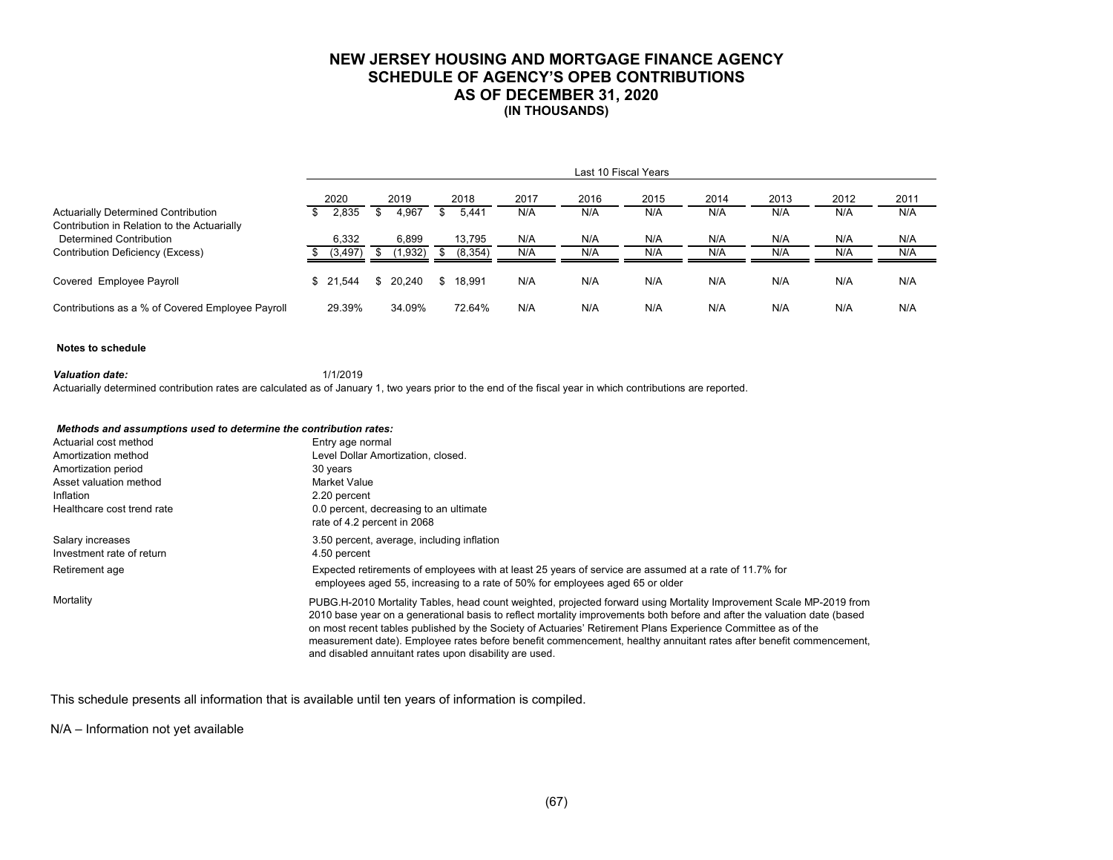#### **NEW JERSEY HOUSING AND MORTGAGE FINANCE AGENCY SCHEDULE OF AGENCY'S OPEB CONTRIBUTIONS AS OF DECEMBER 31, 2020 (IN THOUSANDS)**

|                                                  | Last 10 Fiscal Years |  |          |  |          |      |      |      |      |      |      |      |  |
|--------------------------------------------------|----------------------|--|----------|--|----------|------|------|------|------|------|------|------|--|
|                                                  | 2020                 |  | 2019     |  | 2018     | 2017 | 2016 | 2015 | 2014 | 2013 | 2012 | 2011 |  |
| <b>Actuarially Determined Contribution</b>       | 2,835                |  | 4,967    |  | 5,441    | N/A  | N/A  | N/A  | N/A  | N/A  | N/A  | N/A  |  |
| Contribution in Relation to the Actuarially      |                      |  |          |  |          |      |      |      |      |      |      |      |  |
| <b>Determined Contribution</b>                   | 6,332                |  | 6,899    |  | 13,795   | N/A  | N/A  | N/A  | N/A  | N/A  | N/A  | N/A  |  |
| Contribution Deficiency (Excess)                 | (3, 497)             |  | 1,932)   |  | (8, 354) | N/A  | N/A  | N/A  | N/A  | N/A  | N/A  | N/A  |  |
| Covered Employee Payroll                         | \$21.544             |  | \$20,240 |  | 18.991   | N/A  | N/A  | N/A  | N/A  | N/A  | N/A  | N/A  |  |
| Contributions as a % of Covered Employee Payroll | 29.39%               |  | 34.09%   |  | 72.64%   | N/A  | N/A  | N/A  | N/A  | N/A  | N/A  | N/A  |  |

#### **Notes to schedule**

*Valuation date:*

1/1/2019

Actuarially determined contribution rates are calculated as of January 1, two years prior to the end of the fiscal year in which contributions are reported.

#### *Methods and assumptions used to determine the contribution rates:*

| Actuarial cost method      | Entry age normal                                                                                                                                                                                                                                                                                                                                                                                                                                                                                                                                |
|----------------------------|-------------------------------------------------------------------------------------------------------------------------------------------------------------------------------------------------------------------------------------------------------------------------------------------------------------------------------------------------------------------------------------------------------------------------------------------------------------------------------------------------------------------------------------------------|
| Amortization method        | Level Dollar Amortization, closed.                                                                                                                                                                                                                                                                                                                                                                                                                                                                                                              |
| Amortization period        | 30 years                                                                                                                                                                                                                                                                                                                                                                                                                                                                                                                                        |
| Asset valuation method     | Market Value                                                                                                                                                                                                                                                                                                                                                                                                                                                                                                                                    |
| Inflation                  | 2.20 percent                                                                                                                                                                                                                                                                                                                                                                                                                                                                                                                                    |
| Healthcare cost trend rate | 0.0 percent, decreasing to an ultimate                                                                                                                                                                                                                                                                                                                                                                                                                                                                                                          |
|                            | rate of 4.2 percent in 2068                                                                                                                                                                                                                                                                                                                                                                                                                                                                                                                     |
| Salary increases           | 3.50 percent, average, including inflation                                                                                                                                                                                                                                                                                                                                                                                                                                                                                                      |
| Investment rate of return  | 4.50 percent                                                                                                                                                                                                                                                                                                                                                                                                                                                                                                                                    |
| Retirement age             | Expected retirements of employees with at least 25 years of service are assumed at a rate of 11.7% for<br>employees aged 55, increasing to a rate of 50% for employees aged 65 or older                                                                                                                                                                                                                                                                                                                                                         |
| Mortality                  | PUBG.H-2010 Mortality Tables, head count weighted, projected forward using Mortality Improvement Scale MP-2019 from<br>2010 base year on a generational basis to reflect mortality improvements both before and after the valuation date (based<br>on most recent tables published by the Society of Actuaries' Retirement Plans Experience Committee as of the<br>measurement date). Employee rates before benefit commencement, healthy annuitant rates after benefit commencement,<br>and disabled annuitant rates upon disability are used. |

This schedule presents all information that is available until ten years of information is compiled.

N/A – Information not yet available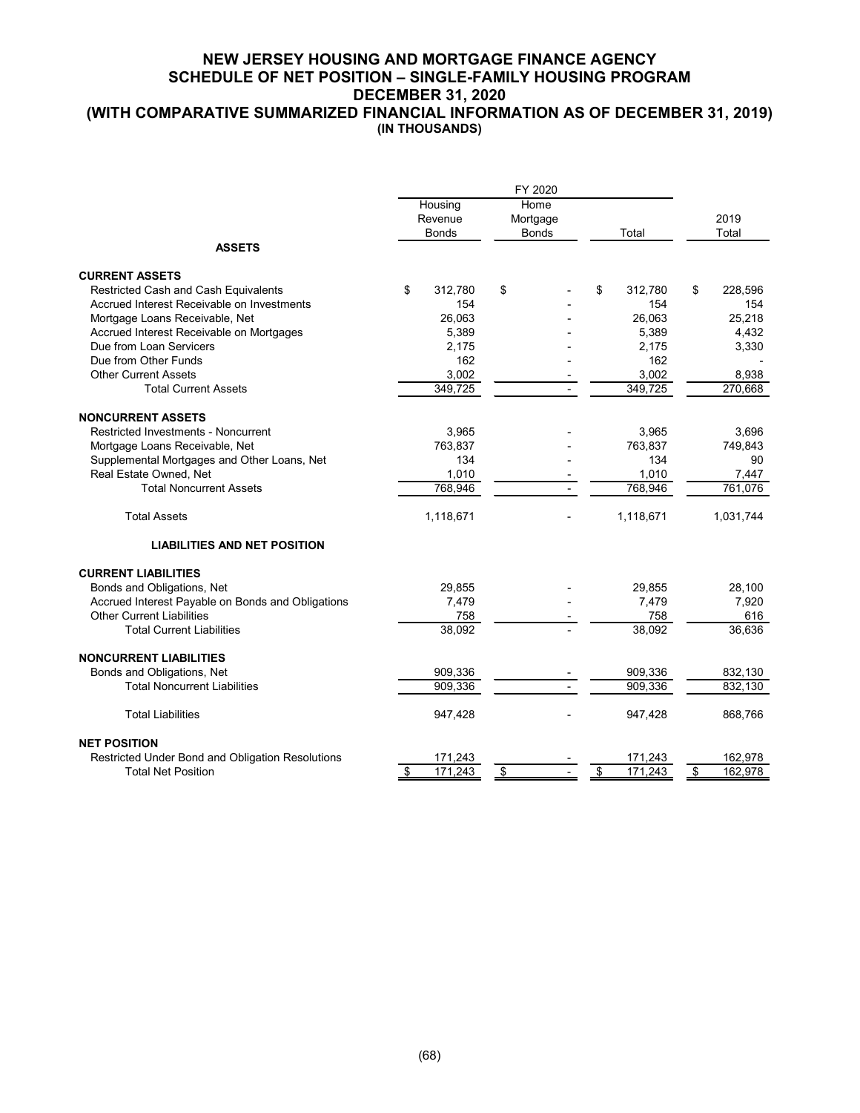# **NEW JERSEY HOUSING AND MORTGAGE FINANCE AGENCY SCHEDULE OF NET POSITION – SINGLE-FAMILY HOUSING PROGRAM DECEMBER 31, 2020**

**(WITH COMPARATIVE SUMMARIZED FINANCIAL INFORMATION AS OF DECEMBER 31, 2019) (IN THOUSANDS)** 

|                                                   | Housing<br>Revenue<br><b>Bonds</b> | Home<br>Mortgage<br><b>Bonds</b> | Total         | 2019<br>Total |
|---------------------------------------------------|------------------------------------|----------------------------------|---------------|---------------|
| <b>ASSETS</b>                                     |                                    |                                  |               |               |
| <b>CURRENT ASSETS</b>                             |                                    |                                  |               |               |
| Restricted Cash and Cash Equivalents              | \$<br>312.780                      | \$                               | \$<br>312,780 | \$<br>228,596 |
| Accrued Interest Receivable on Investments        | 154                                |                                  | 154           | 154           |
| Mortgage Loans Receivable, Net                    | 26,063                             |                                  | 26,063        | 25,218        |
| Accrued Interest Receivable on Mortgages          | 5,389                              |                                  | 5,389         | 4,432         |
| Due from Loan Servicers                           | 2,175                              |                                  | 2,175         | 3,330         |
| Due from Other Funds                              | 162                                |                                  | 162           |               |
| <b>Other Current Assets</b>                       | 3,002                              |                                  | 3,002         | 8.938         |
| <b>Total Current Assets</b>                       | 349,725                            |                                  | 349,725       | 270,668       |
|                                                   |                                    |                                  |               |               |
| <b>NONCURRENT ASSETS</b>                          |                                    |                                  |               |               |
| Restricted Investments - Noncurrent               | 3,965                              |                                  | 3,965         | 3,696         |
| Mortgage Loans Receivable, Net                    | 763,837                            |                                  | 763,837       | 749,843       |
| Supplemental Mortgages and Other Loans, Net       | 134                                |                                  | 134           | 90            |
| Real Estate Owned, Net                            | 1,010                              |                                  | 1,010         | 7,447         |
| <b>Total Noncurrent Assets</b>                    | 768,946                            |                                  | 768,946       | 761.076       |
| <b>Total Assets</b>                               | 1,118,671                          |                                  | 1,118,671     | 1,031,744     |
| <b>LIABILITIES AND NET POSITION</b>               |                                    |                                  |               |               |
| <b>CURRENT LIABILITIES</b>                        |                                    |                                  |               |               |
| Bonds and Obligations, Net                        | 29,855                             |                                  | 29,855        | 28,100        |
| Accrued Interest Payable on Bonds and Obligations | 7,479                              |                                  | 7,479         | 7,920         |
| <b>Other Current Liabilities</b>                  | 758                                |                                  | 758           | 616           |
| <b>Total Current Liabilities</b>                  | 38,092                             |                                  | 38,092        | 36,636        |
| <b>NONCURRENT LIABILITIES</b>                     |                                    |                                  |               |               |
| Bonds and Obligations, Net                        | 909,336                            |                                  | 909,336       | 832,130       |
| <b>Total Noncurrent Liabilities</b>               | 909,336                            |                                  | 909,336       | 832,130       |
|                                                   |                                    |                                  |               |               |
| <b>Total Liabilities</b>                          | 947,428                            |                                  | 947,428       | 868,766       |
| <b>NET POSITION</b>                               |                                    |                                  |               |               |
| Restricted Under Bond and Obligation Resolutions  | 171,243                            |                                  | 171,243       | 162,978       |
| <b>Total Net Position</b>                         | $\frac{1}{2}$<br>171,243           | \$                               | 171,243<br>\$ | \$<br>162,978 |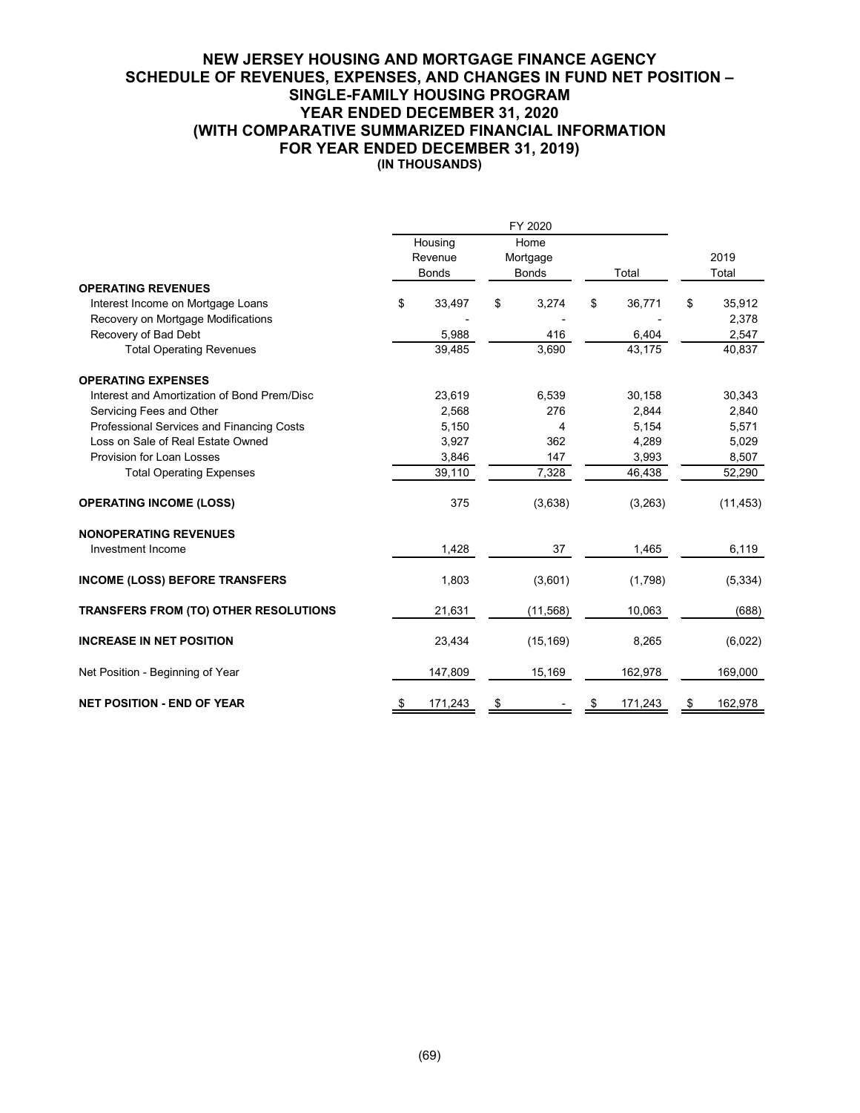#### **NEW JERSEY HOUSING AND MORTGAGE FINANCE AGENCY SCHEDULE OF REVENUES, EXPENSES, AND CHANGES IN FUND NET POSITION – SINGLE-FAMILY HOUSING PROGRAM YEAR ENDED DECEMBER 31, 2020 (WITH COMPARATIVE SUMMARIZED FINANCIAL INFORMATION FOR YEAR ENDED DECEMBER 31, 2019) (IN THOUSANDS)**

|                                              |               | FY 2020      |    |          |               |  |
|----------------------------------------------|---------------|--------------|----|----------|---------------|--|
|                                              | Housing       | Home         |    |          |               |  |
|                                              | Revenue       | Mortgage     |    |          | 2019          |  |
|                                              | <b>Bonds</b>  | <b>Bonds</b> |    | Total    | Total         |  |
| <b>OPERATING REVENUES</b>                    |               |              |    |          |               |  |
| Interest Income on Mortgage Loans            | \$<br>33,497  | \$<br>3,274  | \$ | 36,771   | \$<br>35,912  |  |
| Recovery on Mortgage Modifications           |               |              |    |          | 2,378         |  |
| Recovery of Bad Debt                         | 5,988         | 416          |    | 6,404    | 2,547         |  |
| <b>Total Operating Revenues</b>              | 39,485        | 3,690        |    | 43,175   | 40,837        |  |
| <b>OPERATING EXPENSES</b>                    |               |              |    |          |               |  |
| Interest and Amortization of Bond Prem/Disc  | 23,619        | 6,539        |    | 30,158   | 30,343        |  |
| Servicing Fees and Other                     | 2,568         | 276          |    | 2,844    | 2,840         |  |
| Professional Services and Financing Costs    | 5,150         | 4            |    | 5,154    | 5,571         |  |
| Loss on Sale of Real Estate Owned            | 3,927         | 362          |    | 4,289    | 5,029         |  |
| Provision for Loan Losses                    | 3,846         | 147          |    | 3,993    | 8,507         |  |
| <b>Total Operating Expenses</b>              | 39,110        | 7,328        |    | 46,438   | 52,290        |  |
| <b>OPERATING INCOME (LOSS)</b>               | 375           | (3,638)      |    | (3, 263) | (11, 453)     |  |
| <b>NONOPERATING REVENUES</b>                 |               |              |    |          |               |  |
| Investment Income                            | 1,428         | 37           |    | 1,465    | 6,119         |  |
| <b>INCOME (LOSS) BEFORE TRANSFERS</b>        | 1,803         | (3,601)      |    | (1,798)  | (5, 334)      |  |
| <b>TRANSFERS FROM (TO) OTHER RESOLUTIONS</b> | 21,631        | (11, 568)    |    | 10,063   | (688)         |  |
| <b>INCREASE IN NET POSITION</b>              | 23,434        | (15, 169)    |    | 8,265    | (6,022)       |  |
| Net Position - Beginning of Year             | 147,809       | 15,169       |    | 162,978  | 169,000       |  |
| <b>NET POSITION - END OF YEAR</b>            | \$<br>171,243 | \$           | \$ | 171,243  | \$<br>162,978 |  |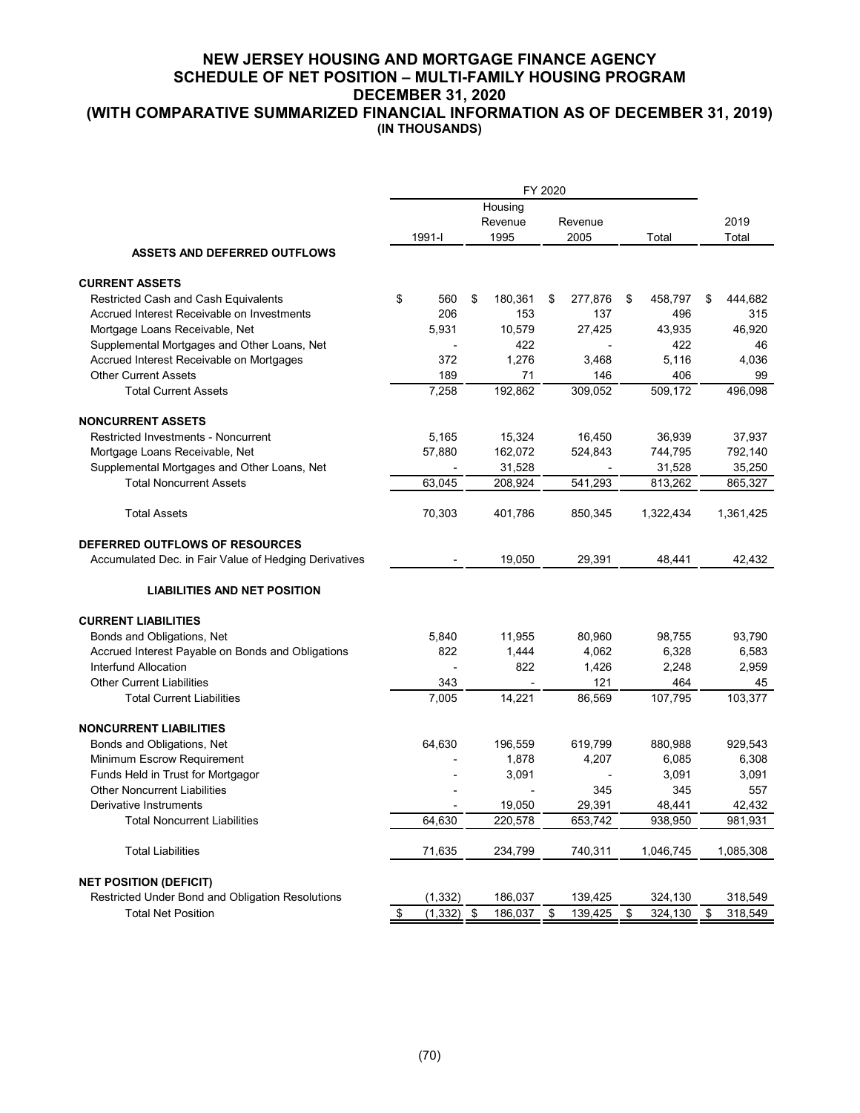# **NEW JERSEY HOUSING AND MORTGAGE FINANCE AGENCY SCHEDULE OF NET POSITION – MULTI-FAMILY HOUSING PROGRAM DECEMBER 31, 2020**

**(WITH COMPARATIVE SUMMARIZED FINANCIAL INFORMATION AS OF DECEMBER 31, 2019) (IN THOUSANDS)** 

|                                                       | FY 2020 |          |    |                 |    |                          |    |           |    |           |
|-------------------------------------------------------|---------|----------|----|-----------------|----|--------------------------|----|-----------|----|-----------|
|                                                       |         | Housing  |    |                 |    |                          |    |           |    |           |
|                                                       | 1991-l  |          |    | Revenue<br>1995 |    | Revenue<br>2005          |    |           |    | 2019      |
|                                                       |         |          |    |                 |    |                          |    | Total     |    | Total     |
| <b>ASSETS AND DEFERRED OUTFLOWS</b>                   |         |          |    |                 |    |                          |    |           |    |           |
| <b>CURRENT ASSETS</b>                                 |         |          |    |                 |    |                          |    |           |    |           |
| Restricted Cash and Cash Equivalents                  | \$      | 560      | \$ | 180,361         | \$ | 277,876                  | \$ | 458,797   | \$ | 444,682   |
| Accrued Interest Receivable on Investments            |         | 206      |    | 153             |    | 137                      |    | 496       |    | 315       |
| Mortgage Loans Receivable, Net                        |         | 5,931    |    | 10,579          |    | 27,425                   |    | 43,935    |    | 46.920    |
| Supplemental Mortgages and Other Loans, Net           |         | -        |    | 422             |    | $\overline{\phantom{a}}$ |    | 422       |    | 46        |
| Accrued Interest Receivable on Mortgages              |         | 372      |    | 1,276           |    | 3,468                    |    | 5,116     |    | 4,036     |
| <b>Other Current Assets</b>                           |         | 189      |    | 71              |    | 146                      |    | 406       |    | 99        |
| <b>Total Current Assets</b>                           |         | 7,258    |    | 192,862         |    | 309,052                  |    | 509,172   |    | 496,098   |
| <b>NONCURRENT ASSETS</b>                              |         |          |    |                 |    |                          |    |           |    |           |
| Restricted Investments - Noncurrent                   |         | 5,165    |    | 15,324          |    | 16,450                   |    | 36,939    |    | 37,937    |
| Mortgage Loans Receivable, Net                        |         | 57,880   |    | 162,072         |    | 524,843                  |    | 744,795   |    | 792,140   |
| Supplemental Mortgages and Other Loans, Net           |         |          |    | 31,528          |    |                          |    | 31,528    |    | 35,250    |
| <b>Total Noncurrent Assets</b>                        |         | 63,045   |    | 208,924         |    | 541,293                  |    | 813,262   |    | 865,327   |
| <b>Total Assets</b>                                   |         | 70,303   |    | 401,786         |    | 850,345                  |    | 1,322,434 |    | 1,361,425 |
| DEFERRED OUTFLOWS OF RESOURCES                        |         |          |    |                 |    |                          |    |           |    |           |
| Accumulated Dec. in Fair Value of Hedging Derivatives |         |          |    | 19,050          |    | 29,391                   |    | 48,441    |    | 42,432    |
| <b>LIABILITIES AND NET POSITION</b>                   |         |          |    |                 |    |                          |    |           |    |           |
| <b>CURRENT LIABILITIES</b>                            |         |          |    |                 |    |                          |    |           |    |           |
| Bonds and Obligations, Net                            |         | 5,840    |    | 11,955          |    | 80,960                   |    | 98,755    |    | 93,790    |
| Accrued Interest Payable on Bonds and Obligations     |         | 822      |    | 1,444           |    | 4,062                    |    | 6,328     |    | 6,583     |
| Interfund Allocation                                  |         |          |    | 822             |    | 1,426                    |    | 2,248     |    | 2,959     |
| <b>Other Current Liabilities</b>                      |         | 343      |    |                 |    | 121                      |    | 464       |    | 45        |
| <b>Total Current Liabilities</b>                      |         | 7,005    |    | 14,221          |    | 86,569                   |    | 107,795   |    | 103,377   |
| <b>NONCURRENT LIABILITIES</b>                         |         |          |    |                 |    |                          |    |           |    |           |
| Bonds and Obligations, Net                            |         | 64,630   |    | 196,559         |    | 619,799                  |    | 880,988   |    | 929,543   |
| Minimum Escrow Requirement                            |         |          |    | 1,878           |    | 4,207                    |    | 6,085     |    | 6,308     |
| Funds Held in Trust for Mortgagor                     |         |          |    | 3,091           |    |                          |    | 3,091     |    | 3,091     |
| <b>Other Noncurrent Liabilities</b>                   |         |          |    |                 |    | 345                      |    | 345       |    | 557       |
| Derivative Instruments                                |         |          |    | 19,050          |    | 29,391                   |    | 48,441    |    | 42,432    |
| <b>Total Noncurrent Liabilities</b>                   |         | 64,630   |    | 220,578         |    | 653,742                  |    | 938,950   |    | 981,931   |
| <b>Total Liabilities</b>                              |         | 71,635   |    | 234,799         |    | 740,311                  |    | 1,046,745 |    | 1,085,308 |
| <b>NET POSITION (DEFICIT)</b>                         |         |          |    |                 |    |                          |    |           |    |           |
| Restricted Under Bond and Obligation Resolutions      |         | (1, 332) |    | 186,037         |    | 139,425                  |    | 324,130   |    | 318,549   |
| <b>Total Net Position</b>                             | \$      | (1, 332) | \$ | 186,037         | \$ | 139,425                  | \$ | 324,130   | \$ | 318,549   |